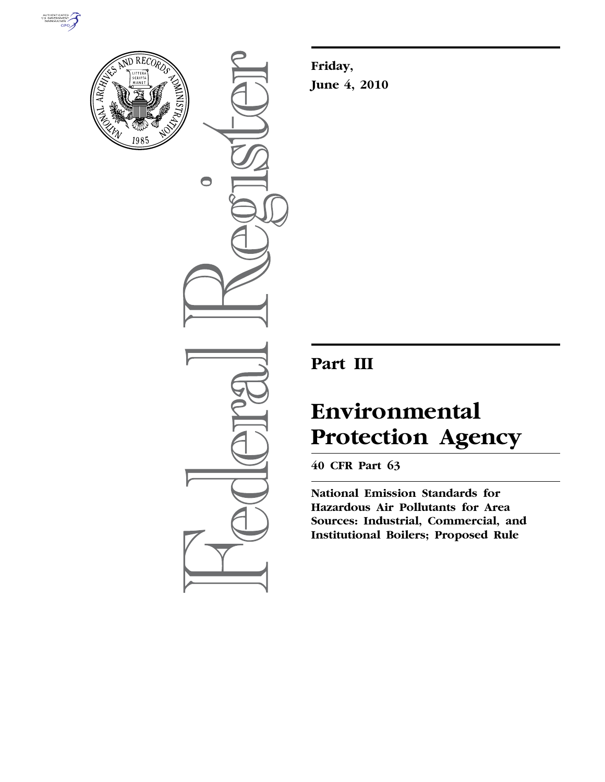



 $\bigcirc$ 

**Friday, June 4, 2010** 

# **Part III**

# **Environmental Protection Agency**

**40 CFR Part 63** 

**National Emission Standards for Hazardous Air Pollutants for Area Sources: Industrial, Commercial, and Institutional Boilers; Proposed Rule**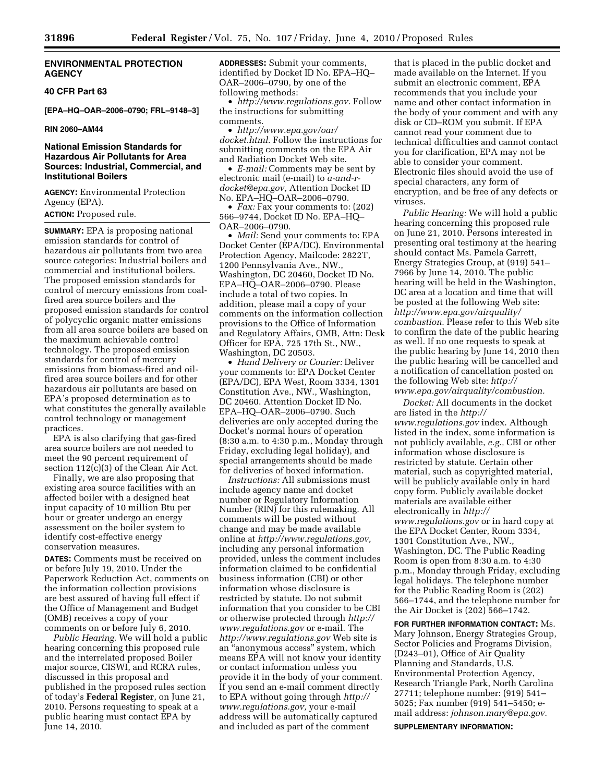# **ENVIRONMENTAL PROTECTION AGENCY**

# **40 CFR Part 63**

**[EPA–HQ–OAR–2006–0790; FRL–9148–3]** 

# **RIN 2060–AM44**

# **National Emission Standards for Hazardous Air Pollutants for Area Sources: Industrial, Commercial, and Institutional Boilers**

**AGENCY:** Environmental Protection Agency (EPA).

**ACTION:** Proposed rule.

**SUMMARY:** EPA is proposing national emission standards for control of hazardous air pollutants from two area source categories: Industrial boilers and commercial and institutional boilers. The proposed emission standards for control of mercury emissions from coalfired area source boilers and the proposed emission standards for control of polycyclic organic matter emissions from all area source boilers are based on the maximum achievable control technology. The proposed emission standards for control of mercury emissions from biomass-fired and oilfired area source boilers and for other hazardous air pollutants are based on EPA's proposed determination as to what constitutes the generally available control technology or management practices.

EPA is also clarifying that gas-fired area source boilers are not needed to meet the 90 percent requirement of section 112(c)(3) of the Clean Air Act.

Finally, we are also proposing that existing area source facilities with an affected boiler with a designed heat input capacity of 10 million Btu per hour or greater undergo an energy assessment on the boiler system to identify cost-effective energy conservation measures.

**DATES:** Comments must be received on or before July 19, 2010. Under the Paperwork Reduction Act, comments on the information collection provisions are best assured of having full effect if the Office of Management and Budget (OMB) receives a copy of your comments on or before July 6, 2010.

*Public Hearing.* We will hold a public hearing concerning this proposed rule and the interrelated proposed Boiler major source, CISWI, and RCRA rules, discussed in this proposal and published in the proposed rules section of today's **Federal Register**, on June 21, 2010. Persons requesting to speak at a public hearing must contact EPA by June 14, 2010.

**ADDRESSES:** Submit your comments, identified by Docket ID No. EPA–HQ– OAR–2006–0790, by one of the following methods:

• *http://www.regulations.gov.* Follow the instructions for submitting comments.

• *http://www.epa.gov/oar/ docket.html.* Follow the instructions for submitting comments on the EPA Air and Radiation Docket Web site.

• *E-mail:* Comments may be sent by electronic mail (e-mail) to *a-and-rdocket@epa.gov,* Attention Docket ID No. EPA–HQ–OAR–2006–0790.

• *Fax:* Fax your comments to: (202) 566–9744, Docket ID No. EPA–HQ– OAR–2006–0790.

• *Mail:* Send your comments to: EPA Docket Center (EPA/DC), Environmental Protection Agency, Mailcode: 2822T, 1200 Pennsylvania Ave., NW., Washington, DC 20460, Docket ID No. EPA–HQ–OAR–2006–0790. Please include a total of two copies. In addition, please mail a copy of your comments on the information collection provisions to the Office of Information and Regulatory Affairs, OMB, Attn: Desk Officer for EPA, 725 17th St., NW., Washington, DC 20503.

• *Hand Delivery or Courier:* Deliver your comments to: EPA Docket Center (EPA/DC), EPA West, Room 3334, 1301 Constitution Ave., NW., Washington, DC 20460. Attention Docket ID No. EPA–HQ–OAR–2006–0790. Such deliveries are only accepted during the Docket's normal hours of operation (8:30 a.m. to 4:30 p.m., Monday through Friday, excluding legal holiday), and special arrangements should be made for deliveries of boxed information.

*Instructions:* All submissions must include agency name and docket number or Regulatory Information Number (RIN) for this rulemaking. All comments will be posted without change and may be made available online at *http://www.regulations.gov,*  including any personal information provided, unless the comment includes information claimed to be confidential business information (CBI) or other information whose disclosure is restricted by statute. Do not submit information that you consider to be CBI or otherwise protected through *http:// www.regulations.gov* or e-mail. The *http://www.regulations.gov* Web site is an ''anonymous access'' system, which means EPA will not know your identity or contact information unless you provide it in the body of your comment. If you send an e-mail comment directly to EPA without going through *http:// www.regulations.gov,* your e-mail address will be automatically captured and included as part of the comment

that is placed in the public docket and made available on the Internet. If you submit an electronic comment, EPA recommends that you include your name and other contact information in the body of your comment and with any disk or CD–ROM you submit. If EPA cannot read your comment due to technical difficulties and cannot contact you for clarification, EPA may not be able to consider your comment. Electronic files should avoid the use of special characters, any form of encryption, and be free of any defects or viruses.

*Public Hearing:* We will hold a public hearing concerning this proposed rule on June 21, 2010. Persons interested in presenting oral testimony at the hearing should contact Ms. Pamela Garrett, Energy Strategies Group, at (919) 541– 7966 by June 14, 2010. The public hearing will be held in the Washington, DC area at a location and time that will be posted at the following Web site: *http://www.epa.gov/airquality/ combustion.* Please refer to this Web site to confirm the date of the public hearing as well. If no one requests to speak at the public hearing by June 14, 2010 then the public hearing will be cancelled and a notification of cancellation posted on the following Web site: *http:// www.epa.gov/airquality/combustion.* 

*Docket:* All documents in the docket are listed in the *http:// www.regulations.gov* index. Although listed in the index, some information is not publicly available, *e.g.,* CBI or other information whose disclosure is restricted by statute. Certain other material, such as copyrighted material, will be publicly available only in hard copy form. Publicly available docket materials are available either electronically in *http:// www.regulations.gov* or in hard copy at the EPA Docket Center, Room 3334, 1301 Constitution Ave., NW., Washington, DC. The Public Reading Room is open from 8:30 a.m. to 4:30 p.m., Monday through Friday, excluding legal holidays. The telephone number for the Public Reading Room is (202) 566–1744, and the telephone number for the Air Docket is (202) 566–1742.

**FOR FURTHER INFORMATION CONTACT:** Ms. Mary Johnson, Energy Strategies Group, Sector Policies and Programs Division, (D243–01), Office of Air Quality Planning and Standards, U.S. Environmental Protection Agency, Research Triangle Park, North Carolina 27711; telephone number: (919) 541– 5025; Fax number (919) 541–5450; email address: *johnson.mary@epa.gov.* 

**SUPPLEMENTARY INFORMATION:**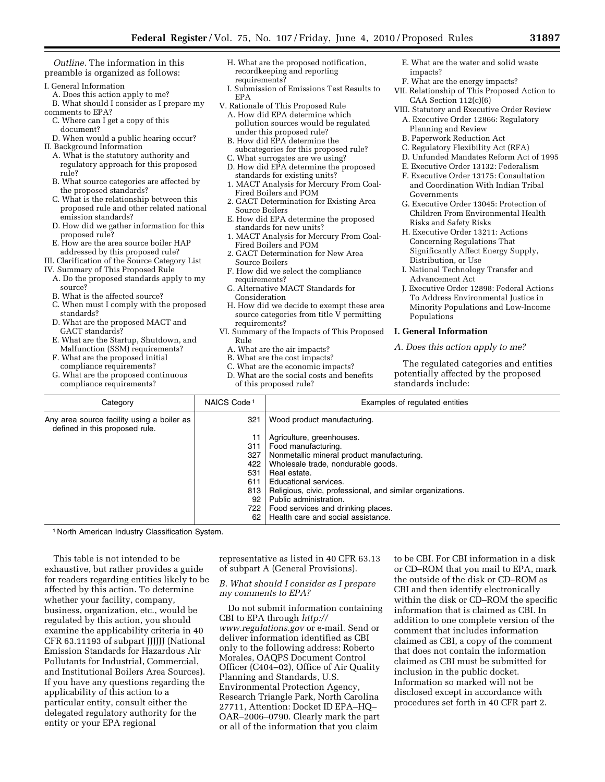#### I. General Information

- A. Does this action apply to me? B. What should I consider as I prepare my
- comments to EPA?
- C. Where can I get a copy of this document?
- D. When would a public hearing occur? II. Background Information
	- A. What is the statutory authority and regulatory approach for this proposed rule?
	- B. What source categories are affected by the proposed standards?
	- C. What is the relationship between this proposed rule and other related national emission standards?
	- D. How did we gather information for this proposed rule?
	- E. How are the area source boiler HAP addressed by this proposed rule?
- III. Clarification of the Source Category List
- IV. Summary of This Proposed Rule
- A. Do the proposed standards apply to my source?
- B. What is the affected source?
- C. When must I comply with the proposed standards?
- D. What are the proposed MACT and GACT standards?
- E. What are the Startup, Shutdown, and Malfunction (SSM) requirements?
- F. What are the proposed initial compliance requirements?
- G. What are the proposed continuous compliance requirements?
- H. What are the proposed notification, recordkeeping and reporting requirements?
- I. Submission of Emissions Test Results to EPA
- V. Rationale of This Proposed Rule
	- A. How did EPA determine which pollution sources would be regulated under this proposed rule?
	- B. How did EPA determine the subcategories for this proposed rule?
	- C. What surrogates are we using? D. How did EPA determine the proposed
	- standards for existing units?
	- 1. MACT Analysis for Mercury From Coal-Fired Boilers and POM
	- 2. GACT Determination for Existing Area Source Boilers
	- E. How did EPA determine the proposed standards for new units?
	- 1. MACT Analysis for Mercury From Coal-Fired Boilers and POM
	- 2. GACT Determination for New Area Source Boilers
	- F. How did we select the compliance requirements?
	- G. Alternative MACT Standards for Consideration
- H. How did we decide to exempt these area source categories from title  $\overline{V}$  permitting requirements?
- VI. Summary of the Impacts of This Proposed Rule
	- A. What are the air impacts?
	- B. What are the cost impacts?
	- C. What are the economic impacts? D. What are the social costs and benefits
	- of this proposed rule?
- E. What are the water and solid waste impacts?
- F. What are the energy impacts?
- VII. Relationship of This Proposed Action to CAA Section 112(c)(6)
- VIII. Statutory and Executive Order Review A. Executive Order 12866: Regulatory
	- Planning and Review
	- B. Paperwork Reduction Act
	- C. Regulatory Flexibility Act (RFA)
	- D. Unfunded Mandates Reform Act of 1995
	- E. Executive Order 13132: Federalism
	- F. Executive Order 13175: Consultation and Coordination With Indian Tribal Governments
	- G. Executive Order 13045: Protection of Children From Environmental Health Risks and Safety Risks
	- H. Executive Order 13211: Actions Concerning Regulations That Significantly Affect Energy Supply, Distribution, or Use
	- I. National Technology Transfer and Advancement Act
- J. Executive Order 12898: Federal Actions To Address Environmental Justice in Minority Populations and Low-Income Populations

# **I. General Information**

*A. Does this action apply to me?* 

The regulated categories and entities potentially affected by the proposed standards include:

| Category                                                                     | NAICS Code <sup>1</sup> | Examples of regulated entities                             |
|------------------------------------------------------------------------------|-------------------------|------------------------------------------------------------|
| Any area source facility using a boiler as<br>defined in this proposed rule. | 321                     | Wood product manufacturing.                                |
|                                                                              | 11                      | Agriculture, greenhouses.                                  |
|                                                                              | 311                     | Food manufacturing.                                        |
|                                                                              | 327                     | Nonmetallic mineral product manufacturing.                 |
|                                                                              | 422                     | Wholesale trade, nondurable goods.                         |
|                                                                              | 531                     | Real estate.                                               |
|                                                                              | 611                     | Educational services.                                      |
|                                                                              | 813                     | Religious, civic, professional, and similar organizations. |
|                                                                              | 92                      | Public administration.                                     |
|                                                                              | 722                     | Food services and drinking places.                         |
|                                                                              | 62                      | Health care and social assistance.                         |

1 North American Industry Classification System.

This table is not intended to be exhaustive, but rather provides a guide for readers regarding entities likely to be affected by this action. To determine whether your facility, company, business, organization, etc., would be regulated by this action, you should examine the applicability criteria in 40 CFR 63.11193 of subpart JJJJJJ (National Emission Standards for Hazardous Air Pollutants for Industrial, Commercial, and Institutional Boilers Area Sources). If you have any questions regarding the applicability of this action to a particular entity, consult either the delegated regulatory authority for the entity or your EPA regional

representative as listed in 40 CFR 63.13 of subpart A (General Provisions).

# *B. What should I consider as I prepare my comments to EPA?*

Do not submit information containing CBI to EPA through *http:// www.regulations.gov* or e-mail. Send or deliver information identified as CBI only to the following address: Roberto Morales, OAQPS Document Control Officer (C404–02), Office of Air Quality Planning and Standards, U.S. Environmental Protection Agency, Research Triangle Park, North Carolina 27711, Attention: Docket ID EPA–HQ– OAR–2006–0790. Clearly mark the part or all of the information that you claim

to be CBI. For CBI information in a disk or CD–ROM that you mail to EPA, mark the outside of the disk or CD–ROM as CBI and then identify electronically within the disk or CD–ROM the specific information that is claimed as CBI. In addition to one complete version of the comment that includes information claimed as CBI, a copy of the comment that does not contain the information claimed as CBI must be submitted for inclusion in the public docket. Information so marked will not be disclosed except in accordance with procedures set forth in 40 CFR part 2.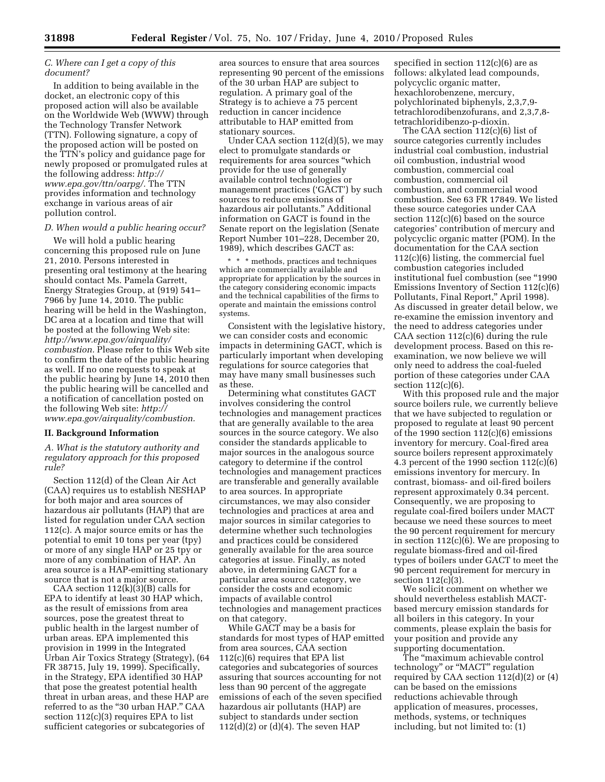# *C. Where can I get a copy of this document?*

In addition to being available in the docket, an electronic copy of this proposed action will also be available on the Worldwide Web (WWW) through the Technology Transfer Network (TTN). Following signature, a copy of the proposed action will be posted on the TTN's policy and guidance page for newly proposed or promulgated rules at the following address: *http:// www.epa.gov/ttn/oarpg/.* The TTN provides information and technology exchange in various areas of air pollution control.

#### *D. When would a public hearing occur?*

We will hold a public hearing concerning this proposed rule on June 21, 2010. Persons interested in presenting oral testimony at the hearing should contact Ms. Pamela Garrett, Energy Strategies Group, at (919) 541– 7966 by June 14, 2010. The public hearing will be held in the Washington, DC area at a location and time that will be posted at the following Web site: *http://www.epa.gov/airquality/ combustion.* Please refer to this Web site to confirm the date of the public hearing as well. If no one requests to speak at the public hearing by June 14, 2010 then the public hearing will be cancelled and a notification of cancellation posted on the following Web site: *http:// www.epa.gov/airquality/combustion.* 

# **II. Background Information**

*A. What is the statutory authority and regulatory approach for this proposed rule?* 

Section 112(d) of the Clean Air Act (CAA) requires us to establish NESHAP for both major and area sources of hazardous air pollutants (HAP) that are listed for regulation under CAA section 112(c). A major source emits or has the potential to emit 10 tons per year (tpy) or more of any single HAP or 25 tpy or more of any combination of HAP. An area source is a HAP-emitting stationary source that is not a major source.

CAA section  $112(k)(3)(B)$  calls for EPA to identify at least 30 HAP which, as the result of emissions from area sources, pose the greatest threat to public health in the largest number of urban areas. EPA implemented this provision in 1999 in the Integrated Urban Air Toxics Strategy (Strategy), (64 FR 38715, July 19, 1999). Specifically, in the Strategy, EPA identified 30 HAP that pose the greatest potential health threat in urban areas, and these HAP are referred to as the "30 urban HAP." CAA section 112(c)(3) requires EPA to list sufficient categories or subcategories of

area sources to ensure that area sources representing 90 percent of the emissions of the 30 urban HAP are subject to regulation. A primary goal of the Strategy is to achieve a 75 percent reduction in cancer incidence attributable to HAP emitted from stationary sources.

Under CAA section 112(d)(5), we may elect to promulgate standards or requirements for area sources ''which provide for the use of generally available control technologies or management practices ('GACT') by such sources to reduce emissions of hazardous air pollutants.'' Additional information on GACT is found in the Senate report on the legislation (Senate Report Number 101–228, December 20, 1989), which describes GACT as:

\* \* \* methods, practices and techniques which are commercially available and appropriate for application by the sources in the category considering economic impacts and the technical capabilities of the firms to operate and maintain the emissions control systems.

Consistent with the legislative history, we can consider costs and economic impacts in determining GACT, which is particularly important when developing regulations for source categories that may have many small businesses such as these.

Determining what constitutes GACT involves considering the control technologies and management practices that are generally available to the area sources in the source category. We also consider the standards applicable to major sources in the analogous source category to determine if the control technologies and management practices are transferable and generally available to area sources. In appropriate circumstances, we may also consider technologies and practices at area and major sources in similar categories to determine whether such technologies and practices could be considered generally available for the area source categories at issue. Finally, as noted above, in determining GACT for a particular area source category, we consider the costs and economic impacts of available control technologies and management practices on that category.

While GACT may be a basis for standards for most types of HAP emitted from area sources, CAA section 112(c)(6) requires that EPA list categories and subcategories of sources assuring that sources accounting for not less than 90 percent of the aggregate emissions of each of the seven specified hazardous air pollutants (HAP) are subject to standards under section  $112(d)(2)$  or  $(d)(4)$ . The seven HAP

specified in section 112(c)(6) are as follows: alkylated lead compounds, polycyclic organic matter, hexachlorobenzene, mercury, polychlorinated biphenyls, 2,3,7,9 tetrachlorodibenzofurans, and 2,3,7,8 tetrachloridibenzo-p-dioxin.

The CAA section 112(c)(6) list of source categories currently includes industrial coal combustion, industrial oil combustion, industrial wood combustion, commercial coal combustion, commercial oil combustion, and commercial wood combustion. See 63 FR 17849. We listed these source categories under CAA section 112(c)(6) based on the source categories' contribution of mercury and polycyclic organic matter (POM). In the documentation for the CAA section 112(c)(6) listing, the commercial fuel combustion categories included institutional fuel combustion (see "1990 Emissions Inventory of Section 112(c)(6) Pollutants, Final Report," April 1998). As discussed in greater detail below, we re-examine the emission inventory and the need to address categories under CAA section 112(c)(6) during the rule development process. Based on this reexamination, we now believe we will only need to address the coal-fueled portion of these categories under CAA section 112(c)(6).

With this proposed rule and the major source boilers rule, we currently believe that we have subjected to regulation or proposed to regulate at least 90 percent of the 1990 section 112(c)(6) emissions inventory for mercury. Coal-fired area source boilers represent approximately 4.3 percent of the 1990 section 112(c)(6) emissions inventory for mercury. In contrast, biomass- and oil-fired boilers represent approximately 0.34 percent. Consequently, we are proposing to regulate coal-fired boilers under MACT because we need these sources to meet the 90 percent requirement for mercury in section 112(c)(6). We are proposing to regulate biomass-fired and oil-fired types of boilers under GACT to meet the 90 percent requirement for mercury in section 112(c)(3).

We solicit comment on whether we should nevertheless establish MACTbased mercury emission standards for all boilers in this category. In your comments, please explain the basis for your position and provide any supporting documentation.

The ''maximum achievable control technology'' or ''MACT'' regulation required by CAA section  $112(d)(2)$  or  $(4)$ can be based on the emissions reductions achievable through application of measures, processes, methods, systems, or techniques including, but not limited to: (1)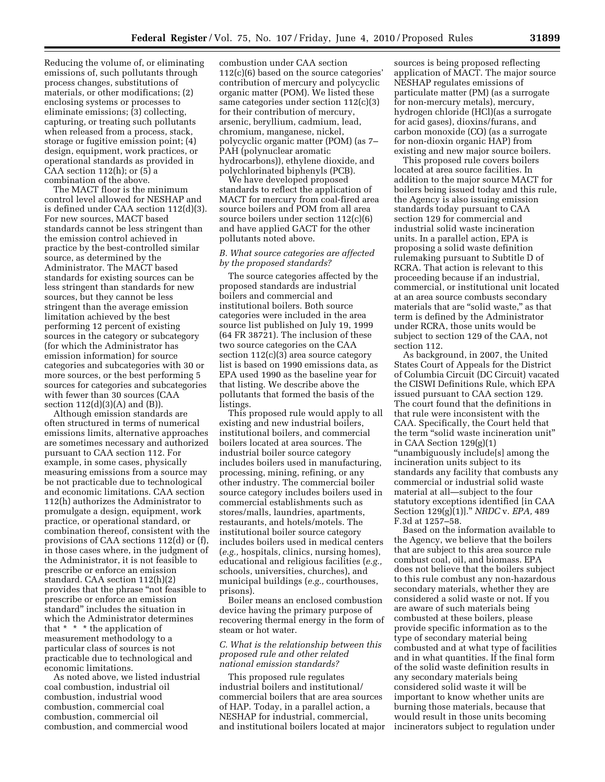Reducing the volume of, or eliminating emissions of, such pollutants through process changes, substitutions of materials, or other modifications; (2) enclosing systems or processes to eliminate emissions; (3) collecting, capturing, or treating such pollutants when released from a process, stack, storage or fugitive emission point; (4) design, equipment, work practices, or operational standards as provided in CAA section 112(h); or (5) a combination of the above.

The MACT floor is the minimum control level allowed for NESHAP and is defined under CAA section 112(d)(3). For new sources, MACT based standards cannot be less stringent than the emission control achieved in practice by the best-controlled similar source, as determined by the Administrator. The MACT based standards for existing sources can be less stringent than standards for new sources, but they cannot be less stringent than the average emission limitation achieved by the best performing 12 percent of existing sources in the category or subcategory (for which the Administrator has emission information) for source categories and subcategories with 30 or more sources, or the best performing 5 sources for categories and subcategories with fewer than 30 sources (CAA section  $112(d)(3)(A)$  and  $(B)$ ).

Although emission standards are often structured in terms of numerical emissions limits, alternative approaches are sometimes necessary and authorized pursuant to CAA section 112. For example, in some cases, physically measuring emissions from a source may be not practicable due to technological and economic limitations. CAA section 112(h) authorizes the Administrator to promulgate a design, equipment, work practice, or operational standard, or combination thereof, consistent with the provisions of CAA sections 112(d) or (f), in those cases where, in the judgment of the Administrator, it is not feasible to prescribe or enforce an emission standard. CAA section 112(h)(2) provides that the phrase ''not feasible to prescribe or enforce an emission standard'' includes the situation in which the Administrator determines that \* \* \* the application of measurement methodology to a particular class of sources is not practicable due to technological and economic limitations.

As noted above, we listed industrial coal combustion, industrial oil combustion, industrial wood combustion, commercial coal combustion, commercial oil combustion, and commercial wood

combustion under CAA section 112(c)(6) based on the source categories' contribution of mercury and polycyclic organic matter (POM). We listed these same categories under section 112(c)(3) for their contribution of mercury, arsenic, beryllium, cadmium, lead, chromium, manganese, nickel, polycyclic organic matter (POM) (as 7– PAH (polynuclear aromatic hydrocarbons)), ethylene dioxide, and polychlorinated biphenyls (PCB).

We have developed proposed standards to reflect the application of MACT for mercury from coal-fired area source boilers and POM from all area source boilers under section 112(c)(6) and have applied GACT for the other pollutants noted above.

# *B. What source categories are affected by the proposed standards?*

The source categories affected by the proposed standards are industrial boilers and commercial and institutional boilers. Both source categories were included in the area source list published on July 19, 1999 (64 FR 38721). The inclusion of these two source categories on the CAA section 112(c)(3) area source category list is based on 1990 emissions data, as EPA used 1990 as the baseline year for that listing. We describe above the pollutants that formed the basis of the listings.

This proposed rule would apply to all existing and new industrial boilers, institutional boilers, and commercial boilers located at area sources. The industrial boiler source category includes boilers used in manufacturing, processing, mining, refining, or any other industry. The commercial boiler source category includes boilers used in commercial establishments such as stores/malls, laundries, apartments, restaurants, and hotels/motels. The institutional boiler source category includes boilers used in medical centers (*e.g.,* hospitals, clinics, nursing homes), educational and religious facilities (*e.g.,*  schools, universities, churches), and municipal buildings (*e.g.,* courthouses, prisons).

Boiler means an enclosed combustion device having the primary purpose of recovering thermal energy in the form of steam or hot water.

# *C. What is the relationship between this proposed rule and other related national emission standards?*

This proposed rule regulates industrial boilers and institutional/ commercial boilers that are area sources of HAP. Today, in a parallel action, a NESHAP for industrial, commercial, and institutional boilers located at major

sources is being proposed reflecting application of MACT. The major source NESHAP regulates emissions of particulate matter (PM) (as a surrogate for non-mercury metals), mercury, hydrogen chloride (HCl)(as a surrogate for acid gases), dioxins/furans, and carbon monoxide (CO) (as a surrogate for non-dioxin organic HAP) from existing and new major source boilers.

This proposed rule covers boilers located at area source facilities. In addition to the major source MACT for boilers being issued today and this rule, the Agency is also issuing emission standards today pursuant to CAA section 129 for commercial and industrial solid waste incineration units. In a parallel action, EPA is proposing a solid waste definition rulemaking pursuant to Subtitle D of RCRA. That action is relevant to this proceeding because if an industrial, commercial, or institutional unit located at an area source combusts secondary materials that are "solid waste," as that term is defined by the Administrator under RCRA, those units would be subject to section 129 of the CAA, not section 112.

As background, in 2007, the United States Court of Appeals for the District of Columbia Circuit (DC Circuit) vacated the CISWI Definitions Rule, which EPA issued pursuant to CAA section 129. The court found that the definitions in that rule were inconsistent with the CAA. Specifically, the Court held that the term "solid waste incineration unit" in CAA Section 129(g)(1) ''unambiguously include[s] among the incineration units subject to its standards any facility that combusts any commercial or industrial solid waste material at all—subject to the four statutory exceptions identified [in CAA Section 129(g)(1)].'' *NRDC* v. *EPA,* 489 F.3d at 1257–58.

Based on the information available to the Agency, we believe that the boilers that are subject to this area source rule combust coal, oil, and biomass. EPA does not believe that the boilers subject to this rule combust any non-hazardous secondary materials, whether they are considered a solid waste or not. If you are aware of such materials being combusted at these boilers, please provide specific information as to the type of secondary material being combusted and at what type of facilities and in what quantities. If the final form of the solid waste definition results in any secondary materials being considered solid waste it will be important to know whether units are burning those materials, because that would result in those units becoming incinerators subject to regulation under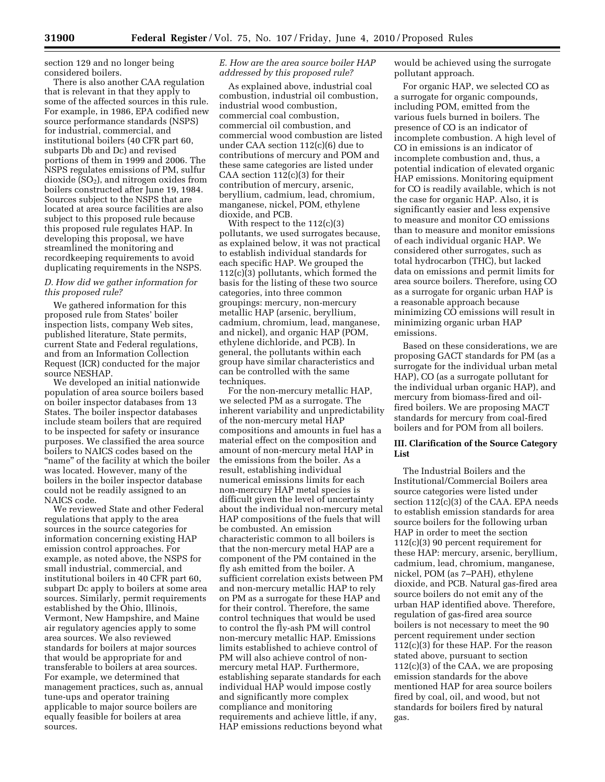section 129 and no longer being considered boilers.

There is also another CAA regulation that is relevant in that they apply to some of the affected sources in this rule. For example, in 1986, EPA codified new source performance standards (NSPS) for industrial, commercial, and institutional boilers (40 CFR part 60, subparts Db and Dc) and revised portions of them in 1999 and 2006. The NSPS regulates emissions of PM, sulfur dioxide  $(SO<sub>2</sub>)$ , and nitrogen oxides from boilers constructed after June 19, 1984. Sources subject to the NSPS that are located at area source facilities are also subject to this proposed rule because this proposed rule regulates HAP. In developing this proposal, we have streamlined the monitoring and recordkeeping requirements to avoid duplicating requirements in the NSPS.

# *D. How did we gather information for this proposed rule?*

We gathered information for this proposed rule from States' boiler inspection lists, company Web sites, published literature, State permits, current State and Federal regulations, and from an Information Collection Request (ICR) conducted for the major source NESHAP.

We developed an initial nationwide population of area source boilers based on boiler inspector databases from 13 States. The boiler inspector databases include steam boilers that are required to be inspected for safety or insurance purposes. We classified the area source boilers to NAICS codes based on the "name" of the facility at which the boiler was located. However, many of the boilers in the boiler inspector database could not be readily assigned to an NAICS code.

We reviewed State and other Federal regulations that apply to the area sources in the source categories for information concerning existing HAP emission control approaches. For example, as noted above, the NSPS for small industrial, commercial, and institutional boilers in 40 CFR part 60, subpart Dc apply to boilers at some area sources. Similarly, permit requirements established by the Ohio, Illinois, Vermont, New Hampshire, and Maine air regulatory agencies apply to some area sources. We also reviewed standards for boilers at major sources that would be appropriate for and transferable to boilers at area sources. For example, we determined that management practices, such as, annual tune-ups and operator training applicable to major source boilers are equally feasible for boilers at area sources.

### *E. How are the area source boiler HAP addressed by this proposed rule?*

As explained above, industrial coal combustion, industrial oil combustion, industrial wood combustion, commercial coal combustion, commercial oil combustion, and commercial wood combustion are listed under CAA section 112(c)(6) due to contributions of mercury and POM and these same categories are listed under CAA section  $112(c)(3)$  for their contribution of mercury, arsenic, beryllium, cadmium, lead, chromium, manganese, nickel, POM, ethylene dioxide, and PCB.

With respect to the 112(c)(3) pollutants, we used surrogates because, as explained below, it was not practical to establish individual standards for each specific HAP. We grouped the 112(c)(3) pollutants, which formed the basis for the listing of these two source categories, into three common groupings: mercury, non-mercury metallic HAP (arsenic, beryllium, cadmium, chromium, lead, manganese, and nickel), and organic HAP (POM, ethylene dichloride, and PCB). In general, the pollutants within each group have similar characteristics and can be controlled with the same techniques.

For the non-mercury metallic HAP, we selected PM as a surrogate. The inherent variability and unpredictability of the non-mercury metal HAP compositions and amounts in fuel has a material effect on the composition and amount of non-mercury metal HAP in the emissions from the boiler. As a result, establishing individual numerical emissions limits for each non-mercury HAP metal species is difficult given the level of uncertainty about the individual non-mercury metal HAP compositions of the fuels that will be combusted. An emission characteristic common to all boilers is that the non-mercury metal HAP are a component of the PM contained in the fly ash emitted from the boiler. A sufficient correlation exists between PM and non-mercury metallic HAP to rely on PM as a surrogate for these HAP and for their control. Therefore, the same control techniques that would be used to control the fly-ash PM will control non-mercury metallic HAP. Emissions limits established to achieve control of PM will also achieve control of nonmercury metal HAP. Furthermore, establishing separate standards for each individual HAP would impose costly and significantly more complex compliance and monitoring requirements and achieve little, if any, HAP emissions reductions beyond what

would be achieved using the surrogate pollutant approach.

For organic HAP, we selected CO as a surrogate for organic compounds, including POM, emitted from the various fuels burned in boilers. The presence of CO is an indicator of incomplete combustion. A high level of CO in emissions is an indicator of incomplete combustion and, thus, a potential indication of elevated organic HAP emissions. Monitoring equipment for CO is readily available, which is not the case for organic HAP. Also, it is significantly easier and less expensive to measure and monitor CO emissions than to measure and monitor emissions of each individual organic HAP. We considered other surrogates, such as total hydrocarbon (THC), but lacked data on emissions and permit limits for area source boilers. Therefore, using CO as a surrogate for organic urban HAP is a reasonable approach because minimizing CO emissions will result in minimizing organic urban HAP emissions.

Based on these considerations, we are proposing GACT standards for PM (as a surrogate for the individual urban metal HAP), CO (as a surrogate pollutant for the individual urban organic HAP), and mercury from biomass-fired and oilfired boilers. We are proposing MACT standards for mercury from coal-fired boilers and for POM from all boilers.

# **III. Clarification of the Source Category List**

The Industrial Boilers and the Institutional/Commercial Boilers area source categories were listed under section 112(c)(3) of the CAA. EPA needs to establish emission standards for area source boilers for the following urban HAP in order to meet the section 112(c)(3) 90 percent requirement for these HAP: mercury, arsenic, beryllium, cadmium, lead, chromium, manganese, nickel, POM (as 7–PAH), ethylene dioxide, and PCB. Natural gas-fired area source boilers do not emit any of the urban HAP identified above. Therefore, regulation of gas-fired area source boilers is not necessary to meet the 90 percent requirement under section 112(c)(3) for these HAP. For the reason stated above, pursuant to section 112(c)(3) of the CAA, we are proposing emission standards for the above mentioned HAP for area source boilers fired by coal, oil, and wood, but not standards for boilers fired by natural gas.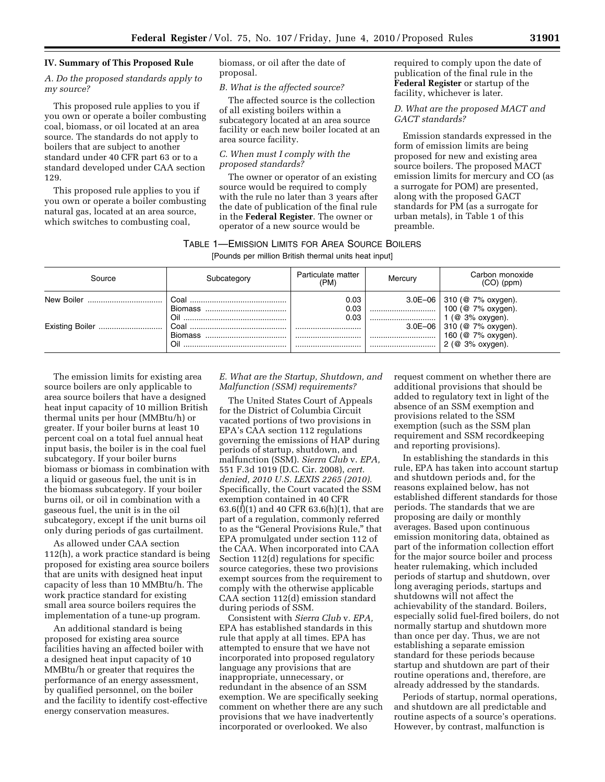# **IV. Summary of This Proposed Rule**

# *A. Do the proposed standards apply to my source?*

This proposed rule applies to you if you own or operate a boiler combusting coal, biomass, or oil located at an area source. The standards do not apply to boilers that are subject to another standard under 40 CFR part 63 or to a standard developed under CAA section 129.

This proposed rule applies to you if you own or operate a boiler combusting natural gas, located at an area source, which switches to combusting coal,

biomass, or oil after the date of proposal.

#### *B. What is the affected source?*

The affected source is the collection of all existing boilers within a subcategory located at an area source facility or each new boiler located at an area source facility.

# *C. When must I comply with the proposed standards?*

The owner or operator of an existing source would be required to comply with the rule no later than 3 years after the date of publication of the final rule in the **Federal Register**. The owner or operator of a new source would be

required to comply upon the date of publication of the final rule in the **Federal Register** or startup of the facility, whichever is later.

# *D. What are the proposed MACT and GACT standards?*

Emission standards expressed in the form of emission limits are being proposed for new and existing area source boilers. The proposed MACT emission limits for mercury and CO (as a surrogate for POM) are presented, along with the proposed GACT standards for PM (as a surrogate for urban metals), in Table 1 of this preamble.

| Table 1—Emission Limits for Area Source Boilers |  |  |
|-------------------------------------------------|--|--|
|                                                 |  |  |

[Pounds per million British thermal units heat input]

| Source     | Subcategory                                  | Particulate matter<br>(PM) | Mercurv           | Carbon monoxide<br>(CO) (ppm)                                                                                                            |
|------------|----------------------------------------------|----------------------------|-------------------|------------------------------------------------------------------------------------------------------------------------------------------|
| New Boiler | Coal<br><b>Biomass</b><br><br><b>Biomass</b> | 0.03<br>0.03<br>0.03       | <br><br>$3.0E-06$ | 3.0E-06 310 (@ 7% oxygen).<br>100 (@ 7% oxygen).<br>1 (@ 3% oxygen).<br>310 (@ 7% oxygen).<br>160 (@ 7% oxygen).<br>$2$ (@ $3%$ oxygen). |

The emission limits for existing area source boilers are only applicable to area source boilers that have a designed heat input capacity of 10 million British thermal units per hour (MMBtu/h) or greater. If your boiler burns at least 10 percent coal on a total fuel annual heat input basis, the boiler is in the coal fuel subcategory. If your boiler burns biomass or biomass in combination with a liquid or gaseous fuel, the unit is in the biomass subcategory. If your boiler burns oil, or oil in combination with a gaseous fuel, the unit is in the oil subcategory, except if the unit burns oil only during periods of gas curtailment.

As allowed under CAA section 112(h), a work practice standard is being proposed for existing area source boilers that are units with designed heat input capacity of less than 10 MMBtu/h. The work practice standard for existing small area source boilers requires the implementation of a tune-up program.

An additional standard is being proposed for existing area source facilities having an affected boiler with a designed heat input capacity of 10 MMBtu/h or greater that requires the performance of an energy assessment, by qualified personnel, on the boiler and the facility to identify cost-effective energy conservation measures.

#### *E. What are the Startup, Shutdown, and Malfunction (SSM) requirements?*

The United States Court of Appeals for the District of Columbia Circuit vacated portions of two provisions in EPA's CAA section 112 regulations governing the emissions of HAP during periods of startup, shutdown, and malfunction (SSM). *Sierra Club* v. *EPA,*  551 F.3d 1019 (D.C. Cir. 2008), *cert. denied, 2010 U.S. LEXIS 2265 (2010).*  Specifically, the Court vacated the SSM exemption contained in 40 CFR 63.6(f)(1) and 40 CFR 63.6(h)(1), that are part of a regulation, commonly referred to as the "General Provisions Rule," that EPA promulgated under section 112 of the CAA. When incorporated into CAA Section 112(d) regulations for specific source categories, these two provisions exempt sources from the requirement to comply with the otherwise applicable CAA section 112(d) emission standard during periods of SSM.

Consistent with *Sierra Club* v. *EPA,*  EPA has established standards in this rule that apply at all times. EPA has attempted to ensure that we have not incorporated into proposed regulatory language any provisions that are inappropriate, unnecessary, or redundant in the absence of an SSM exemption. We are specifically seeking comment on whether there are any such provisions that we have inadvertently incorporated or overlooked. We also

request comment on whether there are additional provisions that should be added to regulatory text in light of the absence of an SSM exemption and provisions related to the SSM exemption (such as the SSM plan requirement and SSM recordkeeping and reporting provisions).

In establishing the standards in this rule, EPA has taken into account startup and shutdown periods and, for the reasons explained below, has not established different standards for those periods. The standards that we are proposing are daily or monthly averages. Based upon continuous emission monitoring data, obtained as part of the information collection effort for the major source boiler and process heater rulemaking, which included periods of startup and shutdown, over long averaging periods, startups and shutdowns will not affect the achievability of the standard. Boilers, especially solid fuel-fired boilers, do not normally startup and shutdown more than once per day. Thus, we are not establishing a separate emission standard for these periods because startup and shutdown are part of their routine operations and, therefore, are already addressed by the standards.

Periods of startup, normal operations, and shutdown are all predictable and routine aspects of a source's operations. However, by contrast, malfunction is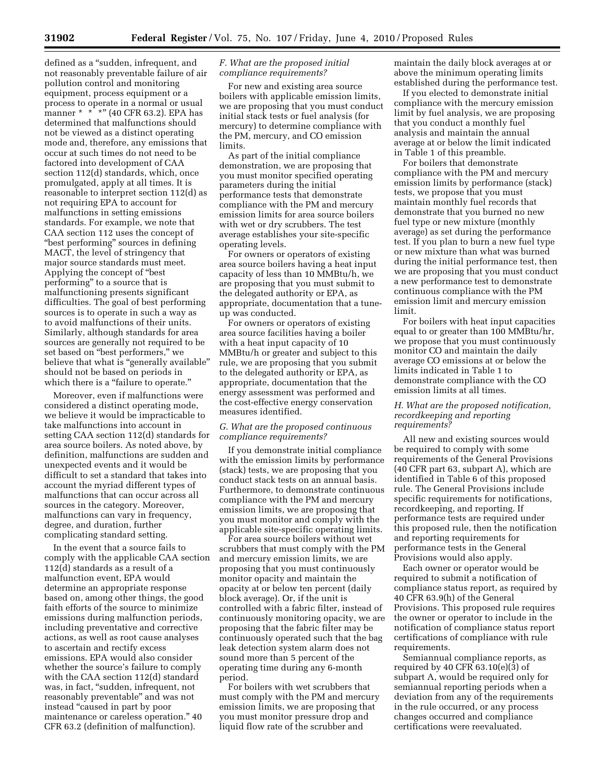defined as a ''sudden, infrequent, and not reasonably preventable failure of air pollution control and monitoring equipment, process equipment or a process to operate in a normal or usual manner \* \*<sup>-\*</sup> \*" (40 CFR 63.2). EPA has determined that malfunctions should not be viewed as a distinct operating mode and, therefore, any emissions that occur at such times do not need to be factored into development of CAA section 112(d) standards, which, once promulgated, apply at all times. It is reasonable to interpret section 112(d) as not requiring EPA to account for malfunctions in setting emissions standards. For example, we note that CAA section 112 uses the concept of ''best performing'' sources in defining MACT, the level of stringency that major source standards must meet. Applying the concept of ''best performing'' to a source that is malfunctioning presents significant difficulties. The goal of best performing sources is to operate in such a way as to avoid malfunctions of their units. Similarly, although standards for area sources are generally not required to be set based on ''best performers,'' we believe that what is "generally available" should not be based on periods in which there is a "failure to operate."

Moreover, even if malfunctions were considered a distinct operating mode, we believe it would be impracticable to take malfunctions into account in setting CAA section 112(d) standards for area source boilers. As noted above, by definition, malfunctions are sudden and unexpected events and it would be difficult to set a standard that takes into account the myriad different types of malfunctions that can occur across all sources in the category. Moreover, malfunctions can vary in frequency, degree, and duration, further complicating standard setting.

In the event that a source fails to comply with the applicable CAA section 112(d) standards as a result of a malfunction event, EPA would determine an appropriate response based on, among other things, the good faith efforts of the source to minimize emissions during malfunction periods, including preventative and corrective actions, as well as root cause analyses to ascertain and rectify excess emissions. EPA would also consider whether the source's failure to comply with the CAA section 112(d) standard was, in fact, ''sudden, infrequent, not reasonably preventable'' and was not instead ''caused in part by poor maintenance or careless operation.'' 40 CFR 63.2 (definition of malfunction).

# *F. What are the proposed initial compliance requirements?*

For new and existing area source boilers with applicable emission limits, we are proposing that you must conduct initial stack tests or fuel analysis (for mercury) to determine compliance with the PM, mercury, and CO emission limits.

As part of the initial compliance demonstration, we are proposing that you must monitor specified operating parameters during the initial performance tests that demonstrate compliance with the PM and mercury emission limits for area source boilers with wet or dry scrubbers. The test average establishes your site-specific operating levels.

For owners or operators of existing area source boilers having a heat input capacity of less than 10 MMBtu/h, we are proposing that you must submit to the delegated authority or EPA, as appropriate, documentation that a tuneup was conducted.

For owners or operators of existing area source facilities having a boiler with a heat input capacity of 10 MMBtu/h or greater and subject to this rule, we are proposing that you submit to the delegated authority or EPA, as appropriate, documentation that the energy assessment was performed and the cost-effective energy conservation measures identified.

# *G. What are the proposed continuous compliance requirements?*

If you demonstrate initial compliance with the emission limits by performance (stack) tests, we are proposing that you conduct stack tests on an annual basis. Furthermore, to demonstrate continuous compliance with the PM and mercury emission limits, we are proposing that you must monitor and comply with the applicable site-specific operating limits.

For area source boilers without wet scrubbers that must comply with the PM and mercury emission limits, we are proposing that you must continuously monitor opacity and maintain the opacity at or below ten percent (daily block average). Or, if the unit is controlled with a fabric filter, instead of continuously monitoring opacity, we are proposing that the fabric filter may be continuously operated such that the bag leak detection system alarm does not sound more than 5 percent of the operating time during any 6-month period.

For boilers with wet scrubbers that must comply with the PM and mercury emission limits, we are proposing that you must monitor pressure drop and liquid flow rate of the scrubber and

maintain the daily block averages at or above the minimum operating limits established during the performance test.

If you elected to demonstrate initial compliance with the mercury emission limit by fuel analysis, we are proposing that you conduct a monthly fuel analysis and maintain the annual average at or below the limit indicated in Table 1 of this preamble.

For boilers that demonstrate compliance with the PM and mercury emission limits by performance (stack) tests, we propose that you must maintain monthly fuel records that demonstrate that you burned no new fuel type or new mixture (monthly average) as set during the performance test. If you plan to burn a new fuel type or new mixture than what was burned during the initial performance test, then we are proposing that you must conduct a new performance test to demonstrate continuous compliance with the PM emission limit and mercury emission limit.

For boilers with heat input capacities equal to or greater than 100 MMBtu/hr, we propose that you must continuously monitor CO and maintain the daily average CO emissions at or below the limits indicated in Table 1 to demonstrate compliance with the CO emission limits at all times.

# *H. What are the proposed notification, recordkeeping and reporting requirements?*

All new and existing sources would be required to comply with some requirements of the General Provisions (40 CFR part 63, subpart A), which are identified in Table 6 of this proposed rule. The General Provisions include specific requirements for notifications, recordkeeping, and reporting. If performance tests are required under this proposed rule, then the notification and reporting requirements for performance tests in the General Provisions would also apply.

Each owner or operator would be required to submit a notification of compliance status report, as required by 40 CFR 63.9(h) of the General Provisions. This proposed rule requires the owner or operator to include in the notification of compliance status report certifications of compliance with rule requirements.

Semiannual compliance reports, as required by 40 CFR 63.10(e)(3) of subpart A, would be required only for semiannual reporting periods when a deviation from any of the requirements in the rule occurred, or any process changes occurred and compliance certifications were reevaluated.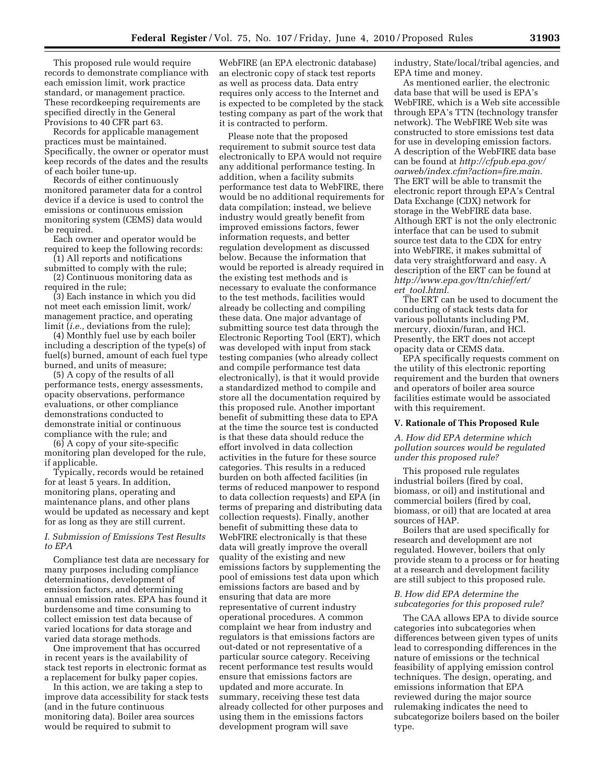This proposed rule would require records to demonstrate compliance with each emission limit, work practice standard, or management practice. These recordkeeping requirements are specified directly in the General Provisions to 40 CFR part 63.

Records for applicable management practices must be maintained. Specifically, the owner or operator must keep records of the dates and the results of each boiler tune-up.

Records of either continuously monitored parameter data for a control device if a device is used to control the emissions or continuous emission monitoring system (CEMS) data would be required.

Each owner and operator would be required to keep the following records:

(1) All reports and notifications submitted to comply with the rule;

(2) Continuous monitoring data as required in the rule;

(3) Each instance in which you did not meet each emission limit, work/ management practice, and operating limit (*i.e.,* deviations from the rule);

(4) Monthly fuel use by each boiler including a description of the type(s) of fuel(s) burned, amount of each fuel type burned, and units of measure;

(5) A copy of the results of all performance tests, energy assessments, opacity observations, performance evaluations, or other compliance demonstrations conducted to demonstrate initial or continuous compliance with the rule; and

(6) A copy of your site-specific monitoring plan developed for the rule, if applicable.

Typically, records would be retained for at least 5 years. In addition, monitoring plans, operating and maintenance plans, and other plans would be updated as necessary and kept for as long as they are still current.

*I. Submission of Emissions Test Results to EPA* 

Compliance test data are necessary for many purposes including compliance determinations, development of emission factors, and determining annual emission rates. EPA has found it burdensome and time consuming to collect emission test data because of varied locations for data storage and varied data storage methods.

One improvement that has occurred in recent years is the availability of stack test reports in electronic format as a replacement for bulky paper copies.

In this action, we are taking a step to improve data accessibility for stack tests (and in the future continuous monitoring data). Boiler area sources would be required to submit to

WebFIRE (an EPA electronic database) an electronic copy of stack test reports as well as process data. Data entry requires only access to the Internet and is expected to be completed by the stack testing company as part of the work that it is contracted to perform.

Please note that the proposed requirement to submit source test data electronically to EPA would not require any additional performance testing. In addition, when a facility submits performance test data to WebFIRE, there would be no additional requirements for data compilation; instead, we believe industry would greatly benefit from improved emissions factors, fewer information requests, and better regulation development as discussed below. Because the information that would be reported is already required in the existing test methods and is necessary to evaluate the conformance to the test methods, facilities would already be collecting and compiling these data. One major advantage of submitting source test data through the Electronic Reporting Tool (ERT), which was developed with input from stack testing companies (who already collect and compile performance test data electronically), is that it would provide a standardized method to compile and store all the documentation required by this proposed rule. Another important benefit of submitting these data to EPA at the time the source test is conducted is that these data should reduce the effort involved in data collection activities in the future for these source categories. This results in a reduced burden on both affected facilities (in terms of reduced manpower to respond to data collection requests) and EPA (in terms of preparing and distributing data collection requests). Finally, another benefit of submitting these data to WebFIRE electronically is that these data will greatly improve the overall quality of the existing and new emissions factors by supplementing the pool of emissions test data upon which emissions factors are based and by ensuring that data are more representative of current industry operational procedures. A common complaint we hear from industry and regulators is that emissions factors are out-dated or not representative of a particular source category. Receiving recent performance test results would ensure that emissions factors are updated and more accurate. In summary, receiving these test data already collected for other purposes and using them in the emissions factors development program will save

industry, State/local/tribal agencies, and EPA time and money.

As mentioned earlier, the electronic data base that will be used is EPA's WebFIRE, which is a Web site accessible through EPA's TTN (technology transfer network). The WebFIRE Web site was constructed to store emissions test data for use in developing emission factors. A description of the WebFIRE data base can be found at *http://cfpub.epa.gov/ oarweb/index.cfm?action=fire.main.*  The ERT will be able to transmit the electronic report through EPA's Central Data Exchange (CDX) network for storage in the WebFIRE data base. Although ERT is not the only electronic interface that can be used to submit source test data to the CDX for entry into WebFIRE, it makes submittal of data very straightforward and easy. A description of the ERT can be found at *http://www.epa.gov/ttn/chief/ert/ ert*\_*tool.html.* 

The ERT can be used to document the conducting of stack tests data for various pollutants including PM, mercury, dioxin/furan, and HCl. Presently, the ERT does not accept opacity data or CEMS data.

EPA specifically requests comment on the utility of this electronic reporting requirement and the burden that owners and operators of boiler area source facilities estimate would be associated with this requirement.

### **V. Rationale of This Proposed Rule**

*A. How did EPA determine which pollution sources would be regulated under this proposed rule?* 

This proposed rule regulates industrial boilers (fired by coal, biomass, or oil) and institutional and commercial boilers (fired by coal, biomass, or oil) that are located at area sources of HAP.

Boilers that are used specifically for research and development are not regulated. However, boilers that only provide steam to a process or for heating at a research and development facility are still subject to this proposed rule.

#### *B. How did EPA determine the subcategories for this proposed rule?*

The CAA allows EPA to divide source categories into subcategories when differences between given types of units lead to corresponding differences in the nature of emissions or the technical feasibility of applying emission control techniques. The design, operating, and emissions information that EPA reviewed during the major source rulemaking indicates the need to subcategorize boilers based on the boiler type.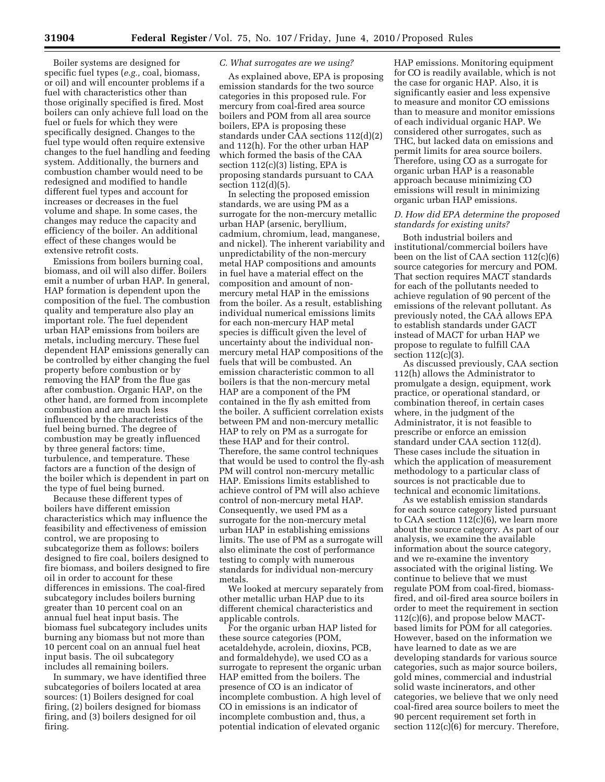Boiler systems are designed for specific fuel types (*e.g.,* coal, biomass, or oil) and will encounter problems if a fuel with characteristics other than those originally specified is fired. Most boilers can only achieve full load on the fuel or fuels for which they were specifically designed. Changes to the fuel type would often require extensive changes to the fuel handling and feeding system. Additionally, the burners and combustion chamber would need to be redesigned and modified to handle different fuel types and account for increases or decreases in the fuel volume and shape. In some cases, the changes may reduce the capacity and efficiency of the boiler. An additional effect of these changes would be extensive retrofit costs.

Emissions from boilers burning coal, biomass, and oil will also differ. Boilers emit a number of urban HAP. In general, HAP formation is dependent upon the composition of the fuel. The combustion quality and temperature also play an important role. The fuel dependent urban HAP emissions from boilers are metals, including mercury. These fuel dependent HAP emissions generally can be controlled by either changing the fuel property before combustion or by removing the HAP from the flue gas after combustion. Organic HAP, on the other hand, are formed from incomplete combustion and are much less influenced by the characteristics of the fuel being burned. The degree of combustion may be greatly influenced by three general factors: time, turbulence, and temperature. These factors are a function of the design of the boiler which is dependent in part on the type of fuel being burned.

Because these different types of boilers have different emission characteristics which may influence the feasibility and effectiveness of emission control, we are proposing to subcategorize them as follows: boilers designed to fire coal, boilers designed to fire biomass, and boilers designed to fire oil in order to account for these differences in emissions. The coal-fired subcategory includes boilers burning greater than 10 percent coal on an annual fuel heat input basis. The biomass fuel subcategory includes units burning any biomass but not more than 10 percent coal on an annual fuel heat input basis. The oil subcategory includes all remaining boilers.

In summary, we have identified three subcategories of boilers located at area sources: (1) Boilers designed for coal firing, (2) boilers designed for biomass firing, and (3) boilers designed for oil firing.

#### *C. What surrogates are we using?*

As explained above, EPA is proposing emission standards for the two source categories in this proposed rule. For mercury from coal-fired area source boilers and POM from all area source boilers, EPA is proposing these standards under CAA sections 112(d)(2) and 112(h). For the other urban HAP which formed the basis of the CAA section 112(c)(3) listing, EPA is proposing standards pursuant to CAA section 112(d)(5).

In selecting the proposed emission standards, we are using PM as a surrogate for the non-mercury metallic urban HAP (arsenic, beryllium, cadmium, chromium, lead, manganese, and nickel). The inherent variability and unpredictability of the non-mercury metal HAP compositions and amounts in fuel have a material effect on the composition and amount of nonmercury metal HAP in the emissions from the boiler. As a result, establishing individual numerical emissions limits for each non-mercury HAP metal species is difficult given the level of uncertainty about the individual nonmercury metal HAP compositions of the fuels that will be combusted. An emission characteristic common to all boilers is that the non-mercury metal HAP are a component of the PM contained in the fly ash emitted from the boiler. A sufficient correlation exists between PM and non-mercury metallic HAP to rely on PM as a surrogate for these HAP and for their control. Therefore, the same control techniques that would be used to control the fly-ash PM will control non-mercury metallic HAP. Emissions limits established to achieve control of PM will also achieve control of non-mercury metal HAP. Consequently, we used PM as a surrogate for the non-mercury metal urban HAP in establishing emissions limits. The use of PM as a surrogate will also eliminate the cost of performance testing to comply with numerous standards for individual non-mercury metals.

We looked at mercury separately from other metallic urban HAP due to its different chemical characteristics and applicable controls.

For the organic urban HAP listed for these source categories (POM, acetaldehyde, acrolein, dioxins, PCB, and formaldehyde), we used CO as a surrogate to represent the organic urban HAP emitted from the boilers. The presence of CO is an indicator of incomplete combustion. A high level of CO in emissions is an indicator of incomplete combustion and, thus, a potential indication of elevated organic

HAP emissions. Monitoring equipment for CO is readily available, which is not the case for organic HAP. Also, it is significantly easier and less expensive to measure and monitor CO emissions than to measure and monitor emissions of each individual organic HAP. We considered other surrogates, such as THC, but lacked data on emissions and permit limits for area source boilers. Therefore, using CO as a surrogate for organic urban HAP is a reasonable approach because minimizing CO emissions will result in minimizing organic urban HAP emissions.

# *D. How did EPA determine the proposed standards for existing units?*

Both industrial boilers and institutional/commercial boilers have been on the list of CAA section 112(c)(6) source categories for mercury and POM. That section requires MACT standards for each of the pollutants needed to achieve regulation of 90 percent of the emissions of the relevant pollutant. As previously noted, the CAA allows EPA to establish standards under GACT instead of MACT for urban HAP we propose to regulate to fulfill CAA section 112(c)(3).

As discussed previously, CAA section 112(h) allows the Administrator to promulgate a design, equipment, work practice, or operational standard, or combination thereof, in certain cases where, in the judgment of the Administrator, it is not feasible to prescribe or enforce an emission standard under CAA section 112(d). These cases include the situation in which the application of measurement methodology to a particular class of sources is not practicable due to technical and economic limitations.

As we establish emission standards for each source category listed pursuant to CAA section 112(c)(6), we learn more about the source category. As part of our analysis, we examine the available information about the source category, and we re-examine the inventory associated with the original listing. We continue to believe that we must regulate POM from coal-fired, biomassfired, and oil-fired area source boilers in order to meet the requirement in section 112(c)(6), and propose below MACTbased limits for POM for all categories. However, based on the information we have learned to date as we are developing standards for various source categories, such as major source boilers, gold mines, commercial and industrial solid waste incinerators, and other categories, we believe that we only need coal-fired area source boilers to meet the 90 percent requirement set forth in section  $112(c)(6)$  for mercury. Therefore,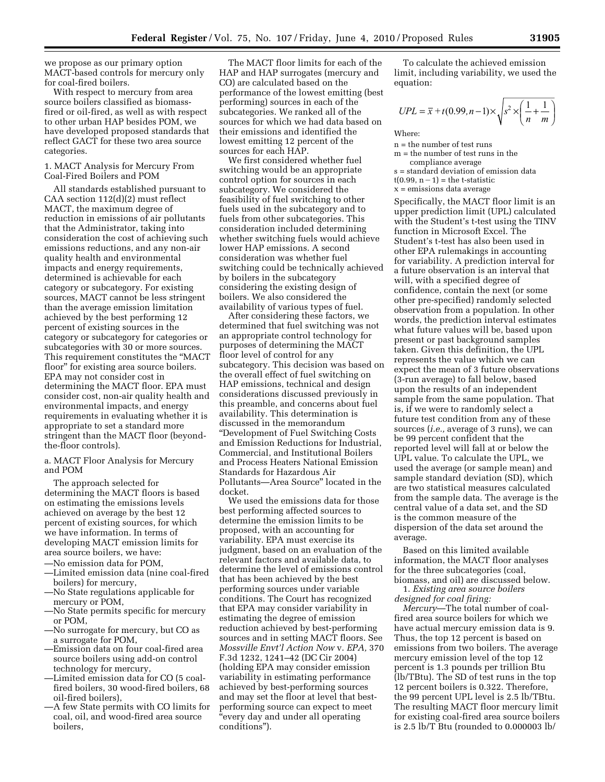we propose as our primary option MACT-based controls for mercury only for coal-fired boilers.

With respect to mercury from area source boilers classified as biomassfired or oil-fired, as well as with respect to other urban HAP besides POM, we have developed proposed standards that reflect GACT for these two area source categories.

#### 1. MACT Analysis for Mercury From Coal-Fired Boilers and POM

All standards established pursuant to CAA section 112(d)(2) must reflect MACT, the maximum degree of reduction in emissions of air pollutants that the Administrator, taking into consideration the cost of achieving such emissions reductions, and any non-air quality health and environmental impacts and energy requirements, determined is achievable for each category or subcategory. For existing sources, MACT cannot be less stringent than the average emission limitation achieved by the best performing 12 percent of existing sources in the category or subcategory for categories or subcategories with 30 or more sources. This requirement constitutes the ''MACT floor'' for existing area source boilers. EPA may not consider cost in determining the MACT floor. EPA must consider cost, non-air quality health and environmental impacts, and energy requirements in evaluating whether it is appropriate to set a standard more stringent than the MACT floor (beyondthe-floor controls).

a. MACT Floor Analysis for Mercury and POM

The approach selected for determining the MACT floors is based on estimating the emissions levels achieved on average by the best 12 percent of existing sources, for which we have information. In terms of developing MACT emission limits for area source boilers, we have:

- —No emission data for POM,
- —Limited emission data (nine coal-fired boilers) for mercury,
- —No State regulations applicable for mercury or POM,
- —No State permits specific for mercury or POM,
- —No surrogate for mercury, but CO as a surrogate for POM,
- —Emission data on four coal-fired area source boilers using add-on control technology for mercury,
- —Limited emission data for CO (5 coalfired boilers, 30 wood-fired boilers, 68 oil-fired boilers),
- —A few State permits with CO limits for coal, oil, and wood-fired area source boilers,

The MACT floor limits for each of the HAP and HAP surrogates (mercury and CO) are calculated based on the performance of the lowest emitting (best performing) sources in each of the subcategories. We ranked all of the sources for which we had data based on their emissions and identified the lowest emitting 12 percent of the sources for each HAP.

We first considered whether fuel switching would be an appropriate control option for sources in each subcategory. We considered the feasibility of fuel switching to other fuels used in the subcategory and to fuels from other subcategories. This consideration included determining whether switching fuels would achieve lower HAP emissions. A second consideration was whether fuel switching could be technically achieved by boilers in the subcategory considering the existing design of boilers. We also considered the availability of various types of fuel.

After considering these factors, we determined that fuel switching was not an appropriate control technology for purposes of determining the MACT floor level of control for any subcategory. This decision was based on the overall effect of fuel switching on HAP emissions, technical and design considerations discussed previously in this preamble, and concerns about fuel availability. This determination is discussed in the memorandum ''Development of Fuel Switching Costs and Emission Reductions for Industrial, Commercial, and Institutional Boilers and Process Heaters National Emission Standards for Hazardous Air Pollutants—Area Source'' located in the docket.

We used the emissions data for those best performing affected sources to determine the emission limits to be proposed, with an accounting for variability. EPA must exercise its judgment, based on an evaluation of the relevant factors and available data, to determine the level of emissions control that has been achieved by the best performing sources under variable conditions. The Court has recognized that EPA may consider variability in estimating the degree of emission reduction achieved by best-performing sources and in setting MACT floors. See *Mossville Envt'l Action Now* v. *EPA,* 370 F.3d 1232, 1241–42 (DC Cir 2004) (holding EPA may consider emission variability in estimating performance achieved by best-performing sources and may set the floor at level that bestperforming source can expect to meet ''every day and under all operating conditions'').

To calculate the achieved emission limit, including variability, we used the equation:

$$
UPL = \overline{x} + t(0.99, n-1) \times \sqrt{s^2 \times \left(\frac{1}{n} + \frac{1}{m}\right)}
$$

Where:

n = the number of test runs m = the number of test runs in the compliance average

s = standard deviation of emission data  $t(0.99, n-1)$  = the t-statistic x = emissions data average

Specifically, the MACT floor limit is an upper prediction limit (UPL) calculated with the Student's t-test using the TINV function in Microsoft Excel. The Student's t-test has also been used in other EPA rulemakings in accounting for variability. A prediction interval for a future observation is an interval that will, with a specified degree of confidence, contain the next (or some other pre-specified) randomly selected observation from a population. In other words, the prediction interval estimates what future values will be, based upon present or past background samples taken. Given this definition, the UPL represents the value which we can expect the mean of 3 future observations (3-run average) to fall below, based upon the results of an independent sample from the same population. That is, if we were to randomly select a future test condition from any of these sources (*i.e.,* average of 3 runs), we can be 99 percent confident that the reported level will fall at or below the UPL value. To calculate the UPL, we used the average (or sample mean) and sample standard deviation (SD), which are two statistical measures calculated from the sample data. The average is the central value of a data set, and the SD is the common measure of the dispersion of the data set around the average.

Based on this limited available information, the MACT floor analyses for the three subcategories (coal, biomass, and oil) are discussed below. 1. *Existing area source boilers* 

*designed for coal firing:* 

*Mercury*—The total number of coalfired area source boilers for which we have actual mercury emission data is 9. Thus, the top 12 percent is based on emissions from two boilers. The average mercury emission level of the top 12 percent is 1.3 pounds per trillion Btu (lb/TBtu). The SD of test runs in the top 12 percent boilers is 0.322. Therefore, the 99 percent UPL level is 2.5 lb/TBtu. The resulting MACT floor mercury limit for existing coal-fired area source boilers is 2.5 lb/T Btu (rounded to 0.000003 lb/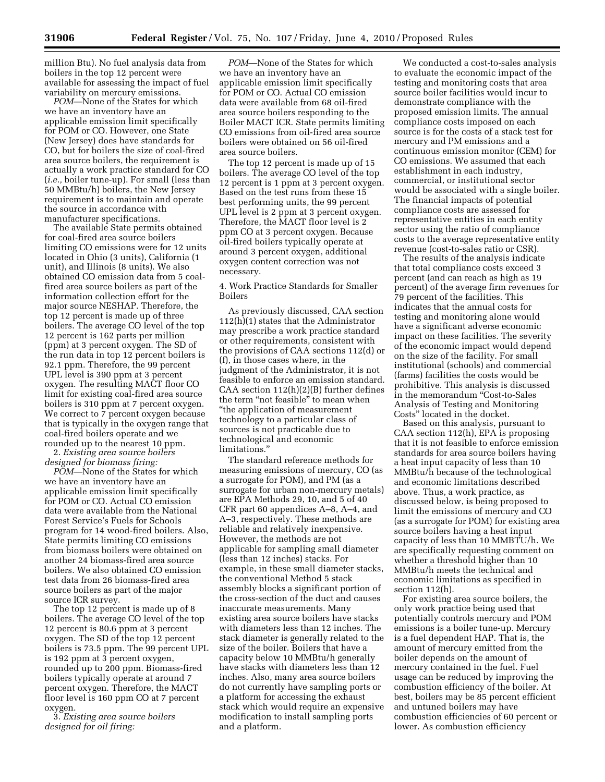million Btu). No fuel analysis data from boilers in the top 12 percent were available for assessing the impact of fuel variability on mercury emissions.

*POM*—None of the States for which we have an inventory have an applicable emission limit specifically for POM or CO. However, one State (New Jersey) does have standards for CO, but for boilers the size of coal-fired area source boilers, the requirement is actually a work practice standard for CO (*i.e.,* boiler tune-up). For small (less than 50 MMBtu/h) boilers, the New Jersey requirement is to maintain and operate the source in accordance with manufacturer specifications.

The available State permits obtained for coal-fired area source boilers limiting CO emissions were for 12 units located in Ohio (3 units), California (1 unit), and Illinois (8 units). We also obtained CO emission data from 5 coalfired area source boilers as part of the information collection effort for the major source NESHAP. Therefore, the top 12 percent is made up of three boilers. The average CO level of the top 12 percent is 162 parts per million (ppm) at 3 percent oxygen. The SD of the run data in top 12 percent boilers is 92.1 ppm. Therefore, the 99 percent UPL level is 390 ppm at 3 percent oxygen. The resulting MACT floor CO limit for existing coal-fired area source boilers is 310 ppm at 7 percent oxygen. We correct to 7 percent oxygen because that is typically in the oxygen range that coal-fired boilers operate and we rounded up to the nearest 10 ppm.

2. *Existing area source boilers designed for biomass firing:* 

*POM*—None of the States for which we have an inventory have an applicable emission limit specifically for POM or CO. Actual CO emission data were available from the National Forest Service's Fuels for Schools program for 14 wood-fired boilers. Also, State permits limiting CO emissions from biomass boilers were obtained on another 24 biomass-fired area source boilers. We also obtained CO emission test data from 26 biomass-fired area source boilers as part of the major source ICR survey.

The top 12 percent is made up of 8 boilers. The average CO level of the top 12 percent is 80.6 ppm at 3 percent oxygen. The SD of the top 12 percent boilers is 73.5 ppm. The 99 percent UPL is 192 ppm at 3 percent oxygen, rounded up to 200 ppm. Biomass-fired boilers typically operate at around 7 percent oxygen. Therefore, the MACT floor level is 160 ppm CO at 7 percent oxygen.

3. *Existing area source boilers designed for oil firing:* 

*POM*—None of the States for which we have an inventory have an applicable emission limit specifically for POM or CO. Actual CO emission data were available from 68 oil-fired area source boilers responding to the Boiler MACT ICR. State permits limiting CO emissions from oil-fired area source boilers were obtained on 56 oil-fired area source boilers.

The top 12 percent is made up of 15 boilers. The average CO level of the top 12 percent is 1 ppm at 3 percent oxygen. Based on the test runs from these 15 best performing units, the 99 percent UPL level is 2 ppm at 3 percent oxygen. Therefore, the MACT floor level is 2 ppm CO at 3 percent oxygen. Because oil-fired boilers typically operate at around 3 percent oxygen, additional oxygen content correction was not necessary.

4. Work Practice Standards for Smaller Boilers

As previously discussed, CAA section 112(h)(1) states that the Administrator may prescribe a work practice standard or other requirements, consistent with the provisions of CAA sections 112(d) or (f), in those cases where, in the judgment of the Administrator, it is not feasible to enforce an emission standard. CAA section 112(h)(2)(B) further defines the term ''not feasible'' to mean when ''the application of measurement technology to a particular class of sources is not practicable due to technological and economic limitations.''

The standard reference methods for measuring emissions of mercury, CO (as a surrogate for POM), and PM (as a surrogate for urban non-mercury metals) are EPA Methods 29, 10, and 5 of 40 CFR part 60 appendices A–8, A–4, and A–3, respectively. These methods are reliable and relatively inexpensive. However, the methods are not applicable for sampling small diameter (less than 12 inches) stacks. For example, in these small diameter stacks, the conventional Method 5 stack assembly blocks a significant portion of the cross-section of the duct and causes inaccurate measurements. Many existing area source boilers have stacks with diameters less than 12 inches. The stack diameter is generally related to the size of the boiler. Boilers that have a capacity below 10 MMBtu/h generally have stacks with diameters less than 12 inches. Also, many area source boilers do not currently have sampling ports or a platform for accessing the exhaust stack which would require an expensive modification to install sampling ports and a platform.

We conducted a cost-to-sales analysis to evaluate the economic impact of the testing and monitoring costs that area source boiler facilities would incur to demonstrate compliance with the proposed emission limits. The annual compliance costs imposed on each source is for the costs of a stack test for mercury and PM emissions and a continuous emission monitor (CEM) for CO emissions. We assumed that each establishment in each industry, commercial, or institutional sector would be associated with a single boiler. The financial impacts of potential compliance costs are assessed for representative entities in each entity sector using the ratio of compliance costs to the average representative entity revenue (cost-to-sales ratio or CSR).

The results of the analysis indicate that total compliance costs exceed 3 percent (and can reach as high as 19 percent) of the average firm revenues for 79 percent of the facilities. This indicates that the annual costs for testing and monitoring alone would have a significant adverse economic impact on these facilities. The severity of the economic impact would depend on the size of the facility. For small institutional (schools) and commercial (farms) facilities the costs would be prohibitive. This analysis is discussed in the memorandum "Cost-to-Sales Analysis of Testing and Monitoring Costs'' located in the docket.

Based on this analysis, pursuant to CAA section 112(h), EPA is proposing that it is not feasible to enforce emission standards for area source boilers having a heat input capacity of less than 10 MMBtu/h because of the technological and economic limitations described above. Thus, a work practice, as discussed below, is being proposed to limit the emissions of mercury and CO (as a surrogate for POM) for existing area source boilers having a heat input capacity of less than 10 MMBTU/h. We are specifically requesting comment on whether a threshold higher than 10 MMBtu/h meets the technical and economic limitations as specified in section 112(h).

For existing area source boilers, the only work practice being used that potentially controls mercury and POM emissions is a boiler tune-up. Mercury is a fuel dependent HAP. That is, the amount of mercury emitted from the boiler depends on the amount of mercury contained in the fuel. Fuel usage can be reduced by improving the combustion efficiency of the boiler. At best, boilers may be 85 percent efficient and untuned boilers may have combustion efficiencies of 60 percent or lower. As combustion efficiency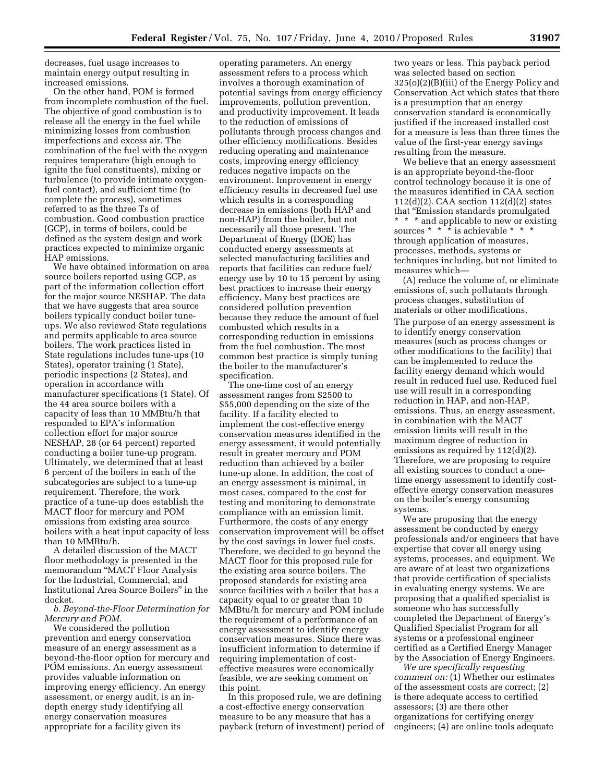decreases, fuel usage increases to maintain energy output resulting in increased emissions.

On the other hand, POM is formed from incomplete combustion of the fuel. The objective of good combustion is to release all the energy in the fuel while minimizing losses from combustion imperfections and excess air. The combination of the fuel with the oxygen requires temperature (high enough to ignite the fuel constituents), mixing or turbulence (to provide intimate oxygenfuel contact), and sufficient time (to complete the process), sometimes referred to as the three Ts of combustion. Good combustion practice (GCP), in terms of boilers, could be defined as the system design and work practices expected to minimize organic HAP emissions.

We have obtained information on area source boilers reported using GCP, as part of the information collection effort for the major source NESHAP. The data that we have suggests that area source boilers typically conduct boiler tuneups. We also reviewed State regulations and permits applicable to area source boilers. The work practices listed in State regulations includes tune-ups (10 States), operator training (1 State), periodic inspections (2 States), and operation in accordance with manufacturer specifications (1 State). Of the 44 area source boilers with a capacity of less than 10 MMBtu/h that responded to EPA's information collection effort for major source NESHAP, 28 (or 64 percent) reported conducting a boiler tune-up program. Ultimately, we determined that at least 6 percent of the boilers in each of the subcategories are subject to a tune-up requirement. Therefore, the work practice of a tune-up does establish the MACT floor for mercury and POM emissions from existing area source boilers with a heat input capacity of less than 10 MMBtu/h.

A detailed discussion of the MACT floor methodology is presented in the memorandum ''MACT Floor Analysis for the Industrial, Commercial, and Institutional Area Source Boilers'' in the docket.

*b. Beyond-the-Floor Determination for Mercury and POM.* 

We considered the pollution prevention and energy conservation measure of an energy assessment as a beyond-the-floor option for mercury and POM emissions. An energy assessment provides valuable information on improving energy efficiency. An energy assessment, or energy audit, is an indepth energy study identifying all energy conservation measures appropriate for a facility given its

operating parameters. An energy assessment refers to a process which involves a thorough examination of potential savings from energy efficiency improvements, pollution prevention, and productivity improvement. It leads to the reduction of emissions of pollutants through process changes and other efficiency modifications. Besides reducing operating and maintenance costs, improving energy efficiency reduces negative impacts on the environment. Improvement in energy efficiency results in decreased fuel use which results in a corresponding decrease in emissions (both HAP and non-HAP) from the boiler, but not necessarily all those present. The Department of Energy (DOE) has conducted energy assessments at selected manufacturing facilities and reports that facilities can reduce fuel/ energy use by 10 to 15 percent by using best practices to increase their energy efficiency. Many best practices are considered pollution prevention because they reduce the amount of fuel combusted which results in a corresponding reduction in emissions from the fuel combustion. The most common best practice is simply tuning the boiler to the manufacturer's specification.

The one-time cost of an energy assessment ranges from \$2500 to \$55,000 depending on the size of the facility. If a facility elected to implement the cost-effective energy conservation measures identified in the energy assessment, it would potentially result in greater mercury and POM reduction than achieved by a boiler tune-up alone. In addition, the cost of an energy assessment is minimal, in most cases, compared to the cost for testing and monitoring to demonstrate compliance with an emission limit. Furthermore, the costs of any energy conservation improvement will be offset by the cost savings in lower fuel costs. Therefore, we decided to go beyond the MACT floor for this proposed rule for the existing area source boilers. The proposed standards for existing area source facilities with a boiler that has a capacity equal to or greater than 10 MMBtu/h for mercury and POM include the requirement of a performance of an energy assessment to identify energy conservation measures. Since there was insufficient information to determine if requiring implementation of costeffective measures were economically feasible, we are seeking comment on this point.

In this proposed rule, we are defining a cost-effective energy conservation measure to be any measure that has a payback (return of investment) period of

two years or less. This payback period was selected based on section 325(o)(2)(B)(iii) of the Energy Policy and Conservation Act which states that there is a presumption that an energy conservation standard is economically justified if the increased installed cost for a measure is less than three times the value of the first-year energy savings resulting from the measure.

We believe that an energy assessment is an appropriate beyond-the-floor control technology because it is one of the measures identified in CAA section 112(d)(2). CAA section 112(d)(2) states that ''Emission standards promulgated \* \* \* and applicable to new or existing sources \* \* \* is achievable \* \* \* through application of measures, processes, methods, systems or techniques including, but not limited to measures which—

(A) reduce the volume of, or eliminate emissions of, such pollutants through process changes, substitution of materials or other modifications, The purpose of an energy assessment is to identify energy conservation measures (such as process changes or other modifications to the facility) that can be implemented to reduce the facility energy demand which would result in reduced fuel use. Reduced fuel use will result in a corresponding reduction in HAP, and non-HAP, emissions. Thus, an energy assessment, in combination with the MACT emission limits will result in the maximum degree of reduction in emissions as required by 112(d)(2). Therefore, we are proposing to require all existing sources to conduct a onetime energy assessment to identify costeffective energy conservation measures on the boiler's energy consuming systems.

We are proposing that the energy assessment be conducted by energy professionals and/or engineers that have expertise that cover all energy using systems, processes, and equipment. We are aware of at least two organizations that provide certification of specialists in evaluating energy systems. We are proposing that a qualified specialist is someone who has successfully completed the Department of Energy's Qualified Specialist Program for all systems or a professional engineer certified as a Certified Energy Manager by the Association of Energy Engineers.

*We are specifically requesting comment on:* (1) Whether our estimates of the assessment costs are correct; (2) is there adequate access to certified assessors; (3) are there other organizations for certifying energy engineers; (4) are online tools adequate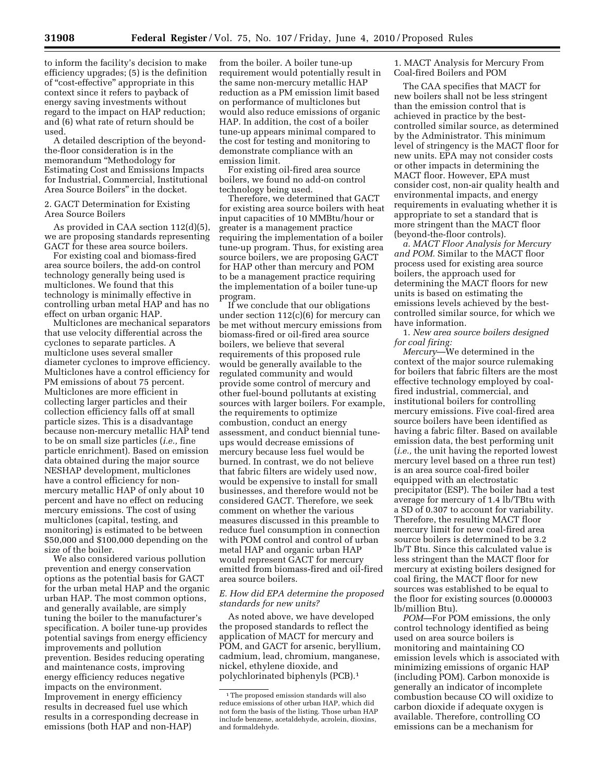to inform the facility's decision to make efficiency upgrades; (5) is the definition of ''cost-effective'' appropriate in this context since it refers to payback of energy saving investments without regard to the impact on HAP reduction; and (6) what rate of return should be used.

A detailed description of the beyondthe-floor consideration is in the memorandum ''Methodology for Estimating Cost and Emissions Impacts for Industrial, Commercial, Institutional Area Source Boilers'' in the docket.

2. GACT Determination for Existing Area Source Boilers

As provided in CAA section 112(d)(5), we are proposing standards representing GACT for these area source boilers.

For existing coal and biomass-fired area source boilers, the add-on control technology generally being used is multiclones. We found that this technology is minimally effective in controlling urban metal HAP and has no effect on urban organic HAP.

Multiclones are mechanical separators that use velocity differential across the cyclones to separate particles. A multiclone uses several smaller diameter cyclones to improve efficiency. Multiclones have a control efficiency for PM emissions of about 75 percent. Multiclones are more efficient in collecting larger particles and their collection efficiency falls off at small particle sizes. This is a disadvantage because non-mercury metallic HAP tend to be on small size particles (*i.e.,* fine particle enrichment). Based on emission data obtained during the major source NESHAP development, multiclones have a control efficiency for nonmercury metallic HAP of only about 10 percent and have no effect on reducing mercury emissions. The cost of using multiclones (capital, testing, and monitoring) is estimated to be between \$50,000 and \$100,000 depending on the size of the boiler.

We also considered various pollution prevention and energy conservation options as the potential basis for GACT for the urban metal HAP and the organic urban HAP. The most common options, and generally available, are simply tuning the boiler to the manufacturer's specification. A boiler tune-up provides potential savings from energy efficiency improvements and pollution prevention. Besides reducing operating and maintenance costs, improving energy efficiency reduces negative impacts on the environment. Improvement in energy efficiency results in decreased fuel use which results in a corresponding decrease in emissions (both HAP and non-HAP)

from the boiler. A boiler tune-up requirement would potentially result in the same non-mercury metallic HAP reduction as a PM emission limit based on performance of multiclones but would also reduce emissions of organic HAP. In addition, the cost of a boiler tune-up appears minimal compared to the cost for testing and monitoring to demonstrate compliance with an emission limit.

For existing oil-fired area source boilers, we found no add-on control technology being used.

Therefore, we determined that GACT for existing area source boilers with heat input capacities of 10 MMBtu/hour or greater is a management practice requiring the implementation of a boiler tune-up program. Thus, for existing area source boilers, we are proposing GACT for HAP other than mercury and POM to be a management practice requiring the implementation of a boiler tune-up program.

If we conclude that our obligations under section 112(c)(6) for mercury can be met without mercury emissions from biomass-fired or oil-fired area source boilers, we believe that several requirements of this proposed rule would be generally available to the regulated community and would provide some control of mercury and other fuel-bound pollutants at existing sources with larger boilers. For example, the requirements to optimize combustion, conduct an energy assessment, and conduct biennial tuneups would decrease emissions of mercury because less fuel would be burned. In contrast, we do not believe that fabric filters are widely used now, would be expensive to install for small businesses, and therefore would not be considered GACT. Therefore, we seek comment on whether the various measures discussed in this preamble to reduce fuel consumption in connection with POM control and control of urban metal HAP and organic urban HAP would represent GACT for mercury emitted from biomass-fired and oil-fired area source boilers.

### *E. How did EPA determine the proposed standards for new units?*

As noted above, we have developed the proposed standards to reflect the application of MACT for mercury and POM, and GACT for arsenic, beryllium, cadmium, lead, chromium, manganese, nickel, ethylene dioxide, and polychlorinated biphenyls (PCB).1

1. MACT Analysis for Mercury From Coal-fired Boilers and POM

The CAA specifies that MACT for new boilers shall not be less stringent than the emission control that is achieved in practice by the bestcontrolled similar source, as determined by the Administrator. This minimum level of stringency is the MACT floor for new units. EPA may not consider costs or other impacts in determining the MACT floor. However, EPA must consider cost, non-air quality health and environmental impacts, and energy requirements in evaluating whether it is appropriate to set a standard that is more stringent than the MACT floor (beyond-the-floor controls).

*a. MACT Floor Analysis for Mercury and POM.* Similar to the MACT floor process used for existing area source boilers, the approach used for determining the MACT floors for new units is based on estimating the emissions levels achieved by the bestcontrolled similar source, for which we have information.

1. *New area source boilers designed for coal firing:* 

*Mercury*—We determined in the context of the major source rulemaking for boilers that fabric filters are the most effective technology employed by coalfired industrial, commercial, and institutional boilers for controlling mercury emissions. Five coal-fired area source boilers have been identified as having a fabric filter. Based on available emission data, the best performing unit (*i.e.,* the unit having the reported lowest mercury level based on a three run test) is an area source coal-fired boiler equipped with an electrostatic precipitator (ESP). The boiler had a test average for mercury of 1.4 lb/TBtu with a SD of 0.307 to account for variability. Therefore, the resulting MACT floor mercury limit for new coal-fired area source boilers is determined to be 3.2 lb/T Btu. Since this calculated value is less stringent than the MACT floor for mercury at existing boilers designed for coal firing, the MACT floor for new sources was established to be equal to the floor for existing sources (0.000003 lb/million Btu).

*POM*—For POM emissions, the only control technology identified as being used on area source boilers is monitoring and maintaining CO emission levels which is associated with minimizing emissions of organic HAP (including POM). Carbon monoxide is generally an indicator of incomplete combustion because CO will oxidize to carbon dioxide if adequate oxygen is available. Therefore, controlling CO emissions can be a mechanism for

<sup>&</sup>lt;sup>1</sup>The proposed emission standards will also reduce emissions of other urban HAP, which did not form the basis of the listing. Those urban HAP include benzene, acetaldehyde, acrolein, dioxins, and formaldehyde.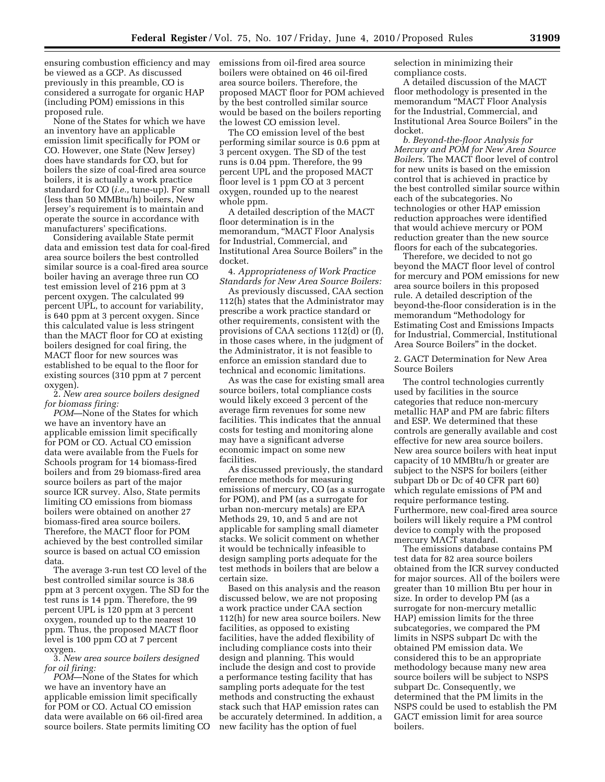ensuring combustion efficiency and may be viewed as a GCP. As discussed previously in this preamble, CO is considered a surrogate for organic HAP (including POM) emissions in this proposed rule.

None of the States for which we have an inventory have an applicable emission limit specifically for POM or CO. However, one State (New Jersey) does have standards for CO, but for boilers the size of coal-fired area source boilers, it is actually a work practice standard for CO (*i.e.,* tune-up). For small (less than 50 MMBtu/h) boilers, New Jersey's requirement is to maintain and operate the source in accordance with manufacturers' specifications.

Considering available State permit data and emission test data for coal-fired area source boilers the best controlled similar source is a coal-fired area source boiler having an average three run CO test emission level of 216 ppm at 3 percent oxygen. The calculated 99 percent UPL, to account for variability, is 640 ppm at 3 percent oxygen. Since this calculated value is less stringent than the MACT floor for CO at existing boilers designed for coal firing, the MACT floor for new sources was established to be equal to the floor for existing sources (310 ppm at 7 percent oxygen).

2. *New area source boilers designed for biomass firing:* 

*POM*—None of the States for which we have an inventory have an applicable emission limit specifically for POM or CO. Actual CO emission data were available from the Fuels for Schools program for 14 biomass-fired boilers and from 29 biomass-fired area source boilers as part of the major source ICR survey. Also, State permits limiting CO emissions from biomass boilers were obtained on another 27 biomass-fired area source boilers. Therefore, the MACT floor for POM achieved by the best controlled similar source is based on actual CO emission data.

The average 3-run test CO level of the best controlled similar source is 38.6 ppm at 3 percent oxygen. The SD for the test runs is 14 ppm. Therefore, the 99 percent UPL is 120 ppm at 3 percent oxygen, rounded up to the nearest 10 ppm. Thus, the proposed MACT floor level is 100 ppm CO at 7 percent oxygen.

3. *New area source boilers designed for oil firing:* 

POM-None of the States for which we have an inventory have an applicable emission limit specifically for POM or CO. Actual CO emission data were available on 66 oil-fired area source boilers. State permits limiting CO emissions from oil-fired area source boilers were obtained on 46 oil-fired area source boilers. Therefore, the proposed MACT floor for POM achieved by the best controlled similar source would be based on the boilers reporting the lowest CO emission level.

The CO emission level of the best performing similar source is 0.6 ppm at 3 percent oxygen. The SD of the test runs is 0.04 ppm. Therefore, the 99 percent UPL and the proposed MACT floor level is 1 ppm CO at 3 percent oxygen, rounded up to the nearest whole ppm.

A detailed description of the MACT floor determination is in the memorandum, ''MACT Floor Analysis for Industrial, Commercial, and Institutional Area Source Boilers'' in the docket.

4. *Appropriateness of Work Practice Standards for New Area Source Boilers:* 

As previously discussed, CAA section 112(h) states that the Administrator may prescribe a work practice standard or other requirements, consistent with the provisions of CAA sections 112(d) or (f), in those cases where, in the judgment of the Administrator, it is not feasible to enforce an emission standard due to technical and economic limitations.

As was the case for existing small area source boilers, total compliance costs would likely exceed 3 percent of the average firm revenues for some new facilities. This indicates that the annual costs for testing and monitoring alone may have a significant adverse economic impact on some new facilities.

As discussed previously, the standard reference methods for measuring emissions of mercury, CO (as a surrogate for POM), and PM (as a surrogate for urban non-mercury metals) are EPA Methods 29, 10, and 5 and are not applicable for sampling small diameter stacks. We solicit comment on whether it would be technically infeasible to design sampling ports adequate for the test methods in boilers that are below a certain size.

Based on this analysis and the reason discussed below, we are not proposing a work practice under CAA section 112(h) for new area source boilers. New facilities, as opposed to existing facilities, have the added flexibility of including compliance costs into their design and planning. This would include the design and cost to provide a performance testing facility that has sampling ports adequate for the test methods and constructing the exhaust stack such that HAP emission rates can be accurately determined. In addition, a new facility has the option of fuel

selection in minimizing their compliance costs.

A detailed discussion of the MACT floor methodology is presented in the memorandum ''MACT Floor Analysis for the Industrial, Commercial, and Institutional Area Source Boilers'' in the docket.

*b. Beyond-the-floor Analysis for Mercury and POM for New Area Source Boilers.* The MACT floor level of control for new units is based on the emission control that is achieved in practice by the best controlled similar source within each of the subcategories. No technologies or other HAP emission reduction approaches were identified that would achieve mercury or POM reduction greater than the new source floors for each of the subcategories.

Therefore, we decided to not go beyond the MACT floor level of control for mercury and POM emissions for new area source boilers in this proposed rule. A detailed description of the beyond-the-floor consideration is in the memorandum ''Methodology for Estimating Cost and Emissions Impacts for Industrial, Commercial, Institutional Area Source Boilers'' in the docket.

2. GACT Determination for New Area Source Boilers

The control technologies currently used by facilities in the source categories that reduce non-mercury metallic HAP and PM are fabric filters and ESP. We determined that these controls are generally available and cost effective for new area source boilers. New area source boilers with heat input capacity of 10 MMBtu/h or greater are subject to the NSPS for boilers (either subpart Db or Dc of 40 CFR part 60) which regulate emissions of PM and require performance testing. Furthermore, new coal-fired area source boilers will likely require a PM control device to comply with the proposed mercury MACT standard.

The emissions database contains PM test data for 82 area source boilers obtained from the ICR survey conducted for major sources. All of the boilers were greater than 10 million Btu per hour in size. In order to develop PM (as a surrogate for non-mercury metallic HAP) emission limits for the three subcategories, we compared the PM limits in NSPS subpart Dc with the obtained PM emission data. We considered this to be an appropriate methodology because many new area source boilers will be subject to NSPS subpart Dc. Consequently, we determined that the PM limits in the NSPS could be used to establish the PM GACT emission limit for area source boilers.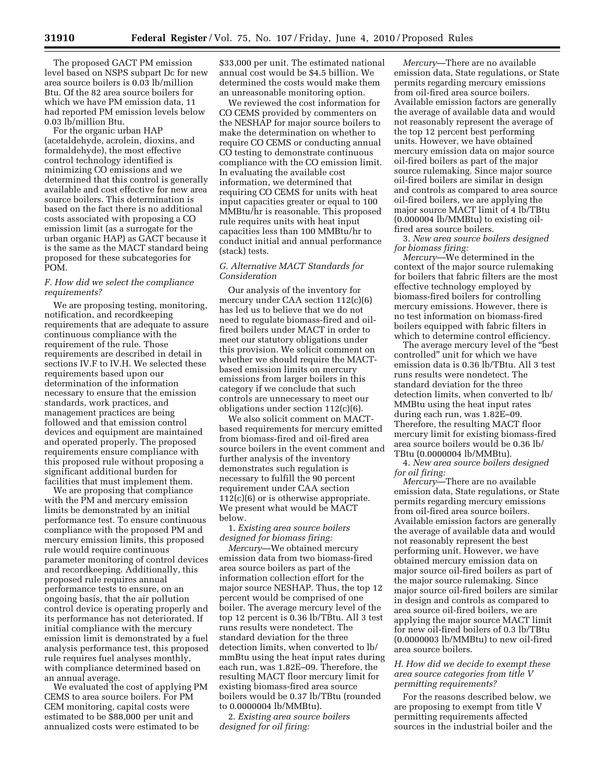The proposed GACT PM emission level based on NSPS subpart Dc for new area source boilers is 0.03 lb/million Btu. Of the 82 area source boilers for which we have PM emission data, 11 had reported PM emission levels below 0.03 lb/million Btu.

For the organic urban HAP (acetaldehyde, acrolein, dioxins, and formaldehyde), the most effective control technology identified is minimizing CO emissions and we determined that this control is generally available and cost effective for new area source boilers. This determination is based on the fact there is no additional costs associated with proposing a CO emission limit (as a surrogate for the urban organic HAP) as GACT because it is the same as the MACT standard being proposed for these subcategories for POM.

# *F. How did we select the compliance requirements?*

We are proposing testing, monitoring, notification, and recordkeeping requirements that are adequate to assure continuous compliance with the requirement of the rule. Those requirements are described in detail in sections IV.F to IV.H. We selected these requirements based upon our determination of the information necessary to ensure that the emission standards, work practices, and management practices are being followed and that emission control devices and equipment are maintained and operated properly. The proposed requirements ensure compliance with this proposed rule without proposing a significant additional burden for facilities that must implement them.

We are proposing that compliance with the PM and mercury emission limits be demonstrated by an initial performance test. To ensure continuous compliance with the proposed PM and mercury emission limits, this proposed rule would require continuous parameter monitoring of control devices and recordkeeping. Additionally, this proposed rule requires annual performance tests to ensure, on an ongoing basis, that the air pollution control device is operating properly and its performance has not deteriorated. If initial compliance with the mercury emission limit is demonstrated by a fuel analysis performance test, this proposed rule requires fuel analyses monthly, with compliance determined based on an annual average.

We evaluated the cost of applying PM CEMS to area source boilers. For PM CEM monitoring, capital costs were estimated to be \$88,000 per unit and annualized costs were estimated to be

\$33,000 per unit. The estimated national annual cost would be \$4.5 billion. We determined the costs would make them an unreasonable monitoring option.

We reviewed the cost information for CO CEMS provided by commenters on the NESHAP for major source boilers to make the determination on whether to require CO CEMS or conducting annual CO testing to demonstrate continuous compliance with the CO emission limit. In evaluating the available cost information, we determined that requiring CO CEMS for units with heat input capacities greater or equal to 100 MMBtu/hr is reasonable. This proposed rule requires units with heat input capacities less than 100 MMBtu/hr to conduct initial and annual performance (stack) tests.

# *G. Alternative MACT Standards for Consideration*

Our analysis of the inventory for mercury under CAA section 112(c)(6) has led us to believe that we do not need to regulate biomass-fired and oilfired boilers under MACT in order to meet our statutory obligations under this provision. We solicit comment on whether we should require the MACTbased emission limits on mercury emissions from larger boilers in this category if we conclude that such controls are unnecessary to meet our obligations under section 112(c)(6).

We also solicit comment on MACTbased requirements for mercury emitted from biomass-fired and oil-fired area source boilers in the event comment and further analysis of the inventory demonstrates such regulation is necessary to fulfill the 90 percent requirement under CAA section  $112(c)(6)$  or is otherwise appropriate. We present what would be MACT below.

1. *Existing area source boilers designed for biomass firing:* 

*Mercury*—We obtained mercury emission data from two biomass-fired area source boilers as part of the information collection effort for the major source NESHAP. Thus, the top 12 percent would be comprised of one boiler. The average mercury level of the top 12 percent is 0.36 lb/TBtu. All 3 test runs results were nondetect. The standard deviation for the three detection limits, when converted to lb/ mmBtu using the heat input rates during each run, was 1.82E–09. Therefore, the resulting MACT floor mercury limit for existing biomass-fired area source boilers would be 0.37 lb/TBtu (rounded to 0.0000004 lb/MMBtu).

2. *Existing area source boilers designed for oil firing:* 

*Mercury*—There are no available emission data, State regulations, or State permits regarding mercury emissions from oil-fired area source boilers. Available emission factors are generally the average of available data and would not reasonably represent the average of the top 12 percent best performing units. However, we have obtained mercury emission data on major source oil-fired boilers as part of the major source rulemaking. Since major source oil-fired boilers are similar in design and controls as compared to area source oil-fired boilers, we are applying the major source MACT limit of 4 lb/TBtu (0.000004 lb/MMBtu) to existing oilfired area source boilers.

3. *New area source boilers designed for biomass firing:* 

*Mercury*—We determined in the context of the major source rulemaking for boilers that fabric filters are the most effective technology employed by biomass-fired boilers for controlling mercury emissions. However, there is no test information on biomass-fired boilers equipped with fabric filters in which to determine control efficiency.

The average mercury level of the ''best controlled'' unit for which we have emission data is 0.36 lb/TBtu. All 3 test runs results were nondetect. The standard deviation for the three detection limits, when converted to lb/ MMBtu using the heat input rates during each run, was 1.82E–09. Therefore, the resulting MACT floor mercury limit for existing biomass-fired area source boilers would be 0.36 lb/ TBtu (0.0000004 lb/MMBtu).

4. *New area source boilers designed for oil firing:* 

*Mercury*—There are no available emission data, State regulations, or State permits regarding mercury emissions from oil-fired area source boilers. Available emission factors are generally the average of available data and would not reasonably represent the best performing unit. However, we have obtained mercury emission data on major source oil-fired boilers as part of the major source rulemaking. Since major source oil-fired boilers are similar in design and controls as compared to area source oil-fired boilers, we are applying the major source MACT limit for new oil-fired boilers of 0.3 lb/TBtu (0.0000003 lb/MMBtu) to new oil-fired area source boilers.

# *H. How did we decide to exempt these area source categories from title V permitting requirements?*

For the reasons described below, we are proposing to exempt from title V permitting requirements affected sources in the industrial boiler and the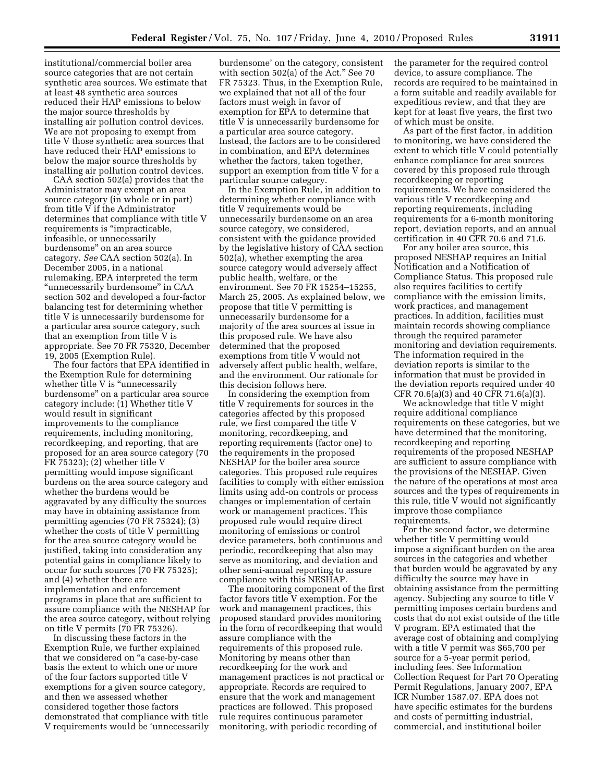institutional/commercial boiler area source categories that are not certain synthetic area sources. We estimate that at least 48 synthetic area sources reduced their HAP emissions to below the major source thresholds by installing air pollution control devices. We are not proposing to exempt from title V those synthetic area sources that have reduced their HAP emissions to below the major source thresholds by installing air pollution control devices.

CAA section 502(a) provides that the Administrator may exempt an area source category (in whole or in part) from title V if the Administrator determines that compliance with title V requirements is "impracticable, infeasible, or unnecessarily burdensome'' on an area source category. *See* CAA section 502(a). In December 2005, in a national rulemaking, EPA interpreted the term ''unnecessarily burdensome'' in CAA section 502 and developed a four-factor balancing test for determining whether title V is unnecessarily burdensome for a particular area source category, such that an exemption from title V is appropriate. See 70 FR 75320, December 19, 2005 (Exemption Rule).

The four factors that EPA identified in the Exemption Rule for determining whether title V is "unnecessarily burdensome'' on a particular area source category include:  $(i)$  Whether title V would result in significant improvements to the compliance requirements, including monitoring, recordkeeping, and reporting, that are proposed for an area source category (70 FR 75323); (2) whether title V permitting would impose significant burdens on the area source category and whether the burdens would be aggravated by any difficulty the sources may have in obtaining assistance from permitting agencies (70 FR 75324); (3) whether the costs of title V permitting for the area source category would be justified, taking into consideration any potential gains in compliance likely to occur for such sources (70 FR 75325); and (4) whether there are implementation and enforcement programs in place that are sufficient to assure compliance with the NESHAP for the area source category, without relying on title V permits (70 FR 75326).

In discussing these factors in the Exemption Rule, we further explained that we considered on "a case-by-case basis the extent to which one or more of the four factors supported title V exemptions for a given source category, and then we assessed whether considered together those factors demonstrated that compliance with title V requirements would be 'unnecessarily

burdensome' on the category, consistent with section 502(a) of the Act.'' See 70 FR 75323. Thus, in the Exemption Rule, we explained that not all of the four factors must weigh in favor of exemption for EPA to determine that title V is unnecessarily burdensome for a particular area source category. Instead, the factors are to be considered in combination, and EPA determines whether the factors, taken together, support an exemption from title V for a particular source category.

In the Exemption Rule, in addition to determining whether compliance with title V requirements would be unnecessarily burdensome on an area source category, we considered, consistent with the guidance provided by the legislative history of CAA section 502(a), whether exempting the area source category would adversely affect public health, welfare, or the environment. See 70 FR 15254–15255, March 25, 2005. As explained below, we propose that title V permitting is unnecessarily burdensome for a majority of the area sources at issue in this proposed rule. We have also determined that the proposed exemptions from title V would not adversely affect public health, welfare, and the environment. Our rationale for this decision follows here.

In considering the exemption from title V requirements for sources in the categories affected by this proposed rule, we first compared the title V monitoring, recordkeeping, and reporting requirements (factor one) to the requirements in the proposed NESHAP for the boiler area source categories. This proposed rule requires facilities to comply with either emission limits using add-on controls or process changes or implementation of certain work or management practices. This proposed rule would require direct monitoring of emissions or control device parameters, both continuous and periodic, recordkeeping that also may serve as monitoring, and deviation and other semi-annual reporting to assure compliance with this NESHAP.

The monitoring component of the first factor favors title V exemption. For the work and management practices, this proposed standard provides monitoring in the form of recordkeeping that would assure compliance with the requirements of this proposed rule. Monitoring by means other than recordkeeping for the work and management practices is not practical or appropriate. Records are required to ensure that the work and management practices are followed. This proposed rule requires continuous parameter monitoring, with periodic recording of

the parameter for the required control device, to assure compliance. The records are required to be maintained in a form suitable and readily available for expeditious review, and that they are kept for at least five years, the first two of which must be onsite.

As part of the first factor, in addition to monitoring, we have considered the extent to which title V could potentially enhance compliance for area sources covered by this proposed rule through recordkeeping or reporting requirements. We have considered the various title V recordkeeping and reporting requirements, including requirements for a 6-month monitoring report, deviation reports, and an annual certification in 40 CFR 70.6 and 71.6.

For any boiler area source, this proposed NESHAP requires an Initial Notification and a Notification of Compliance Status. This proposed rule also requires facilities to certify compliance with the emission limits, work practices, and management practices. In addition, facilities must maintain records showing compliance through the required parameter monitoring and deviation requirements. The information required in the deviation reports is similar to the information that must be provided in the deviation reports required under 40 CFR 70.6(a)(3) and 40 CFR 71.6(a)(3).

We acknowledge that title V might require additional compliance requirements on these categories, but we have determined that the monitoring, recordkeeping and reporting requirements of the proposed NESHAP are sufficient to assure compliance with the provisions of the NESHAP. Given the nature of the operations at most area sources and the types of requirements in this rule, title V would not significantly improve those compliance requirements.

For the second factor, we determine whether title V permitting would impose a significant burden on the area sources in the categories and whether that burden would be aggravated by any difficulty the source may have in obtaining assistance from the permitting agency. Subjecting any source to title V permitting imposes certain burdens and costs that do not exist outside of the title V program. EPA estimated that the average cost of obtaining and complying with a title V permit was \$65,700 per source for a 5-year permit period, including fees. See Information Collection Request for Part 70 Operating Permit Regulations, January 2007, EPA ICR Number 1587.07. EPA does not have specific estimates for the burdens and costs of permitting industrial, commercial, and institutional boiler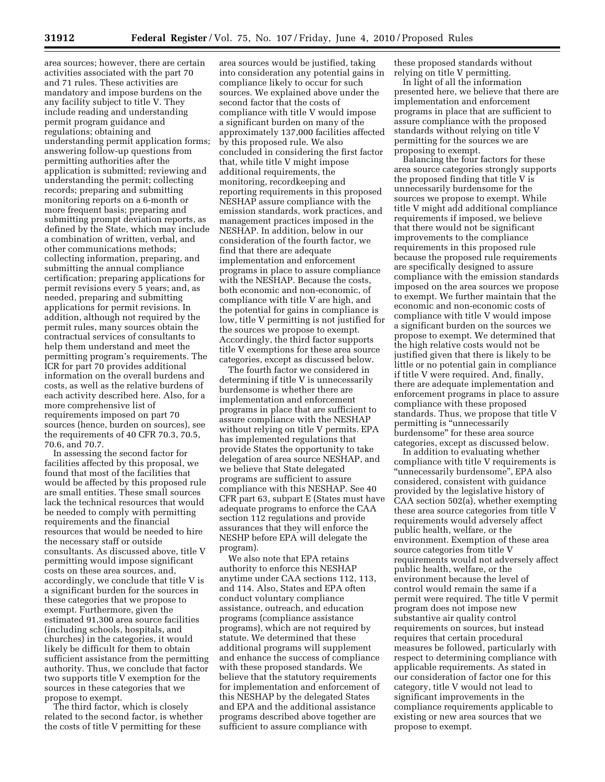area sources; however, there are certain activities associated with the part 70 and 71 rules. These activities are mandatory and impose burdens on the any facility subject to title V. They include reading and understanding permit program guidance and regulations; obtaining and understanding permit application forms; answering follow-up questions from permitting authorities after the application is submitted; reviewing and understanding the permit; collecting records; preparing and submitting monitoring reports on a 6-month or more frequent basis; preparing and submitting prompt deviation reports, as defined by the State, which may include a combination of written, verbal, and other communications methods; collecting information, preparing, and submitting the annual compliance certification; preparing applications for permit revisions every 5 years; and, as needed, preparing and submitting applications for permit revisions. In addition, although not required by the permit rules, many sources obtain the contractual services of consultants to help them understand and meet the permitting program's requirements. The ICR for part 70 provides additional information on the overall burdens and costs, as well as the relative burdens of each activity described here. Also, for a more comprehensive list of requirements imposed on part 70 sources (hence, burden on sources), see the requirements of 40 CFR 70.3, 70.5, 70.6, and 70.7.

In assessing the second factor for facilities affected by this proposal, we found that most of the facilities that would be affected by this proposed rule are small entities. These small sources lack the technical resources that would be needed to comply with permitting requirements and the financial resources that would be needed to hire the necessary staff or outside consultants. As discussed above, title V permitting would impose significant costs on these area sources, and, accordingly, we conclude that title V is a significant burden for the sources in these categories that we propose to exempt. Furthermore, given the estimated 91,300 area source facilities (including schools, hospitals, and churches) in the categories, it would likely be difficult for them to obtain sufficient assistance from the permitting authority. Thus, we conclude that factor two supports title V exemption for the sources in these categories that we propose to exempt.

The third factor, which is closely related to the second factor, is whether the costs of title V permitting for these

area sources would be justified, taking into consideration any potential gains in compliance likely to occur for such sources. We explained above under the second factor that the costs of compliance with title V would impose a significant burden on many of the approximately 137,000 facilities affected by this proposed rule. We also concluded in considering the first factor that, while title V might impose additional requirements, the monitoring, recordkeeping and reporting requirements in this proposed NESHAP assure compliance with the emission standards, work practices, and management practices imposed in the NESHAP. In addition, below in our consideration of the fourth factor, we find that there are adequate implementation and enforcement programs in place to assure compliance with the NESHAP. Because the costs, both economic and non-economic, of compliance with title V are high, and the potential for gains in compliance is low, title V permitting is not justified for the sources we propose to exempt. Accordingly, the third factor supports title V exemptions for these area source categories, except as discussed below.

The fourth factor we considered in determining if title V is unnecessarily burdensome is whether there are implementation and enforcement programs in place that are sufficient to assure compliance with the NESHAP without relying on title V permits. EPA has implemented regulations that provide States the opportunity to take delegation of area source NESHAP, and we believe that State delegated programs are sufficient to assure compliance with this NESHAP. See 40 CFR part 63, subpart E (States must have adequate programs to enforce the CAA section 112 regulations and provide assurances that they will enforce the NESHP before EPA will delegate the program).

We also note that EPA retains authority to enforce this NESHAP anytime under CAA sections 112, 113, and 114. Also, States and EPA often conduct voluntary compliance assistance, outreach, and education programs (compliance assistance programs), which are not required by statute. We determined that these additional programs will supplement and enhance the success of compliance with these proposed standards. We believe that the statutory requirements for implementation and enforcement of this NESHAP by the delegated States and EPA and the additional assistance programs described above together are sufficient to assure compliance with

these proposed standards without relying on title V permitting.

In light of all the information presented here, we believe that there are implementation and enforcement programs in place that are sufficient to assure compliance with the proposed standards without relying on title V permitting for the sources we are proposing to exempt.

Balancing the four factors for these area source categories strongly supports the proposed finding that title V is unnecessarily burdensome for the sources we propose to exempt. While title V might add additional compliance requirements if imposed, we believe that there would not be significant improvements to the compliance requirements in this proposed rule because the proposed rule requirements are specifically designed to assure compliance with the emission standards imposed on the area sources we propose to exempt. We further maintain that the economic and non-economic costs of compliance with title V would impose a significant burden on the sources we propose to exempt. We determined that the high relative costs would not be justified given that there is likely to be little or no potential gain in compliance if title V were required. And, finally, there are adequate implementation and enforcement programs in place to assure compliance with these proposed standards. Thus, we propose that title V permitting is ''unnecessarily burdensome'' for these area source categories, except as discussed below.

In addition to evaluating whether compliance with title V requirements is ''unnecessarily burdensome'', EPA also considered, consistent with guidance provided by the legislative history of CAA section 502(a), whether exempting these area source categories from title V requirements would adversely affect public health, welfare, or the environment. Exemption of these area source categories from title V requirements would not adversely affect public health, welfare, or the environment because the level of control would remain the same if a permit were required. The title V permit program does not impose new substantive air quality control requirements on sources, but instead requires that certain procedural measures be followed, particularly with respect to determining compliance with applicable requirements. As stated in our consideration of factor one for this category, title V would not lead to significant improvements in the compliance requirements applicable to existing or new area sources that we propose to exempt.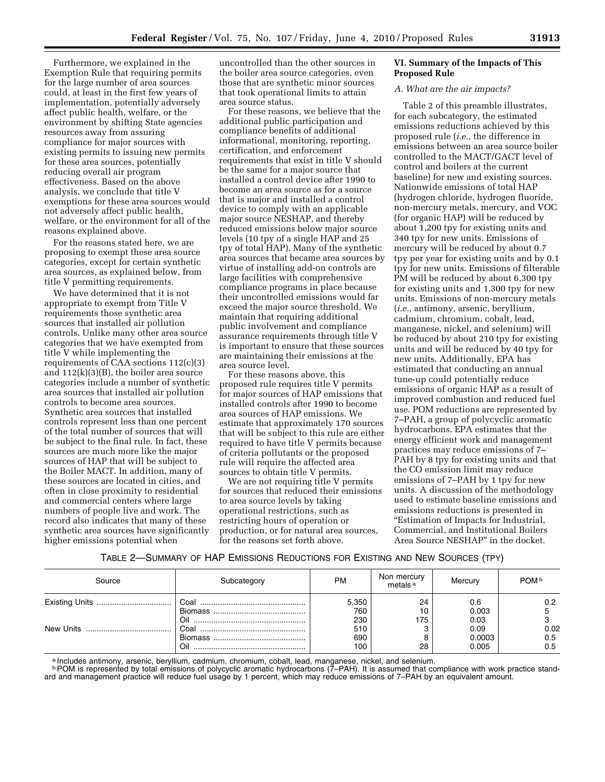Furthermore, we explained in the Exemption Rule that requiring permits for the large number of area sources could, at least in the first few years of implementation, potentially adversely affect public health, welfare, or the environment by shifting State agencies resources away from assuring compliance for major sources with existing permits to issuing new permits for these area sources, potentially reducing overall air program effectiveness. Based on the above analysis, we conclude that title V exemptions for these area sources would not adversely affect public health, welfare, or the environment for all of the reasons explained above.

For the reasons stated here, we are proposing to exempt these area source categories, except for certain synthetic area sources, as explained below, from title V permitting requirements.

We have determined that it is not appropriate to exempt from Title V requirements those synthetic area sources that installed air pollution controls. Unlike many other area source categories that we have exempted from title V while implementing the requirements of CAA sections 112(c)(3) and  $112(k)(3)(B)$ , the boiler area source categories include a number of synthetic area sources that installed air pollution controls to become area sources. Synthetic area sources that installed controls represent less than one percent of the total number of sources that will be subject to the final rule. In fact, these sources are much more like the major sources of HAP that will be subject to the Boiler MACT. In addition, many of these sources are located in cities, and often in close proximity to residential and commercial centers where large numbers of people live and work. The record also indicates that many of these synthetic area sources have significantly higher emissions potential when

uncontrolled than the other sources in the boiler area source categories, even those that are synthetic minor sources that took operational limits to attain area source status.

For these reasons, we believe that the additional public participation and compliance benefits of additional informational, monitoring, reporting, certification, and enforcement requirements that exist in title V should be the same for a major source that installed a control device after 1990 to become an area source as for a source that is major and installed a control device to comply with an applicable major source NESHAP, and thereby reduced emissions below major source levels (10 tpy of a single HAP and 25 tpy of total HAP). Many of the synthetic area sources that became area sources by virtue of installing add-on controls are large facilities with comprehensive compliance programs in place because their uncontrolled emissions would far exceed the major source threshold. We maintain that requiring additional public involvement and compliance assurance requirements through title V is important to ensure that these sources are maintaining their emissions at the area source level.

For these reasons above, this proposed rule requires title V permits for major sources of HAP emissions that installed controls after 1990 to become area sources of HAP emissions. We estimate that approximately 170 sources that will be subject to this rule are either required to have title V permits because of criteria pollutants or the proposed rule will require the affected area sources to obtain title V permits.

We are not requiring title V permits for sources that reduced their emissions to area source levels by taking operational restrictions, such as restricting hours of operation or production, or for natural area sources, for the reasons set forth above.

### **VI. Summary of the Impacts of This Proposed Rule**

# *A. What are the air impacts?*

Table 2 of this preamble illustrates, for each subcategory, the estimated emissions reductions achieved by this proposed rule (*i.e.,* the difference in emissions between an area source boiler controlled to the MACT/GACT level of control and boilers at the current baseline) for new and existing sources. Nationwide emissions of total HAP (hydrogen chloride, hydrogen fluoride, non-mercury metals, mercury, and VOC (for organic HAP) will be reduced by about 1,200 tpy for existing units and 340 tpy for new units. Emissions of mercury will be reduced by about 0.7 tpy per year for existing units and by 0.1 tpy for new units. Emissions of filterable PM will be reduced by about 6,300 tpy for existing units and 1,300 tpy for new units. Emissions of non-mercury metals (*i.e.,* antimony, arsenic, beryllium, cadmium, chromium, cobalt, lead, manganese, nickel, and selenium) will be reduced by about 210 tpy for existing units and will be reduced by 40 tpy for new units. Additionally, EPA has estimated that conducting an annual tune-up could potentially reduce emissions of organic HAP as a result of improved combustion and reduced fuel use. POM reductions are represented by 7–PAH, a group of polycyclic aromatic hydrocarbons. EPA estimates that the energy efficient work and management practices may reduce emissions of 7– PAH by 8 tpy for existing units and that the CO emission limit may reduce emissions of 7–PAH by 1 tpy for new units. A discussion of the methodology used to estimate baseline emissions and emissions reductions is presented in ''Estimation of Impacts for Industrial, Commercial, and Institutional Boilers Area Source NESHAP'' in the docket.

# TABLE 2—SUMMARY OF HAP EMISSIONS REDUCTIONS FOR EXISTING AND NEW SOURCES (TPY)

| Source | Subcategory                   | <b>PM</b>           | Non mercury<br>metals <sup>a</sup> | Mercury                 | POM <sup>b</sup>   |
|--------|-------------------------------|---------------------|------------------------------------|-------------------------|--------------------|
|        | <b>Biomass</b><br>Oil         | 5,350<br>760<br>230 | 24<br>10<br>175                    | 0.6<br>0.003<br>0.03    |                    |
|        | Coal<br><b>Biomass</b><br>Oil | 510<br>690<br>100   | 28                                 | 0.09<br>0.0003<br>0.005 | 0.02<br>0.5<br>0.5 |

a Includes antimony, arsenic, beryllium, cadmium, chromium, cobalt, lead, manganese, nickel, and selenium.

**POM** is represented by total emissions of polycyclic aromatic hydrocarbons (7–PAH). It is assumed that compliance with work practice standard and management practice will reduce fuel usage by 1 percent, which may reduce emissions of 7–PAH by an equivalent amount.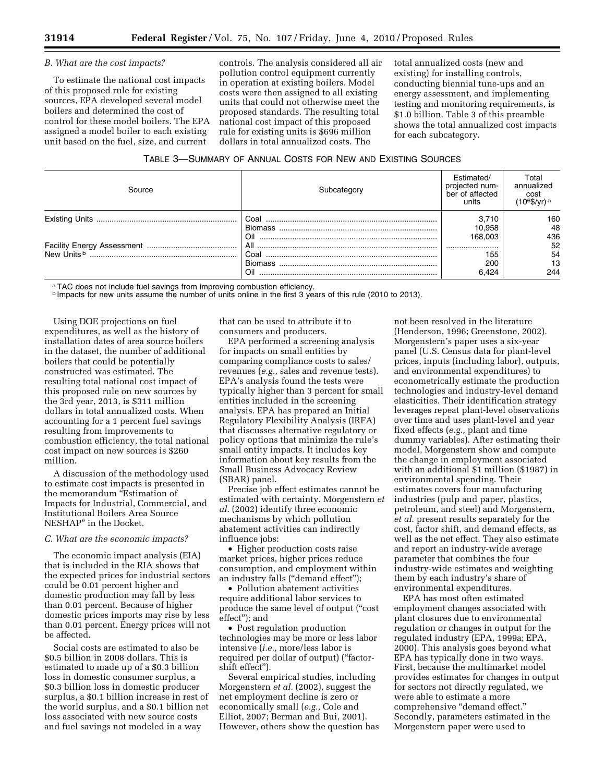#### *B. What are the cost impacts?*

To estimate the national cost impacts of this proposed rule for existing sources, EPA developed several model boilers and determined the cost of control for these model boilers. The EPA assigned a model boiler to each existing unit based on the fuel, size, and current

controls. The analysis considered all air pollution control equipment currently in operation at existing boilers. Model costs were then assigned to all existing units that could not otherwise meet the proposed standards. The resulting total national cost impact of this proposed rule for existing units is \$696 million dollars in total annualized costs. The

total annualized costs (new and existing) for installing controls, conducting biennial tune-ups and an energy assessment, and implementing testing and monitoring requirements, is \$1.0 billion. Table 3 of this preamble shows the total annualized cost impacts for each subcategory.

# TABLE 3—SUMMARY OF ANNUAL COSTS FOR NEW AND EXISTING SOURCES

| Source                 | Subcategory    | Estimated/<br>projected num-<br>ber of affected<br>units | Total<br>annualized<br>cost |
|------------------------|----------------|----------------------------------------------------------|-----------------------------|
| <b>Existing Units</b>  | Coal           | 3.710                                                    | 160                         |
|                        | Biomass        | 10,958                                                   | 48                          |
|                        | Oil            | 168.003                                                  | 436                         |
|                        | All            |                                                          | 52                          |
| New Units <sup>b</sup> | Coal           | 155                                                      | 54                          |
|                        | <b>Biomass</b> | 200                                                      | 13                          |
|                        | Oil            | 6.424                                                    | 244                         |

a TAC does not include fuel savings from improving combustion efficiency.

b Impacts for new units assume the number of units online in the first 3 years of this rule (2010 to 2013).

Using DOE projections on fuel expenditures, as well as the history of installation dates of area source boilers in the dataset, the number of additional boilers that could be potentially constructed was estimated. The resulting total national cost impact of this proposed rule on new sources by the 3rd year, 2013, is \$311 million dollars in total annualized costs. When accounting for a 1 percent fuel savings resulting from improvements to combustion efficiency, the total national cost impact on new sources is \$260 million.

A discussion of the methodology used to estimate cost impacts is presented in the memorandum ''Estimation of Impacts for Industrial, Commercial, and Institutional Boilers Area Source NESHAP'' in the Docket.

#### *C. What are the economic impacts?*

The economic impact analysis (EIA) that is included in the RIA shows that the expected prices for industrial sectors could be 0.01 percent higher and domestic production may fall by less than 0.01 percent. Because of higher domestic prices imports may rise by less than 0.01 percent. Energy prices will not be affected.

Social costs are estimated to also be \$0.5 billion in 2008 dollars. This is estimated to made up of a \$0.3 billion loss in domestic consumer surplus, a \$0.3 billion loss in domestic producer surplus, a \$0.1 billion increase in rest of the world surplus, and a \$0.1 billion net loss associated with new source costs and fuel savings not modeled in a way

that can be used to attribute it to consumers and producers.

EPA performed a screening analysis for impacts on small entities by comparing compliance costs to sales/ revenues (*e.g.,* sales and revenue tests). EPA's analysis found the tests were typically higher than 3 percent for small entities included in the screening analysis. EPA has prepared an Initial Regulatory Flexibility Analysis (IRFA) that discusses alternative regulatory or policy options that minimize the rule's small entity impacts. It includes key information about key results from the Small Business Advocacy Review (SBAR) panel.

Precise job effect estimates cannot be estimated with certainty. Morgenstern *et al.* (2002) identify three economic mechanisms by which pollution abatement activities can indirectly influence jobs:

• Higher production costs raise market prices, higher prices reduce consumption, and employment within an industry falls (''demand effect'');

• Pollution abatement activities require additional labor services to produce the same level of output (''cost effect''); and

• Post regulation production technologies may be more or less labor intensive (*i.e.,* more/less labor is required per dollar of output) ("factorshift effect'').

Several empirical studies, including Morgenstern *et al.* (2002), suggest the net employment decline is zero or economically small (*e.g.,* Cole and Elliot, 2007; Berman and Bui, 2001). However, others show the question has

not been resolved in the literature (Henderson, 1996; Greenstone, 2002). Morgenstern's paper uses a six-year panel (U.S. Census data for plant-level prices, inputs (including labor), outputs, and environmental expenditures) to econometrically estimate the production technologies and industry-level demand elasticities. Their identification strategy leverages repeat plant-level observations over time and uses plant-level and year fixed effects (*e.g.,* plant and time dummy variables). After estimating their model, Morgenstern show and compute the change in employment associated with an additional \$1 million (\$1987) in environmental spending. Their estimates covers four manufacturing industries (pulp and paper, plastics, petroleum, and steel) and Morgenstern, *et al.* present results separately for the cost, factor shift, and demand effects, as well as the net effect. They also estimate and report an industry-wide average parameter that combines the four industry-wide estimates and weighting them by each industry's share of environmental expenditures.

EPA has most often estimated employment changes associated with plant closures due to environmental regulation or changes in output for the regulated industry (EPA, 1999a; EPA, 2000). This analysis goes beyond what EPA has typically done in two ways. First, because the multimarket model provides estimates for changes in output for sectors not directly regulated, we were able to estimate a more comprehensive "demand effect." Secondly, parameters estimated in the Morgenstern paper were used to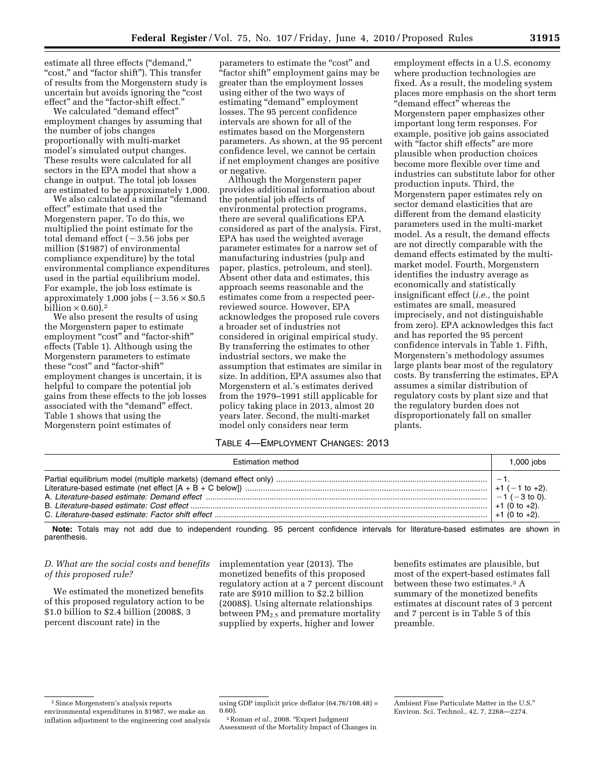estimate all three effects (''demand,'' ''cost,'' and ''factor shift''). This transfer of results from the Morgenstern study is uncertain but avoids ignoring the "cost" effect'' and the ''factor-shift effect.''

We calculated ''demand effect'' employment changes by assuming that the number of jobs changes proportionally with multi-market model's simulated output changes. These results were calculated for all sectors in the EPA model that show a change in output. The total job losses are estimated to be approximately 1,000.

We also calculated a similar ''demand effect'' estimate that used the Morgenstern paper. To do this, we multiplied the point estimate for the total demand effect  $(-3.56$  jobs per million (\$1987) of environmental compliance expenditure) by the total environmental compliance expenditures used in the partial equilibrium model. For example, the job loss estimate is approximately 1,000 jobs  $(-3.56 \times $0.5$ billion  $\times$  0.60).<sup>2</sup>

We also present the results of using the Morgenstern paper to estimate employment "cost" and "factor-shift" effects (Table 1). Although using the Morgenstern parameters to estimate these ''cost'' and ''factor-shift'' employment changes is uncertain, it is helpful to compare the potential job gains from these effects to the job losses associated with the ''demand'' effect. Table 1 shows that using the Morgenstern point estimates of

parameters to estimate the "cost" and ''factor shift'' employment gains may be greater than the employment losses using either of the two ways of estimating "demand" employment losses. The 95 percent confidence intervals are shown for all of the estimates based on the Morgenstern parameters. As shown, at the 95 percent confidence level, we cannot be certain if net employment changes are positive or negative.

Although the Morgenstern paper provides additional information about the potential job effects of environmental protection programs, there are several qualifications EPA considered as part of the analysis. First, EPA has used the weighted average parameter estimates for a narrow set of manufacturing industries (pulp and paper, plastics, petroleum, and steel). Absent other data and estimates, this approach seems reasonable and the estimates come from a respected peerreviewed source. However, EPA acknowledges the proposed rule covers a broader set of industries not considered in original empirical study. By transferring the estimates to other industrial sectors, we make the assumption that estimates are similar in size. In addition, EPA assumes also that Morgenstern et al.'s estimates derived from the 1979–1991 still applicable for policy taking place in 2013, almost 20 years later. Second, the multi-market model only considers near term

employment effects in a U.S. economy where production technologies are fixed. As a result, the modeling system places more emphasis on the short term ''demand effect'' whereas the Morgenstern paper emphasizes other important long term responses. For example, positive job gains associated with "factor shift effects" are more plausible when production choices become more flexible over time and industries can substitute labor for other production inputs. Third, the Morgenstern paper estimates rely on sector demand elasticities that are different from the demand elasticity parameters used in the multi-market model. As a result, the demand effects are not directly comparable with the demand effects estimated by the multimarket model. Fourth, Morgenstern identifies the industry average as economically and statistically insignificant effect (*i.e.,* the point estimates are small, measured imprecisely, and not distinguishable from zero). EPA acknowledges this fact and has reported the 95 percent confidence intervals in Table 1. Fifth, Morgenstern's methodology assumes large plants bear most of the regulatory costs. By transferring the estimates, EPA assumes a similar distribution of regulatory costs by plant size and that the regulatory burden does not disproportionately fall on smaller plants.

# TABLE 4—EMPLOYMENT CHANGES: 2013

| Estimation method | $1,000$ jobs                                                |
|-------------------|-------------------------------------------------------------|
|                   | $-1$ (-3 to 0).<br>$+1$ (0 to $+2$ ).<br>$+1$ (0 to $+2$ ). |

**Note:** Totals may not add due to independent rounding. 95 percent confidence intervals for literature-based estimates are shown in parenthesis.

# *D. What are the social costs and benefits of this proposed rule?*

We estimated the monetized benefits of this proposed regulatory action to be \$1.0 billion to \$2.4 billion (2008\$, 3 percent discount rate) in the

implementation year (2013). The monetized benefits of this proposed regulatory action at a 7 percent discount rate are \$910 million to \$2.2 billion (2008\$). Using alternate relationships between  $PM_{2.5}$  and premature mortality supplied by experts, higher and lower

benefits estimates are plausible, but most of the expert-based estimates fall between these two estimates.3 A summary of the monetized benefits estimates at discount rates of 3 percent and 7 percent is in Table 5 of this preamble.

<sup>2</sup>Since Morgenstern's analysis reports environmental expenditures in \$1987, we make an inflation adjustment to the engineering cost analysis

using GDP implicit price deflator  $(64.76/108.48) = 0.60$ .

<sup>&</sup>lt;sup>3</sup> Roman *et al.*, 2008. "Expert Judgment Assessment of the Mortality Impact of Changes in

Ambient Fine Particulate Matter in the U.S.'' Environ. Sci. Technol., 42, 7, 2268—2274.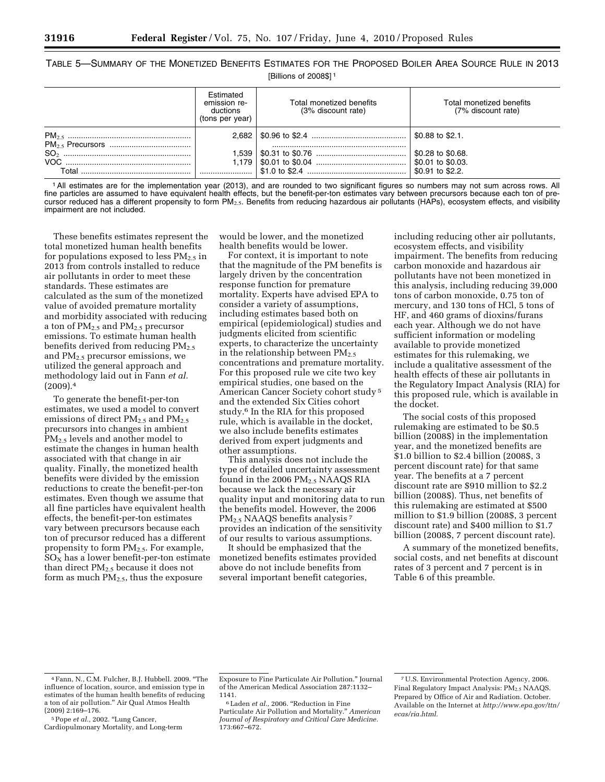TABLE 5—SUMMARY OF THE MONETIZED BENEFITS ESTIMATES FOR THE PROPOSED BOILER AREA SOURCE RULE IN 2013

[Billions of 2008\$] 1

|       | Estimated<br>emission re-<br>ductions<br>(tons per year) | Total monetized benefits<br>(3% discount rate) | Total monetized benefits<br>(7% discount rate)              |
|-------|----------------------------------------------------------|------------------------------------------------|-------------------------------------------------------------|
|       |                                                          |                                                | \$0.88 to \$2.1.                                            |
| Total |                                                          |                                                | \$0.28 to \$0.68.<br>\$0.01 to \$0.03.<br>$$0.91$ to \$2.2. |

1All estimates are for the implementation year (2013), and are rounded to two significant figures so numbers may not sum across rows. All fine particles are assumed to have equivalent health effects, but the benefit-per-ton estimates vary between precursors because each ton of precursor reduced has a different propensity to form PM<sub>2.5</sub>. Benefits from reducing hazardous air pollutants (HAPs), ecosystem effects, and visibility impairment are not included.

These benefits estimates represent the total monetized human health benefits for populations exposed to less  $PM_{2.5}$  in 2013 from controls installed to reduce air pollutants in order to meet these standards. These estimates are calculated as the sum of the monetized value of avoided premature mortality and morbidity associated with reducing a ton of PM<sub>2.5</sub> and PM<sub>2.5</sub> precursor emissions. To estimate human health benefits derived from reducing  $PM<sub>2.5</sub>$ and PM2.5 precursor emissions, we utilized the general approach and methodology laid out in Fann *et al.*   $(2009).4$ 

To generate the benefit-per-ton estimates, we used a model to convert emissions of direct  $PM_{2.5}$  and  $PM_{2.5}$ precursors into changes in ambient PM2.5 levels and another model to estimate the changes in human health associated with that change in air quality. Finally, the monetized health benefits were divided by the emission reductions to create the benefit-per-ton estimates. Even though we assume that all fine particles have equivalent health effects, the benefit-per-ton estimates vary between precursors because each ton of precursor reduced has a different propensity to form PM<sub>2.5</sub>. For example,  $SO<sub>x</sub>$  has a lower benefit-per-ton estimate than direct PM2.5 because it does not form as much  $PM_{2.5}$ , thus the exposure

would be lower, and the monetized health benefits would be lower.

For context, it is important to note that the magnitude of the PM benefits is largely driven by the concentration response function for premature mortality. Experts have advised EPA to consider a variety of assumptions, including estimates based both on empirical (epidemiological) studies and judgments elicited from scientific experts, to characterize the uncertainty in the relationship between  $PM_{2.5}$ concentrations and premature mortality. For this proposed rule we cite two key empirical studies, one based on the American Cancer Society cohort study 5 and the extended Six Cities cohort study.6 In the RIA for this proposed rule, which is available in the docket, we also include benefits estimates derived from expert judgments and other assumptions.

This analysis does not include the type of detailed uncertainty assessment found in the 2006 PM2.5 NAAQS RIA because we lack the necessary air quality input and monitoring data to run the benefits model. However, the 2006 PM<sub>2.5</sub> NAAQS benefits analysis<sup>7</sup> provides an indication of the sensitivity of our results to various assumptions.

It should be emphasized that the monetized benefits estimates provided above do not include benefits from several important benefit categories,

including reducing other air pollutants, ecosystem effects, and visibility impairment. The benefits from reducing carbon monoxide and hazardous air pollutants have not been monetized in this analysis, including reducing 39,000 tons of carbon monoxide, 0.75 ton of mercury, and 130 tons of HCl, 5 tons of HF, and 460 grams of dioxins/furans each year. Although we do not have sufficient information or modeling available to provide monetized estimates for this rulemaking, we include a qualitative assessment of the health effects of these air pollutants in the Regulatory Impact Analysis (RIA) for this proposed rule, which is available in the docket.

The social costs of this proposed rulemaking are estimated to be \$0.5 billion (2008\$) in the implementation year, and the monetized benefits are \$1.0 billion to \$2.4 billion (2008\$, 3 percent discount rate) for that same year. The benefits at a 7 percent discount rate are \$910 million to \$2.2 billion (2008\$). Thus, net benefits of this rulemaking are estimated at \$500 million to \$1.9 billion (2008\$, 3 percent discount rate) and \$400 million to \$1.7 billion (2008\$, 7 percent discount rate).

A summary of the monetized benefits, social costs, and net benefits at discount rates of 3 percent and 7 percent is in Table 6 of this preamble.

<sup>4</sup>Fann, N., C.M. Fulcher, B.J. Hubbell. 2009. ''The influence of location, source, and emission type in estimates of the human health benefits of reducing a ton of air pollution.'' Air Qual Atmos Health  $(2009)$  2:169-176.

<sup>&</sup>lt;sup>5</sup> Pope et al., 2002. "Lung Cancer,

Cardiopulmonary Mortality, and Long-term

Exposure to Fine Particulate Air Pollution.'' Journal of the American Medical Association 287:1132– 1141.

<sup>&</sup>lt;sup>6</sup> Laden *et al.*, 2006. "Reduction in Fine Particulate Air Pollution and Mortality.'' *American Journal of Respiratory and Critical Care Medicine.*  173:667–672.

<sup>7</sup>U.S. Environmental Protection Agency, 2006. Final Regulatory Impact Analysis: PM<sub>2.5</sub> NAAQS. Prepared by Office of Air and Radiation. October. Available on the Internet at *http://www.epa.gov/ttn/ ecas/ria.html.*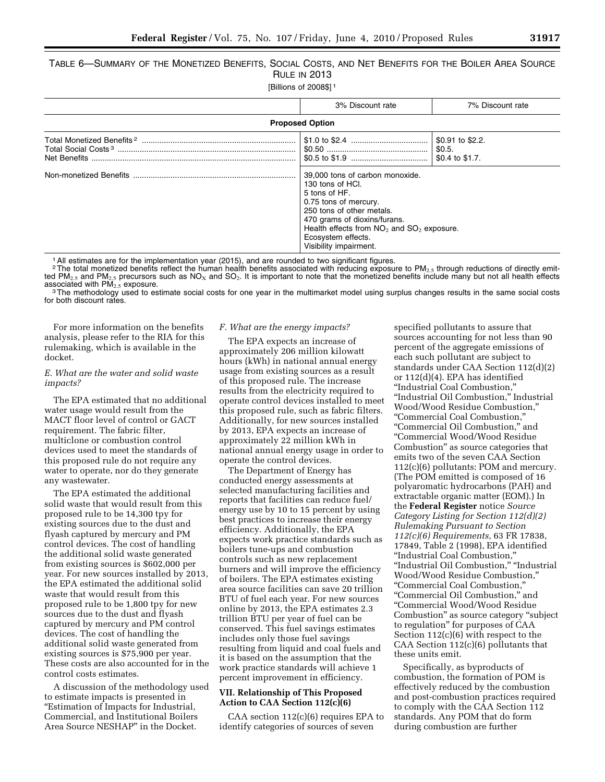TABLE 6—SUMMARY OF THE MONETIZED BENEFITS, SOCIAL COSTS, AND NET BENEFITS FOR THE BOILER AREA SOURCE **RULE IN 2013** 

[Billions of 2008\$] 1

| 3% Discount rate                                                                                                                                                                                                                                            | 7% Discount rate                                |  |
|-------------------------------------------------------------------------------------------------------------------------------------------------------------------------------------------------------------------------------------------------------------|-------------------------------------------------|--|
| <b>Proposed Option</b>                                                                                                                                                                                                                                      |                                                 |  |
|                                                                                                                                                                                                                                                             | \$0.91 to \$2.2.<br>  \$0.5.<br>\$0.4 to \$1.7. |  |
| 39,000 tons of carbon monoxide.<br>130 tons of HCI.<br>5 tons of HF.<br>0.75 tons of mercury.<br>250 tons of other metals.<br>470 grams of dioxins/furans.<br>Health effects from $NO2$ and $SO2$ exposure.<br>Ecosystem effects.<br>Visibility impairment. |                                                 |  |

1All estimates are for the implementation year (2015), and are rounded to two significant figures.

<sup>2</sup> The total monetized benefits reflect the human health benefits associated with reducing exposure to PM<sub>2.5</sub> through reductions of directly emitted PM<sub>2.5</sub> and PM<sub>2.5</sub> precursors such as NO<sub>x</sub> and SO<sub>2</sub>. It is importan

associated with PM<sub>2.5</sub> exposure.<br><sup>3</sup>The methodology used to estimate social costs for one year in the multimarket model using surplus changes results in the same social costs for both discount rates.

For more information on the benefits analysis, please refer to the RIA for this rulemaking, which is available in the docket.

# *E. What are the water and solid waste impacts?*

The EPA estimated that no additional water usage would result from the MACT floor level of control or GACT requirement. The fabric filter, multiclone or combustion control devices used to meet the standards of this proposed rule do not require any water to operate, nor do they generate any wastewater.

The EPA estimated the additional solid waste that would result from this proposed rule to be 14,300 tpy for existing sources due to the dust and flyash captured by mercury and PM control devices. The cost of handling the additional solid waste generated from existing sources is \$602,000 per year. For new sources installed by 2013, the EPA estimated the additional solid waste that would result from this proposed rule to be 1,800 tpy for new sources due to the dust and flyash captured by mercury and PM control devices. The cost of handling the additional solid waste generated from existing sources is \$75,900 per year. These costs are also accounted for in the control costs estimates.

A discussion of the methodology used to estimate impacts is presented in ''Estimation of Impacts for Industrial, Commercial, and Institutional Boilers Area Source NESHAP'' in the Docket.

#### *F. What are the energy impacts?*

The EPA expects an increase of approximately 206 million kilowatt hours (kWh) in national annual energy usage from existing sources as a result of this proposed rule. The increase results from the electricity required to operate control devices installed to meet this proposed rule, such as fabric filters. Additionally, for new sources installed by 2013, EPA expects an increase of approximately 22 million kWh in national annual energy usage in order to operate the control devices.

The Department of Energy has conducted energy assessments at selected manufacturing facilities and reports that facilities can reduce fuel/ energy use by 10 to 15 percent by using best practices to increase their energy efficiency. Additionally, the EPA expects work practice standards such as boilers tune-ups and combustion controls such as new replacement burners and will improve the efficiency of boilers. The EPA estimates existing area source facilities can save 20 trillion BTU of fuel each year. For new sources online by 2013, the EPA estimates 2.3 trillion BTU per year of fuel can be conserved. This fuel savings estimates includes only those fuel savings resulting from liquid and coal fuels and it is based on the assumption that the work practice standards will achieve 1 percent improvement in efficiency.

# **VII. Relationship of This Proposed Action to CAA Section 112(c)(6)**

CAA section 112(c)(6) requires EPA to identify categories of sources of seven

specified pollutants to assure that sources accounting for not less than 90 percent of the aggregate emissions of each such pollutant are subject to standards under CAA Section 112(d)(2) or 112(d)(4). EPA has identified ''Industrial Coal Combustion,'' ''Industrial Oil Combustion,'' Industrial Wood/Wood Residue Combustion,'' ''Commercial Coal Combustion,'' ''Commercial Oil Combustion,'' and ''Commercial Wood/Wood Residue Combustion'' as source categories that emits two of the seven CAA Section 112(c)(6) pollutants: POM and mercury. (The POM emitted is composed of 16 polyaromatic hydrocarbons (PAH) and extractable organic matter (EOM).) In the **Federal Register** notice *Source Category Listing for Section 112(d)(2) Rulemaking Pursuant to Section 112(c)(6) Requirements,* 63 FR 17838, 17849, Table 2 (1998), EPA identified ''Industrial Coal Combustion,'' ''Industrial Oil Combustion,'' ''Industrial Wood/Wood Residue Combustion,'' ''Commercial Coal Combustion,'' ''Commercial Oil Combustion,'' and ''Commercial Wood/Wood Residue Combustion'' as source category ''subject to regulation'' for purposes of CAA Section 112(c)(6) with respect to the CAA Section 112(c)(6) pollutants that these units emit.

Specifically, as byproducts of combustion, the formation of POM is effectively reduced by the combustion and post-combustion practices required to comply with the CAA Section 112 standards. Any POM that do form during combustion are further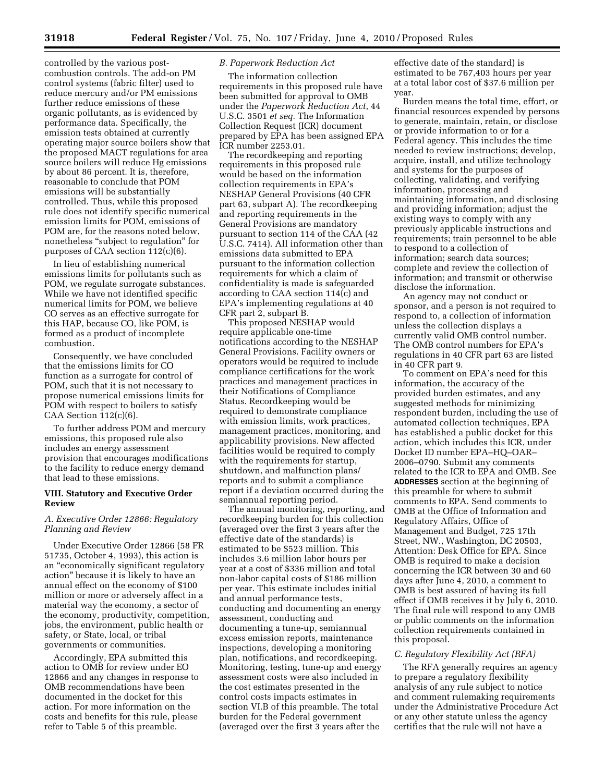controlled by the various postcombustion controls. The add-on PM control systems (fabric filter) used to reduce mercury and/or PM emissions further reduce emissions of these organic pollutants, as is evidenced by performance data. Specifically, the emission tests obtained at currently operating major source boilers show that the proposed MACT regulations for area source boilers will reduce Hg emissions by about 86 percent. It is, therefore, reasonable to conclude that POM emissions will be substantially controlled. Thus, while this proposed rule does not identify specific numerical emission limits for POM, emissions of POM are, for the reasons noted below, nonetheless ''subject to regulation'' for purposes of CAA section 112(c)(6).

In lieu of establishing numerical emissions limits for pollutants such as POM, we regulate surrogate substances. While we have not identified specific numerical limits for POM, we believe CO serves as an effective surrogate for this HAP, because CO, like POM, is formed as a product of incomplete combustion.

Consequently, we have concluded that the emissions limits for CO function as a surrogate for control of POM, such that it is not necessary to propose numerical emissions limits for POM with respect to boilers to satisfy CAA Section  $112(c)(6)$ .

To further address POM and mercury emissions, this proposed rule also includes an energy assessment provision that encourages modifications to the facility to reduce energy demand that lead to these emissions.

# **VIII. Statutory and Executive Order Review**

# *A. Executive Order 12866: Regulatory Planning and Review*

Under Executive Order 12866 (58 FR 51735, October 4, 1993), this action is an ''economically significant regulatory action'' because it is likely to have an annual effect on the economy of \$100 million or more or adversely affect in a material way the economy, a sector of the economy, productivity, competition, jobs, the environment, public health or safety, or State, local, or tribal governments or communities.

Accordingly, EPA submitted this action to OMB for review under EO 12866 and any changes in response to OMB recommendations have been documented in the docket for this action. For more information on the costs and benefits for this rule, please refer to Table 5 of this preamble.

# *B. Paperwork Reduction Act*

The information collection requirements in this proposed rule have been submitted for approval to OMB under the *Paperwork Reduction Act*, 44 U.S.C. 3501 *et seq.* The Information Collection Request (ICR) document prepared by EPA has been assigned EPA ICR number 2253.01.

The recordkeeping and reporting requirements in this proposed rule would be based on the information collection requirements in EPA's NESHAP General Provisions (40 CFR part 63, subpart A). The recordkeeping and reporting requirements in the General Provisions are mandatory pursuant to section 114 of the CAA (42 U.S.C. 7414). All information other than emissions data submitted to EPA pursuant to the information collection requirements for which a claim of confidentiality is made is safeguarded according to CAA section 114(c) and EPA's implementing regulations at 40 CFR part 2, subpart B.

This proposed NESHAP would require applicable one-time notifications according to the NESHAP General Provisions. Facility owners or operators would be required to include compliance certifications for the work practices and management practices in their Notifications of Compliance Status. Recordkeeping would be required to demonstrate compliance with emission limits, work practices, management practices, monitoring, and applicability provisions. New affected facilities would be required to comply with the requirements for startup, shutdown, and malfunction plans/ reports and to submit a compliance report if a deviation occurred during the semiannual reporting period.

The annual monitoring, reporting, and recordkeeping burden for this collection (averaged over the first 3 years after the effective date of the standards) is estimated to be \$523 million. This includes 3.6 million labor hours per year at a cost of \$336 million and total non-labor capital costs of \$186 million per year. This estimate includes initial and annual performance tests, conducting and documenting an energy assessment, conducting and documenting a tune-up, semiannual excess emission reports, maintenance inspections, developing a monitoring plan, notifications, and recordkeeping. Monitoring, testing, tune-up and energy assessment costs were also included in the cost estimates presented in the control costs impacts estimates in section VI.B of this preamble. The total burden for the Federal government (averaged over the first 3 years after the

effective date of the standard) is estimated to be 767,403 hours per year at a total labor cost of \$37.6 million per year.

Burden means the total time, effort, or financial resources expended by persons to generate, maintain, retain, or disclose or provide information to or for a Federal agency. This includes the time needed to review instructions; develop, acquire, install, and utilize technology and systems for the purposes of collecting, validating, and verifying information, processing and maintaining information, and disclosing and providing information; adjust the existing ways to comply with any previously applicable instructions and requirements; train personnel to be able to respond to a collection of information; search data sources; complete and review the collection of information; and transmit or otherwise disclose the information.

An agency may not conduct or sponsor, and a person is not required to respond to, a collection of information unless the collection displays a currently valid OMB control number. The OMB control numbers for EPA's regulations in 40 CFR part 63 are listed in 40 CFR part 9.

To comment on EPA's need for this information, the accuracy of the provided burden estimates, and any suggested methods for minimizing respondent burden, including the use of automated collection techniques, EPA has established a public docket for this action, which includes this ICR, under Docket ID number EPA–HQ–OAR– 2006–0790. Submit any comments related to the ICR to EPA and OMB. See **ADDRESSES** section at the beginning of this preamble for where to submit comments to EPA. Send comments to OMB at the Office of Information and Regulatory Affairs, Office of Management and Budget, 725 17th Street, NW., Washington, DC 20503, Attention: Desk Office for EPA. Since OMB is required to make a decision concerning the ICR between 30 and 60 days after June 4, 2010, a comment to OMB is best assured of having its full effect if OMB receives it by July 6, 2010. The final rule will respond to any OMB or public comments on the information collection requirements contained in this proposal.

# *C. Regulatory Flexibility Act (RFA)*

The RFA generally requires an agency to prepare a regulatory flexibility analysis of any rule subject to notice and comment rulemaking requirements under the Administrative Procedure Act or any other statute unless the agency certifies that the rule will not have a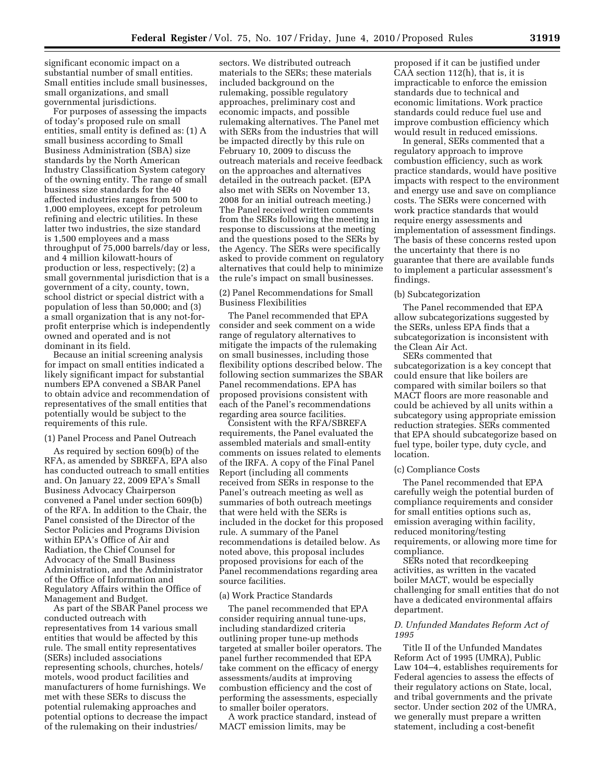significant economic impact on a substantial number of small entities. Small entities include small businesses, small organizations, and small governmental jurisdictions.

For purposes of assessing the impacts of today's proposed rule on small entities, small entity is defined as: (1) A small business according to Small Business Administration (SBA) size standards by the North American Industry Classification System category of the owning entity. The range of small business size standards for the 40 affected industries ranges from 500 to 1,000 employees, except for petroleum refining and electric utilities. In these latter two industries, the size standard is 1,500 employees and a mass throughput of 75,000 barrels/day or less, and 4 million kilowatt-hours of production or less, respectively; (2) a small governmental jurisdiction that is a government of a city, county, town, school district or special district with a population of less than 50,000; and (3) a small organization that is any not-forprofit enterprise which is independently owned and operated and is not dominant in its field.

Because an initial screening analysis for impact on small entities indicated a likely significant impact for substantial numbers EPA convened a SBAR Panel to obtain advice and recommendation of representatives of the small entities that potentially would be subject to the requirements of this rule.

#### (1) Panel Process and Panel Outreach

As required by section 609(b) of the RFA, as amended by SBREFA, EPA also has conducted outreach to small entities and. On January 22, 2009 EPA's Small Business Advocacy Chairperson convened a Panel under section 609(b) of the RFA. In addition to the Chair, the Panel consisted of the Director of the Sector Policies and Programs Division within EPA's Office of Air and Radiation, the Chief Counsel for Advocacy of the Small Business Administration, and the Administrator of the Office of Information and Regulatory Affairs within the Office of Management and Budget.

As part of the SBAR Panel process we conducted outreach with representatives from 14 various small entities that would be affected by this rule. The small entity representatives (SERs) included associations representing schools, churches, hotels/ motels, wood product facilities and manufacturers of home furnishings. We met with these SERs to discuss the potential rulemaking approaches and potential options to decrease the impact of the rulemaking on their industries/

sectors. We distributed outreach materials to the SERs; these materials included background on the rulemaking, possible regulatory approaches, preliminary cost and economic impacts, and possible rulemaking alternatives. The Panel met with SERs from the industries that will be impacted directly by this rule on February 10, 2009 to discuss the outreach materials and receive feedback on the approaches and alternatives detailed in the outreach packet. (EPA also met with SERs on November 13, 2008 for an initial outreach meeting.) The Panel received written comments from the SERs following the meeting in response to discussions at the meeting and the questions posed to the SERs by the Agency. The SERs were specifically asked to provide comment on regulatory alternatives that could help to minimize the rule's impact on small businesses.

(2) Panel Recommendations for Small Business Flexibilities

The Panel recommended that EPA consider and seek comment on a wide range of regulatory alternatives to mitigate the impacts of the rulemaking on small businesses, including those flexibility options described below. The following section summarizes the SBAR Panel recommendations. EPA has proposed provisions consistent with each of the Panel's recommendations regarding area source facilities.

Consistent with the RFA/SBREFA requirements, the Panel evaluated the assembled materials and small-entity comments on issues related to elements of the IRFA. A copy of the Final Panel Report (including all comments received from SERs in response to the Panel's outreach meeting as well as summaries of both outreach meetings that were held with the SERs is included in the docket for this proposed rule. A summary of the Panel recommendations is detailed below. As noted above, this proposal includes proposed provisions for each of the Panel recommendations regarding area source facilities.

# (a) Work Practice Standards

The panel recommended that EPA consider requiring annual tune-ups, including standardized criteria outlining proper tune-up methods targeted at smaller boiler operators. The panel further recommended that EPA take comment on the efficacy of energy assessments/audits at improving combustion efficiency and the cost of performing the assessments, especially to smaller boiler operators.

A work practice standard, instead of MACT emission limits, may be

proposed if it can be justified under CAA section 112(h), that is, it is impracticable to enforce the emission standards due to technical and economic limitations. Work practice standards could reduce fuel use and improve combustion efficiency which would result in reduced emissions.

In general, SERs commented that a regulatory approach to improve combustion efficiency, such as work practice standards, would have positive impacts with respect to the environment and energy use and save on compliance costs. The SERs were concerned with work practice standards that would require energy assessments and implementation of assessment findings. The basis of these concerns rested upon the uncertainty that there is no guarantee that there are available funds to implement a particular assessment's findings.

#### (b) Subcategorization

The Panel recommended that EPA allow subcategorizations suggested by the SERs, unless EPA finds that a subcategorization is inconsistent with the Clean Air Act.

SERs commented that subcategorization is a key concept that could ensure that like boilers are compared with similar boilers so that MACT floors are more reasonable and could be achieved by all units within a subcategory using appropriate emission reduction strategies. SERs commented that EPA should subcategorize based on fuel type, boiler type, duty cycle, and location.

# (c) Compliance Costs

The Panel recommended that EPA carefully weigh the potential burden of compliance requirements and consider for small entities options such as, emission averaging within facility, reduced monitoring/testing requirements, or allowing more time for compliance.

SERs noted that recordkeeping activities, as written in the vacated boiler MACT, would be especially challenging for small entities that do not have a dedicated environmental affairs department.

# *D. Unfunded Mandates Reform Act of 1995*

Title II of the Unfunded Mandates Reform Act of 1995 (UMRA), Public Law 104–4, establishes requirements for Federal agencies to assess the effects of their regulatory actions on State, local, and tribal governments and the private sector. Under section 202 of the UMRA, we generally must prepare a written statement, including a cost-benefit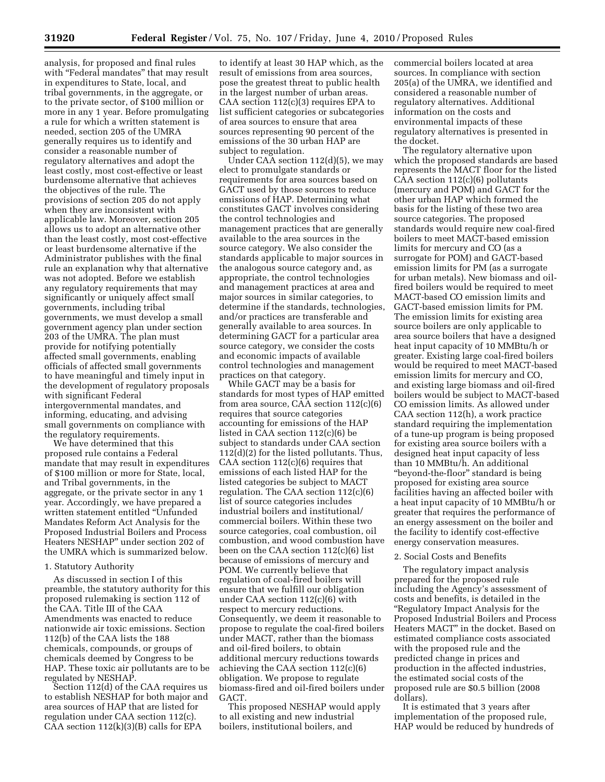analysis, for proposed and final rules with "Federal mandates" that may result in expenditures to State, local, and tribal governments, in the aggregate, or to the private sector, of \$100 million or more in any 1 year. Before promulgating a rule for which a written statement is needed, section 205 of the UMRA generally requires us to identify and consider a reasonable number of regulatory alternatives and adopt the least costly, most cost-effective or least burdensome alternative that achieves the objectives of the rule. The provisions of section 205 do not apply when they are inconsistent with applicable law. Moreover, section 205 allows us to adopt an alternative other than the least costly, most cost-effective or least burdensome alternative if the Administrator publishes with the final rule an explanation why that alternative was not adopted. Before we establish any regulatory requirements that may significantly or uniquely affect small governments, including tribal governments, we must develop a small government agency plan under section 203 of the UMRA. The plan must provide for notifying potentially affected small governments, enabling officials of affected small governments to have meaningful and timely input in the development of regulatory proposals with significant Federal intergovernmental mandates, and informing, educating, and advising small governments on compliance with the regulatory requirements.

We have determined that this proposed rule contains a Federal mandate that may result in expenditures of \$100 million or more for State, local, and Tribal governments, in the aggregate, or the private sector in any 1 year. Accordingly, we have prepared a written statement entitled ''Unfunded Mandates Reform Act Analysis for the Proposed Industrial Boilers and Process Heaters NESHAP'' under section 202 of the UMRA which is summarized below.

#### 1. Statutory Authority

As discussed in section I of this preamble, the statutory authority for this proposed rulemaking is section 112 of the CAA. Title III of the CAA Amendments was enacted to reduce nationwide air toxic emissions. Section 112(b) of the CAA lists the 188 chemicals, compounds, or groups of chemicals deemed by Congress to be HAP. These toxic air pollutants are to be regulated by NESHAP.

Section 112(d) of the CAA requires us to establish NESHAP for both major and area sources of HAP that are listed for regulation under CAA section 112(c). CAA section  $112(k)(3)(B)$  calls for EPA

to identify at least 30 HAP which, as the result of emissions from area sources, pose the greatest threat to public health in the largest number of urban areas. CAA section  $112(c)(3)$  requires EPA to list sufficient categories or subcategories of area sources to ensure that area sources representing 90 percent of the emissions of the 30 urban HAP are subject to regulation.

Under CAA section 112(d)(5), we may elect to promulgate standards or requirements for area sources based on GACT used by those sources to reduce emissions of HAP. Determining what constitutes GACT involves considering the control technologies and management practices that are generally available to the area sources in the source category. We also consider the standards applicable to major sources in the analogous source category and, as appropriate, the control technologies and management practices at area and major sources in similar categories, to determine if the standards, technologies, and/or practices are transferable and generally available to area sources. In determining GACT for a particular area source category, we consider the costs and economic impacts of available control technologies and management practices on that category.

While GACT may be a basis for standards for most types of HAP emitted from area source, CAA section 112(c)(6) requires that source categories accounting for emissions of the HAP listed in CAA section 112(c)(6) be subject to standards under CAA section 112(d)(2) for the listed pollutants. Thus, CAA section 112(c)(6) requires that emissions of each listed HAP for the listed categories be subject to MACT regulation. The CAA section 112(c)(6) list of source categories includes industrial boilers and institutional/ commercial boilers. Within these two source categories, coal combustion, oil combustion, and wood combustion have been on the CAA section 112(c)(6) list because of emissions of mercury and POM. We currently believe that regulation of coal-fired boilers will ensure that we fulfill our obligation under CAA section 112(c)(6) with respect to mercury reductions. Consequently, we deem it reasonable to propose to regulate the coal-fired boilers under MACT, rather than the biomass and oil-fired boilers, to obtain additional mercury reductions towards achieving the CAA section 112(c)(6) obligation. We propose to regulate biomass-fired and oil-fired boilers under GACT.

This proposed NESHAP would apply to all existing and new industrial boilers, institutional boilers, and

commercial boilers located at area sources. In compliance with section 205(a) of the UMRA, we identified and considered a reasonable number of regulatory alternatives. Additional information on the costs and environmental impacts of these regulatory alternatives is presented in the docket.

The regulatory alternative upon which the proposed standards are based represents the MACT floor for the listed CAA section 112(c)(6) pollutants (mercury and POM) and GACT for the other urban HAP which formed the basis for the listing of these two area source categories. The proposed standards would require new coal-fired boilers to meet MACT-based emission limits for mercury and CO (as a surrogate for POM) and GACT-based emission limits for PM (as a surrogate for urban metals). New biomass and oilfired boilers would be required to meet MACT-based CO emission limits and GACT-based emission limits for PM. The emission limits for existing area source boilers are only applicable to area source boilers that have a designed heat input capacity of 10 MMBtu/h or greater. Existing large coal-fired boilers would be required to meet MACT-based emission limits for mercury and CO, and existing large biomass and oil-fired boilers would be subject to MACT-based CO emission limits. As allowed under CAA section 112(h), a work practice standard requiring the implementation of a tune-up program is being proposed for existing area source boilers with a designed heat input capacity of less than 10 MMBtu/h. An additional "beyond-the-floor" standard is being proposed for existing area source facilities having an affected boiler with a heat input capacity of 10 MMBtu/h or greater that requires the performance of an energy assessment on the boiler and the facility to identify cost-effective energy conservation measures.

#### 2. Social Costs and Benefits

The regulatory impact analysis prepared for the proposed rule including the Agency's assessment of costs and benefits, is detailed in the ''Regulatory Impact Analysis for the Proposed Industrial Boilers and Process Heaters MACT'' in the docket. Based on estimated compliance costs associated with the proposed rule and the predicted change in prices and production in the affected industries, the estimated social costs of the proposed rule are \$0.5 billion (2008 dollars).

It is estimated that 3 years after implementation of the proposed rule, HAP would be reduced by hundreds of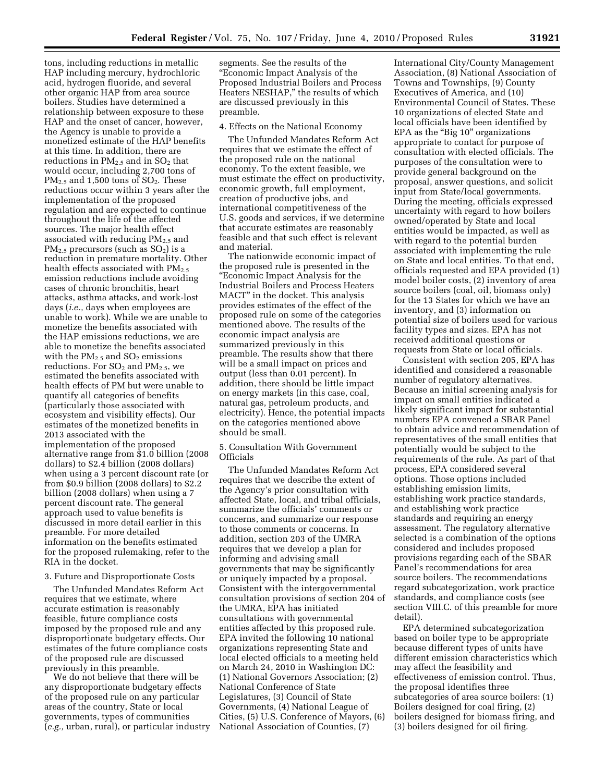tons, including reductions in metallic HAP including mercury, hydrochloric acid, hydrogen fluoride, and several other organic HAP from area source boilers. Studies have determined a relationship between exposure to these HAP and the onset of cancer, however, the Agency is unable to provide a monetized estimate of the HAP benefits at this time. In addition, there are reductions in  $PM_{2.5}$  and in  $SO_2$  that would occur, including 2,700 tons of  $PM_{2.5}$  and 1,500 tons of SO<sub>2</sub>. These reductions occur within 3 years after the implementation of the proposed regulation and are expected to continue throughout the life of the affected sources. The major health effect associated with reducing  $PM_{2.5}$  and  $PM_{2.5}$  precursors (such as  $SO_2$ ) is a reduction in premature mortality. Other health effects associated with  $PM<sub>2.5</sub>$ emission reductions include avoiding cases of chronic bronchitis, heart attacks, asthma attacks, and work-lost days (*i.e.,* days when employees are unable to work). While we are unable to monetize the benefits associated with the HAP emissions reductions, we are able to monetize the benefits associated with the  $PM_{2.5}$  and  $SO_2$  emissions reductions. For  $SO_2$  and  $PM_{2.5}$ , we estimated the benefits associated with health effects of PM but were unable to quantify all categories of benefits (particularly those associated with ecosystem and visibility effects). Our estimates of the monetized benefits in 2013 associated with the implementation of the proposed alternative range from \$1.0 billion (2008 dollars) to \$2.4 billion (2008 dollars) when using a 3 percent discount rate (or from \$0.9 billion (2008 dollars) to \$2.2 billion (2008 dollars) when using a 7 percent discount rate. The general approach used to value benefits is discussed in more detail earlier in this preamble. For more detailed information on the benefits estimated for the proposed rulemaking, refer to the RIA in the docket.

#### 3. Future and Disproportionate Costs

The Unfunded Mandates Reform Act requires that we estimate, where accurate estimation is reasonably feasible, future compliance costs imposed by the proposed rule and any disproportionate budgetary effects. Our estimates of the future compliance costs of the proposed rule are discussed previously in this preamble.

We do not believe that there will be any disproportionate budgetary effects of the proposed rule on any particular areas of the country, State or local governments, types of communities (*e.g.,* urban, rural), or particular industry

segments. See the results of the ''Economic Impact Analysis of the Proposed Industrial Boilers and Process Heaters NESHAP,'' the results of which are discussed previously in this preamble.

#### 4. Effects on the National Economy

The Unfunded Mandates Reform Act requires that we estimate the effect of the proposed rule on the national economy. To the extent feasible, we must estimate the effect on productivity, economic growth, full employment, creation of productive jobs, and international competitiveness of the U.S. goods and services, if we determine that accurate estimates are reasonably feasible and that such effect is relevant and material.

The nationwide economic impact of the proposed rule is presented in the ''Economic Impact Analysis for the Industrial Boilers and Process Heaters MACT'' in the docket. This analysis provides estimates of the effect of the proposed rule on some of the categories mentioned above. The results of the economic impact analysis are summarized previously in this preamble. The results show that there will be a small impact on prices and output (less than 0.01 percent). In addition, there should be little impact on energy markets (in this case, coal, natural gas, petroleum products, and electricity). Hence, the potential impacts on the categories mentioned above should be small.

# 5. Consultation With Government Officials

The Unfunded Mandates Reform Act requires that we describe the extent of the Agency's prior consultation with affected State, local, and tribal officials, summarize the officials' comments or concerns, and summarize our response to those comments or concerns. In addition, section 203 of the UMRA requires that we develop a plan for informing and advising small governments that may be significantly or uniquely impacted by a proposal. Consistent with the intergovernmental consultation provisions of section 204 of the UMRA, EPA has initiated consultations with governmental entities affected by this proposed rule. EPA invited the following 10 national organizations representing State and local elected officials to a meeting held on March 24, 2010 in Washington DC: (1) National Governors Association; (2) National Conference of State Legislatures, (3) Council of State Governments, (4) National League of Cities, (5) U.S. Conference of Mayors, (6) National Association of Counties, (7)

International City/County Management Association, (8) National Association of Towns and Townships, (9) County Executives of America, and (10) Environmental Council of States. These 10 organizations of elected State and local officials have been identified by EPA as the "Big 10" organizations appropriate to contact for purpose of consultation with elected officials. The purposes of the consultation were to provide general background on the proposal, answer questions, and solicit input from State/local governments. During the meeting, officials expressed uncertainty with regard to how boilers owned/operated by State and local entities would be impacted, as well as with regard to the potential burden associated with implementing the rule on State and local entities. To that end, officials requested and EPA provided (1) model boiler costs, (2) inventory of area source boilers (coal, oil, biomass only) for the 13 States for which we have an inventory, and (3) information on potential size of boilers used for various facility types and sizes. EPA has not received additional questions or requests from State or local officials.

Consistent with section 205, EPA has identified and considered a reasonable number of regulatory alternatives. Because an initial screening analysis for impact on small entities indicated a likely significant impact for substantial numbers EPA convened a SBAR Panel to obtain advice and recommendation of representatives of the small entities that potentially would be subject to the requirements of the rule. As part of that process, EPA considered several options. Those options included establishing emission limits, establishing work practice standards, and establishing work practice standards and requiring an energy assessment. The regulatory alternative selected is a combination of the options considered and includes proposed provisions regarding each of the SBAR Panel's recommendations for area source boilers. The recommendations regard subcategorization, work practice standards, and compliance costs (see section VIII.C. of this preamble for more detail).

EPA determined subcategorization based on boiler type to be appropriate because different types of units have different emission characteristics which may affect the feasibility and effectiveness of emission control. Thus, the proposal identifies three subcategories of area source boilers: (1) Boilers designed for coal firing, (2) boilers designed for biomass firing, and (3) boilers designed for oil firing.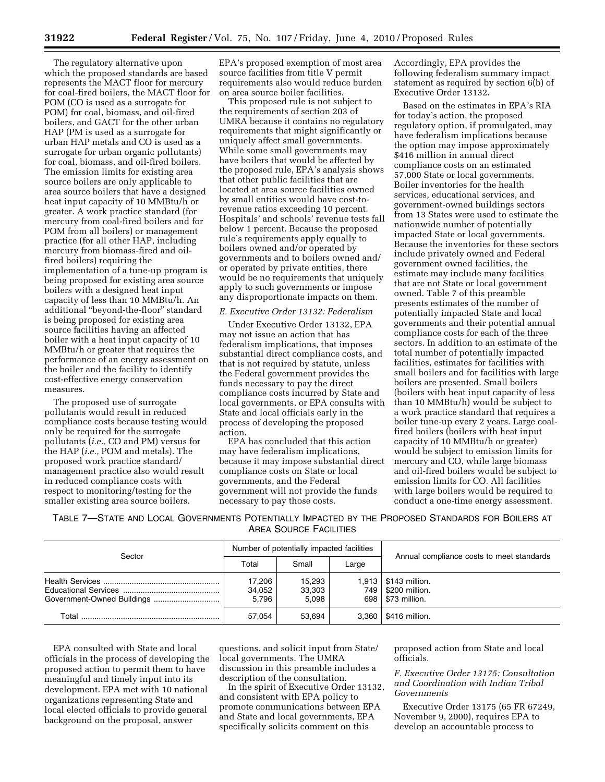The regulatory alternative upon which the proposed standards are based represents the MACT floor for mercury for coal-fired boilers, the MACT floor for POM (CO is used as a surrogate for POM) for coal, biomass, and oil-fired boilers, and GACT for the other urban HAP (PM is used as a surrogate for urban HAP metals and CO is used as a surrogate for urban organic pollutants) for coal, biomass, and oil-fired boilers. The emission limits for existing area source boilers are only applicable to area source boilers that have a designed heat input capacity of 10 MMBtu/h or greater. A work practice standard (for mercury from coal-fired boilers and for POM from all boilers) or management practice (for all other HAP, including mercury from biomass-fired and oilfired boilers) requiring the implementation of a tune-up program is being proposed for existing area source boilers with a designed heat input capacity of less than 10 MMBtu/h. An additional ''beyond-the-floor'' standard is being proposed for existing area source facilities having an affected boiler with a heat input capacity of 10 MMBtu/h or greater that requires the performance of an energy assessment on the boiler and the facility to identify cost-effective energy conservation measures.

The proposed use of surrogate pollutants would result in reduced compliance costs because testing would only be required for the surrogate pollutants (*i.e.,* CO and PM) versus for the HAP (*i.e.,* POM and metals). The proposed work practice standard/ management practice also would result in reduced compliance costs with respect to monitoring/testing for the smaller existing area source boilers.

EPA's proposed exemption of most area source facilities from title V permit requirements also would reduce burden on area source boiler facilities.

This proposed rule is not subject to the requirements of section 203 of UMRA because it contains no regulatory requirements that might significantly or uniquely affect small governments. While some small governments may have boilers that would be affected by the proposed rule, EPA's analysis shows that other public facilities that are located at area source facilities owned by small entities would have cost-torevenue ratios exceeding 10 percent. Hospitals' and schools' revenue tests fall below 1 percent. Because the proposed rule's requirements apply equally to boilers owned and/or operated by governments and to boilers owned and/ or operated by private entities, there would be no requirements that uniquely apply to such governments or impose any disproportionate impacts on them.

#### *E. Executive Order 13132: Federalism*

Under Executive Order 13132, EPA may not issue an action that has federalism implications, that imposes substantial direct compliance costs, and that is not required by statute, unless the Federal government provides the funds necessary to pay the direct compliance costs incurred by State and local governments, or EPA consults with State and local officials early in the process of developing the proposed action.

EPA has concluded that this action may have federalism implications, because it may impose substantial direct compliance costs on State or local governments, and the Federal government will not provide the funds necessary to pay those costs.

Accordingly, EPA provides the following federalism summary impact statement as required by section 6(b) of Executive Order 13132.

Based on the estimates in EPA's RIA for today's action, the proposed regulatory option, if promulgated, may have federalism implications because the option may impose approximately \$416 million in annual direct compliance costs on an estimated 57,000 State or local governments. Boiler inventories for the health services, educational services, and government-owned buildings sectors from 13 States were used to estimate the nationwide number of potentially impacted State or local governments. Because the inventories for these sectors include privately owned and Federal government owned facilities, the estimate may include many facilities that are not State or local government owned. Table 7 of this preamble presents estimates of the number of potentially impacted State and local governments and their potential annual compliance costs for each of the three sectors. In addition to an estimate of the total number of potentially impacted facilities, estimates for facilities with small boilers and for facilities with large boilers are presented. Small boilers (boilers with heat input capacity of less than 10 MMBtu/h) would be subject to a work practice standard that requires a boiler tune-up every 2 years. Large coalfired boilers (boilers with heat input capacity of 10 MMBtu/h or greater) would be subject to emission limits for mercury and CO, while large biomass and oil-fired boilers would be subject to emission limits for CO. All facilities with large boilers would be required to conduct a one-time energy assessment.

TABLE 7—STATE AND LOCAL GOVERNMENTS POTENTIALLY IMPACTED BY THE PROPOSED STANDARDS FOR BOILERS AT AREA SOURCE FACILITIES

| Sector | Number of potentially impacted facilities |                           |       | Annual compliance costs to meet standards                               |
|--------|-------------------------------------------|---------------------------|-------|-------------------------------------------------------------------------|
|        | Total                                     | Small                     | Large |                                                                         |
|        | 17.206<br>34,052<br>5.796                 | 15.293<br>33,303<br>5.098 |       | $1,913$   \$143 million.<br>749   \$200 million.<br>698   \$73 million. |
|        | 57.054                                    | 53.694                    |       | 3,360   \$416 million.                                                  |

EPA consulted with State and local officials in the process of developing the proposed action to permit them to have meaningful and timely input into its development. EPA met with 10 national organizations representing State and local elected officials to provide general background on the proposal, answer

questions, and solicit input from State/ local governments. The UMRA discussion in this preamble includes a description of the consultation.

In the spirit of Executive Order 13132, and consistent with EPA policy to promote communications between EPA and State and local governments, EPA specifically solicits comment on this

proposed action from State and local officials.

*F. Executive Order 13175: Consultation and Coordination with Indian Tribal Governments* 

Executive Order 13175 (65 FR 67249, November 9, 2000), requires EPA to develop an accountable process to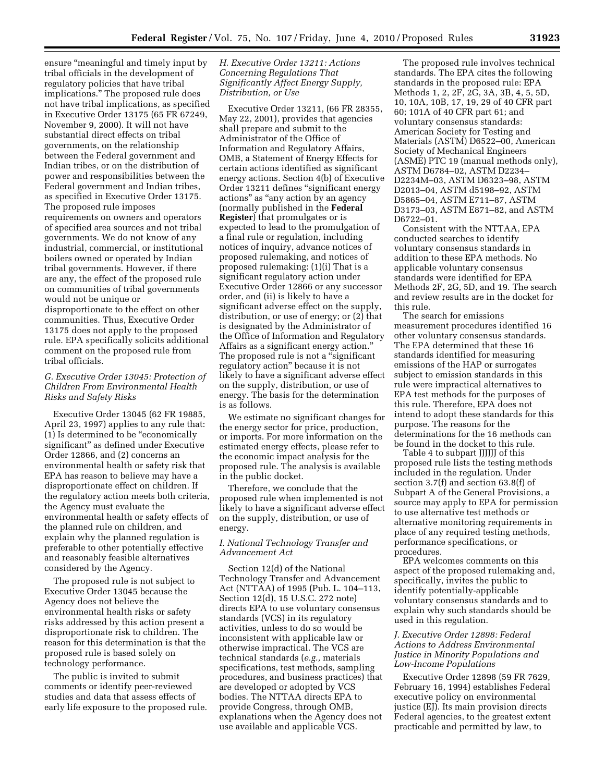ensure "meaningful and timely input by tribal officials in the development of regulatory policies that have tribal implications.'' The proposed rule does not have tribal implications, as specified in Executive Order 13175 (65 FR 67249, November 9, 2000). It will not have substantial direct effects on tribal governments, on the relationship between the Federal government and Indian tribes, or on the distribution of power and responsibilities between the Federal government and Indian tribes, as specified in Executive Order 13175. The proposed rule imposes requirements on owners and operators of specified area sources and not tribal governments. We do not know of any industrial, commercial, or institutional boilers owned or operated by Indian tribal governments. However, if there are any, the effect of the proposed rule on communities of tribal governments would not be unique or disproportionate to the effect on other

communities. Thus, Executive Order 13175 does not apply to the proposed rule. EPA specifically solicits additional comment on the proposed rule from tribal officials.

# *G. Executive Order 13045: Protection of Children From Environmental Health Risks and Safety Risks*

Executive Order 13045 (62 FR 19885, April 23, 1997) applies to any rule that: (1) Is determined to be ''economically significant'' as defined under Executive Order 12866, and (2) concerns an environmental health or safety risk that EPA has reason to believe may have a disproportionate effect on children. If the regulatory action meets both criteria, the Agency must evaluate the environmental health or safety effects of the planned rule on children, and explain why the planned regulation is preferable to other potentially effective and reasonably feasible alternatives considered by the Agency.

The proposed rule is not subject to Executive Order 13045 because the Agency does not believe the environmental health risks or safety risks addressed by this action present a disproportionate risk to children. The reason for this determination is that the proposed rule is based solely on technology performance.

The public is invited to submit comments or identify peer-reviewed studies and data that assess effects of early life exposure to the proposed rule.

# *H. Executive Order 13211: Actions Concerning Regulations That Significantly Affect Energy Supply, Distribution, or Use*

Executive Order 13211, (66 FR 28355, May 22, 2001), provides that agencies shall prepare and submit to the Administrator of the Office of Information and Regulatory Affairs, OMB, a Statement of Energy Effects for certain actions identified as significant energy actions. Section 4(b) of Executive Order 13211 defines ''significant energy actions'' as ''any action by an agency (normally published in the **Federal Register**) that promulgates or is expected to lead to the promulgation of a final rule or regulation, including notices of inquiry, advance notices of proposed rulemaking, and notices of proposed rulemaking: (1)(i) That is a significant regulatory action under Executive Order 12866 or any successor order, and (ii) is likely to have a significant adverse effect on the supply, distribution, or use of energy; or (2) that is designated by the Administrator of the Office of Information and Regulatory Affairs as a significant energy action.'' The proposed rule is not a ''significant regulatory action'' because it is not likely to have a significant adverse effect on the supply, distribution, or use of energy. The basis for the determination is as follows.

We estimate no significant changes for the energy sector for price, production, or imports. For more information on the estimated energy effects, please refer to the economic impact analysis for the proposed rule. The analysis is available in the public docket.

Therefore, we conclude that the proposed rule when implemented is not likely to have a significant adverse effect on the supply, distribution, or use of energy.

# *I. National Technology Transfer and Advancement Act*

Section 12(d) of the National Technology Transfer and Advancement Act (NTTAA) of 1995 (Pub. L. 104–113, Section 12(d), 15 U.S.C. 272 note) directs EPA to use voluntary consensus standards (VCS) in its regulatory activities, unless to do so would be inconsistent with applicable law or otherwise impractical. The VCS are technical standards (*e.g.,* materials specifications, test methods, sampling procedures, and business practices) that are developed or adopted by VCS bodies. The NTTAA directs EPA to provide Congress, through OMB, explanations when the Agency does not use available and applicable VCS.

The proposed rule involves technical standards. The EPA cites the following standards in the proposed rule: EPA Methods 1, 2, 2F, 2G, 3A, 3B, 4, 5, 5D, 10, 10A, 10B, 17, 19, 29 of 40 CFR part 60; 101A of 40 CFR part 61; and voluntary consensus standards: American Society for Testing and Materials (ASTM) D6522–00, American Society of Mechanical Engineers (ASME) PTC 19 (manual methods only), ASTM D6784–02, ASTM D2234– D2234M–03, ASTM D6323–98, ASTM D2013–04, ASTM d5198–92, ASTM D5865–04, ASTM E711–87, ASTM D3173–03, ASTM E871–82, and ASTM D6722–01.

Consistent with the NTTAA, EPA conducted searches to identify voluntary consensus standards in addition to these EPA methods. No applicable voluntary consensus standards were identified for EPA Methods 2F, 2G, 5D, and 19. The search and review results are in the docket for this rule.

The search for emissions measurement procedures identified 16 other voluntary consensus standards. The EPA determined that these 16 standards identified for measuring emissions of the HAP or surrogates subject to emission standards in this rule were impractical alternatives to EPA test methods for the purposes of this rule. Therefore, EPA does not intend to adopt these standards for this purpose. The reasons for the determinations for the 16 methods can be found in the docket to this rule.

Table 4 to subpart JJJJJJ of this proposed rule lists the testing methods included in the regulation. Under section 3.7(f) and section 63.8(f) of Subpart A of the General Provisions, a source may apply to EPA for permission to use alternative test methods or alternative monitoring requirements in place of any required testing methods, performance specifications, or procedures.

EPA welcomes comments on this aspect of the proposed rulemaking and, specifically, invites the public to identify potentially-applicable voluntary consensus standards and to explain why such standards should be used in this regulation.

# *J. Executive Order 12898: Federal Actions to Address Environmental Justice in Minority Populations and Low-Income Populations*

Executive Order 12898 (59 FR 7629, February 16, 1994) establishes Federal executive policy on environmental justice (EJ). Its main provision directs Federal agencies, to the greatest extent practicable and permitted by law, to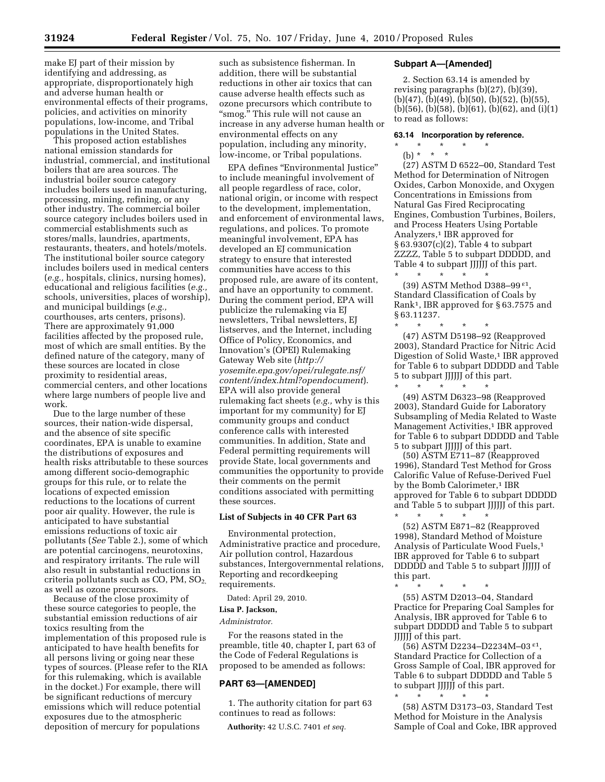make EJ part of their mission by identifying and addressing, as appropriate, disproportionately high and adverse human health or environmental effects of their programs, policies, and activities on minority populations, low-income, and Tribal populations in the United States.

This proposed action establishes national emission standards for industrial, commercial, and institutional boilers that are area sources. The industrial boiler source category includes boilers used in manufacturing, processing, mining, refining, or any other industry. The commercial boiler source category includes boilers used in commercial establishments such as stores/malls, laundries, apartments, restaurants, theaters, and hotels/motels. The institutional boiler source category includes boilers used in medical centers (*e.g.,* hospitals, clinics, nursing homes), educational and religious facilities (*e.g.,*  schools, universities, places of worship), and municipal buildings (*e.g.,*  courthouses, arts centers, prisons). There are approximately 91,000 facilities affected by the proposed rule, most of which are small entities. By the defined nature of the category, many of these sources are located in close proximity to residential areas, commercial centers, and other locations where large numbers of people live and work.

Due to the large number of these sources, their nation-wide dispersal, and the absence of site specific coordinates, EPA is unable to examine the distributions of exposures and health risks attributable to these sources among different socio-demographic groups for this rule, or to relate the locations of expected emission reductions to the locations of current poor air quality. However, the rule is anticipated to have substantial emissions reductions of toxic air pollutants (*See* Table 2.), some of which are potential carcinogens, neurotoxins, and respiratory irritants. The rule will also result in substantial reductions in criteria pollutants such as  $CO$ , PM,  $SO<sub>2</sub>$ , as well as ozone precursors.

Because of the close proximity of these source categories to people, the substantial emission reductions of air toxics resulting from the implementation of this proposed rule is anticipated to have health benefits for all persons living or going near these types of sources. (Please refer to the RIA for this rulemaking, which is available in the docket.) For example, there will be significant reductions of mercury emissions which will reduce potential exposures due to the atmospheric deposition of mercury for populations

such as subsistence fisherman. In addition, there will be substantial reductions in other air toxics that can cause adverse health effects such as ozone precursors which contribute to "smog." This rule will not cause an increase in any adverse human health or environmental effects on any population, including any minority, low-income, or Tribal populations.

EPA defines "Environmental Justice" to include meaningful involvement of all people regardless of race, color, national origin, or income with respect to the development, implementation, and enforcement of environmental laws, regulations, and polices. To promote meaningful involvement, EPA has developed an EJ communication strategy to ensure that interested communities have access to this proposed rule, are aware of its content, and have an opportunity to comment. During the comment period, EPA will publicize the rulemaking via EJ newsletters, Tribal newsletters, EJ listserves, and the Internet, including Office of Policy, Economics, and Innovation's (OPEI) Rulemaking Gateway Web site (*http:// yosemite.epa.gov/opei/rulegate.nsf/ content/index.html?opendocument*). EPA will also provide general rulemaking fact sheets (*e.g.,* why is this important for my community) for EJ community groups and conduct conference calls with interested communities. In addition, State and Federal permitting requirements will provide State, local governments and communities the opportunity to provide their comments on the permit conditions associated with permitting these sources.

# **List of Subjects in 40 CFR Part 63**

Environmental protection, Administrative practice and procedure, Air pollution control, Hazardous substances, Intergovernmental relations, Reporting and recordkeeping requirements.

Dated: April 29, 2010.

# **Lisa P. Jackson,**

#### *Administrator.*

For the reasons stated in the preamble, title 40, chapter I, part 63 of the Code of Federal Regulations is proposed to be amended as follows:

#### **PART 63—[AMENDED]**

1. The authority citation for part 63 continues to read as follows:

**Authority:** 42 U.S.C. 7401 *et seq.* 

#### **Subpart A—[Amended]**

2. Section 63.14 is amended by revising paragraphs (b)(27), (b)(39), (b)(47), (b)(49), (b)(50), (b)(52), (b)(55), (b)(56), (b)(58), (b)(61), (b)(62), and (i)(1) to read as follows:

#### **63.14 Incorporation by reference.**

# \* \* \* \* \*

(b) \* \* \* (27) ASTM D 6522–00, Standard Test Method for Determination of Nitrogen Oxides, Carbon Monoxide, and Oxygen Concentrations in Emissions from Natural Gas Fired Reciprocating Engines, Combustion Turbines, Boilers, and Process Heaters Using Portable Analyzers,<sup>1</sup> IBR approved for § 63.9307(c)(2), Table 4 to subpart ZZZZ, Table 5 to subpart DDDDD, and Table 4 to subpart JJJJJJ of this part. \* \* \* \* \*

(39) ASTM Method D388–99 ε1, Standard Classification of Coals by Rank1, IBR approved for § 63.7575 and § 63.11237.

\* \* \* \* \* (47) ASTM D5198–92 (Reapproved 2003), Standard Practice for Nitric Acid Digestion of Solid Waste,<sup>1</sup> IBR approved for Table 6 to subpart DDDDD and Table 5 to subpart JJJJJJ of this part.

\* \* \* \* \* (49) ASTM D6323–98 (Reapproved 2003), Standard Guide for Laboratory Subsampling of Media Related to Waste Management Activities,<sup>1</sup> IBR approved for Table 6 to subpart DDDDD and Table 5 to subpart JJJJJJ of this part.

(50) ASTM E711–87 (Reapproved 1996), Standard Test Method for Gross Calorific Value of Refuse-Derived Fuel by the Bomb Calorimeter,<sup>1</sup> IBR approved for Table 6 to subpart DDDDD and Table 5 to subpart JJJJJJ of this part. \* \* \* \* \*

(52) ASTM E871–82 (Reapproved 1998), Standard Method of Moisture Analysis of Particulate Wood Fuels,1 IBR approved for Table 6 to subpart DDDDD and Table 5 to subpart JJJJJJ of this part.

\* \* \* \* \* (55) ASTM D2013–04, Standard Practice for Preparing Coal Samples for Analysis, IBR approved for Table 6 to subpart DDDDD and Table 5 to subpart JJJJJJ of this part.

(56) ASTM D2234–D2234M–03 ε1, Standard Practice for Collection of a Gross Sample of Coal, IBR approved for Table 6 to subpart DDDDD and Table 5 to subpart JJJJJJ of this part.

\* \* \* \* \* (58) ASTM D3173–03, Standard Test Method for Moisture in the Analysis Sample of Coal and Coke, IBR approved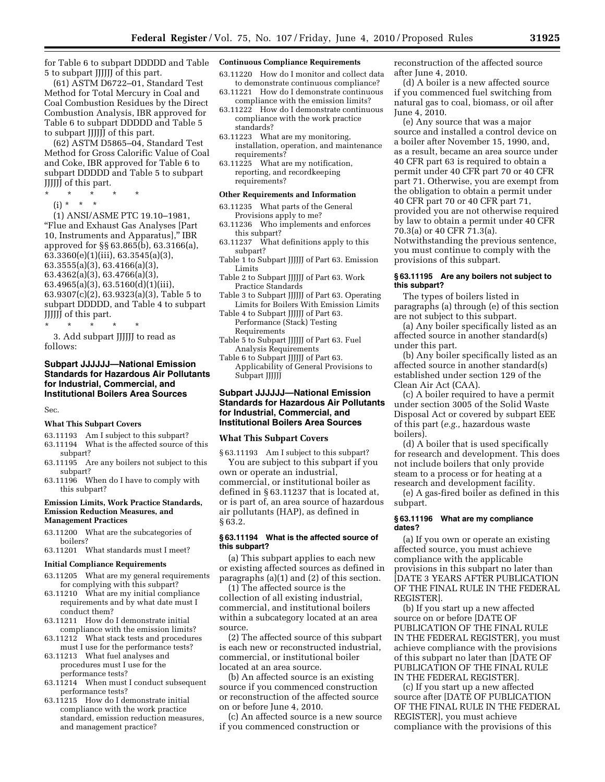for Table 6 to subpart DDDDD and Table 5 to subpart JJJJJJ of this part.

(61) ASTM D6722–01, Standard Test Method for Total Mercury in Coal and Coal Combustion Residues by the Direct Combustion Analysis, IBR approved for Table 6 to subpart DDDDD and Table 5 to subpart JJJJJJ of this part.

(62) ASTM D5865–04, Standard Test Method for Gross Calorific Value of Coal and Coke, IBR approved for Table 6 to subpart DDDDD and Table 5 to subpart JJJJJJ of this part.

- $\star$   $\star$
- (i) \* \* \*

(1) ANSI/ASME PTC 19.10–1981, ''Flue and Exhaust Gas Analyses [Part 10, Instruments and Apparatus],'' IBR approved for §§ 63.865(b), 63.3166(a), 63.3360(e)(1)(iii), 63.3545(a)(3), 63.3555(a)(3), 63.4166(a)(3), 63.4362(a)(3), 63.4766(a)(3), 63.4965(a)(3), 63.5160(d)(1)(iii), 63.9307(c)(2), 63.9323(a)(3), Table 5 to subpart DDDDD, and Table 4 to subpart JJJJJJ of this part.

\* \* \* \* \*

3. Add subpart JJJJJJ to read as follows:

# **Subpart JJJJJJ—National Emission Standards for Hazardous Air Pollutants for Industrial, Commercial, and Institutional Boilers Area Sources**

Sec.

#### **What This Subpart Covers**

63.11193 Am I subject to this subpart? 63.11194 What is the affected source of this subpart?

- 63.11195 Are any boilers not subject to this subpart?
- 63.11196 When do I have to comply with this subpart?

#### **Emission Limits, Work Practice Standards, Emission Reduction Measures, and Management Practices**

- 63.11200 What are the subcategories of boilers?
- 63.11201 What standards must I meet?

# **Initial Compliance Requirements**

- 63.11205 What are my general requirements for complying with this subpart?
- 63.11210 What are my initial compliance requirements and by what date must I conduct them?
- 63.11211 How do I demonstrate initial compliance with the emission limits?
- 63.11212 What stack tests and procedures must I use for the performance tests?
- 63.11213 What fuel analyses and procedures must I use for the performance tests?
- 63.11214 When must I conduct subsequent performance tests?
- 63.11215 How do I demonstrate initial compliance with the work practice standard, emission reduction measures, and management practice?

#### **Continuous Compliance Requirements**

- 63.11220 How do I monitor and collect data to demonstrate continuous compliance?
- 63.11221 How do I demonstrate continuous compliance with the emission limits?
- 63.11222 How do I demonstrate continuous compliance with the work practice standards?
- 63.11223 What are my monitoring, installation, operation, and maintenance requirements?
- 63.11225 What are my notification, reporting, and recordkeeping requirements?

# **Other Requirements and Information**

- 63.11235 What parts of the General Provisions apply to me?
- 63.11236 Who implements and enforces this subpart?
- 63.11237 What definitions apply to this subpart?
- Table 1 to Subpart JJJJJJ of Part 63. Emission Limits
- Table 2 to Subpart JJJJJJ of Part 63. Work Practice Standards
- Table 3 to Subpart JJJJJJ of Part 63. Operating Limits for Boilers With Emission Limits
- Table 4 to Subpart JJJJJJ of Part 63. Performance (Stack) Testing Requirements
- Table 5 to Subpart JJJJJJ of Part 63. Fuel Analysis Requirements
- Table 6 to Subpart JJJJJJ of Part 63. Applicability of General Provisions to Subpart JJJJJJ

### **Subpart JJJJJJ—National Emission Standards for Hazardous Air Pollutants for Industrial, Commercial, and Institutional Boilers Area Sources**

# **What This Subpart Covers**

§ 63.11193 Am I subject to this subpart? You are subject to this subpart if you own or operate an industrial, commercial, or institutional boiler as defined in § 63.11237 that is located at, or is part of, an area source of hazardous air pollutants (HAP), as defined in § 63.2.

# **§ 63.11194 What is the affected source of this subpart?**

(a) This subpart applies to each new or existing affected sources as defined in paragraphs (a)(1) and (2) of this section.

(1) The affected source is the collection of all existing industrial, commercial, and institutional boilers within a subcategory located at an area source.

(2) The affected source of this subpart is each new or reconstructed industrial, commercial, or institutional boiler located at an area source.

(b) An affected source is an existing source if you commenced construction or reconstruction of the affected source on or before June 4, 2010.

(c) An affected source is a new source if you commenced construction or

reconstruction of the affected source after June 4, 2010.

(d) A boiler is a new affected source if you commenced fuel switching from natural gas to coal, biomass, or oil after June 4, 2010.

(e) Any source that was a major source and installed a control device on a boiler after November 15, 1990, and, as a result, became an area source under 40 CFR part 63 is required to obtain a permit under 40 CFR part 70 or 40 CFR part 71. Otherwise, you are exempt from the obligation to obtain a permit under 40 CFR part 70 or 40 CFR part 71, provided you are not otherwise required by law to obtain a permit under 40 CFR 70.3(a) or 40 CFR 71.3(a). Notwithstanding the previous sentence,

you must continue to comply with the provisions of this subpart.

# **§ 63.11195 Are any boilers not subject to this subpart?**

The types of boilers listed in paragraphs (a) through (e) of this section are not subject to this subpart.

(a) Any boiler specifically listed as an affected source in another standard(s) under this part.

(b) Any boiler specifically listed as an affected source in another standard(s) established under section 129 of the Clean Air Act (CAA).

(c) A boiler required to have a permit under section 3005 of the Solid Waste Disposal Act or covered by subpart EEE of this part (*e.g.,* hazardous waste boilers).

(d) A boiler that is used specifically for research and development. This does not include boilers that only provide steam to a process or for heating at a research and development facility.

(e) A gas-fired boiler as defined in this subpart.

#### **§ 63.11196 What are my compliance dates?**

(a) If you own or operate an existing affected source, you must achieve compliance with the applicable provisions in this subpart no later than [DATE 3 YEARS AFTER PUBLICATION OF THE FINAL RULE IN THE FEDERAL REGISTER].

(b) If you start up a new affected source on or before [DATE OF PUBLICATION OF THE FINAL RULE IN THE FEDERAL REGISTER], you must achieve compliance with the provisions of this subpart no later than [DATE OF PUBLICATION OF THE FINAL RULE IN THE FEDERAL REGISTER].

(c) If you start up a new affected source after [DATE OF PUBLICATION OF THE FINAL RULE IN THE FEDERAL REGISTER], you must achieve compliance with the provisions of this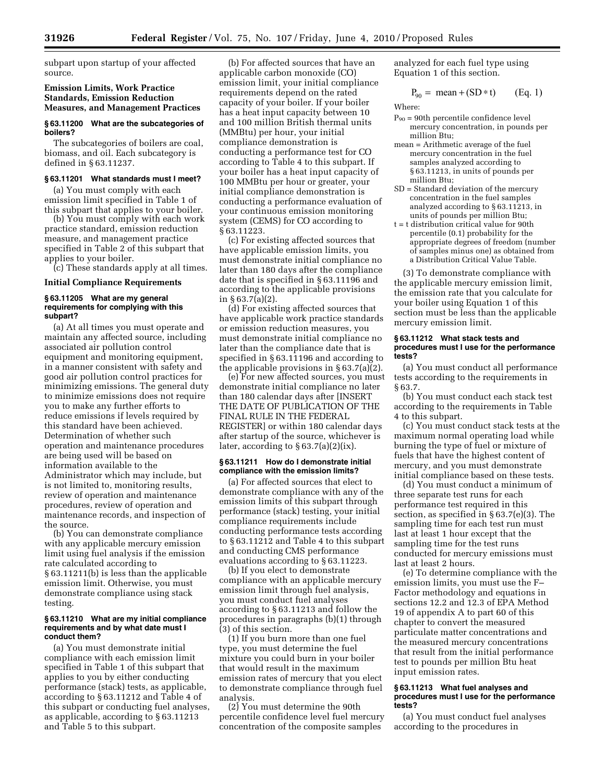subpart upon startup of your affected source.

#### **Emission Limits, Work Practice Standards, Emission Reduction Measures, and Management Practices**

# **§ 63.11200 What are the subcategories of boilers?**

The subcategories of boilers are coal, biomass, and oil. Each subcategory is defined in § 63.11237.

# **§ 63.11201 What standards must I meet?**

(a) You must comply with each emission limit specified in Table 1 of this subpart that applies to your boiler.

(b) You must comply with each work practice standard, emission reduction measure, and management practice specified in Table 2 of this subpart that applies to your boiler.

(c) These standards apply at all times.

### **Initial Compliance Requirements**

#### **§ 63.11205 What are my general requirements for complying with this subpart?**

(a) At all times you must operate and maintain any affected source, including associated air pollution control equipment and monitoring equipment, in a manner consistent with safety and good air pollution control practices for minimizing emissions. The general duty to minimize emissions does not require you to make any further efforts to reduce emissions if levels required by this standard have been achieved. Determination of whether such operation and maintenance procedures are being used will be based on information available to the Administrator which may include, but is not limited to, monitoring results, review of operation and maintenance procedures, review of operation and maintenance records, and inspection of the source.

(b) You can demonstrate compliance with any applicable mercury emission limit using fuel analysis if the emission rate calculated according to § 63.11211(b) is less than the applicable emission limit. Otherwise, you must demonstrate compliance using stack testing.

#### **§ 63.11210 What are my initial compliance requirements and by what date must I conduct them?**

(a) You must demonstrate initial compliance with each emission limit specified in Table 1 of this subpart that applies to you by either conducting performance (stack) tests, as applicable, according to § 63.11212 and Table 4 of this subpart or conducting fuel analyses, as applicable, according to § 63.11213 and Table 5 to this subpart.

(b) For affected sources that have an applicable carbon monoxide (CO) emission limit, your initial compliance requirements depend on the rated capacity of your boiler. If your boiler has a heat input capacity between 10 and 100 million British thermal units (MMBtu) per hour, your initial compliance demonstration is conducting a performance test for CO according to Table 4 to this subpart. If your boiler has a heat input capacity of 100 MMBtu per hour or greater, your initial compliance demonstration is conducting a performance evaluation of your continuous emission monitoring system (CEMS) for CO according to § 63.11223.

(c) For existing affected sources that have applicable emission limits, you must demonstrate initial compliance no later than 180 days after the compliance date that is specified in § 63.11196 and according to the applicable provisions in § 63.7(a)(2).

(d) For existing affected sources that have applicable work practice standards or emission reduction measures, you must demonstrate initial compliance no later than the compliance date that is specified in § 63.11196 and according to the applicable provisions in  $\S 63.7(a)\overline{(2)}$ .

(e) For new affected sources, you must demonstrate initial compliance no later than 180 calendar days after [INSERT THE DATE OF PUBLICATION OF THE FINAL RULE IN THE FEDERAL REGISTER] or within 180 calendar days after startup of the source, whichever is later, according to  $\S 63.7(a)(2)(ix)$ .

#### **§ 63.11211 How do I demonstrate initial compliance with the emission limits?**

(a) For affected sources that elect to demonstrate compliance with any of the emission limits of this subpart through performance (stack) testing, your initial compliance requirements include conducting performance tests according to § 63.11212 and Table 4 to this subpart and conducting CMS performance evaluations according to § 63.11223.

(b) If you elect to demonstrate compliance with an applicable mercury emission limit through fuel analysis, you must conduct fuel analyses according to § 63.11213 and follow the procedures in paragraphs (b)(1) through (3) of this section.

(1) If you burn more than one fuel type, you must determine the fuel mixture you could burn in your boiler that would result in the maximum emission rates of mercury that you elect to demonstrate compliance through fuel analysis.

(2) You must determine the 90th percentile confidence level fuel mercury concentration of the composite samples

analyzed for each fuel type using Equation 1 of this section.

$$
P_{90} = mean + (SD*t) \qquad (Eq. 1)
$$

Where:

- $P_{90}$  = 90th percentile confidence level mercury concentration, in pounds per million Btu;
- mean = Arithmetic average of the fuel mercury concentration in the fuel samples analyzed according to § 63.11213, in units of pounds per million Btu;
- SD = Standard deviation of the mercury concentration in the fuel samples analyzed according to § 63.11213, in units of pounds per million Btu;
- t = t distribution critical value for 90th percentile (0.1) probability for the appropriate degrees of freedom (number of samples minus one) as obtained from a Distribution Critical Value Table.

(3) To demonstrate compliance with the applicable mercury emission limit, the emission rate that you calculate for your boiler using Equation 1 of this section must be less than the applicable mercury emission limit.

#### **§ 63.11212 What stack tests and procedures must I use for the performance tests?**

(a) You must conduct all performance tests according to the requirements in § 63.7.

(b) You must conduct each stack test according to the requirements in Table 4 to this subpart.

(c) You must conduct stack tests at the maximum normal operating load while burning the type of fuel or mixture of fuels that have the highest content of mercury, and you must demonstrate initial compliance based on these tests.

(d) You must conduct a minimum of three separate test runs for each performance test required in this section, as specified in § 63.7(e)(3). The sampling time for each test run must last at least 1 hour except that the sampling time for the test runs conducted for mercury emissions must last at least 2 hours.

(e) To determine compliance with the emission limits, you must use the F– Factor methodology and equations in sections 12.2 and 12.3 of EPA Method 19 of appendix A to part 60 of this chapter to convert the measured particulate matter concentrations and the measured mercury concentrations that result from the initial performance test to pounds per million Btu heat input emission rates.

#### **§ 63.11213 What fuel analyses and procedures must I use for the performance tests?**

(a) You must conduct fuel analyses according to the procedures in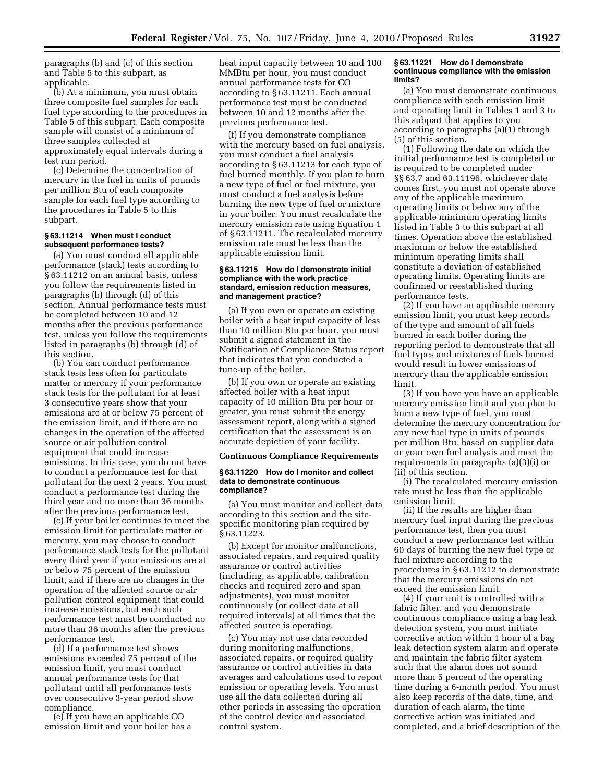paragraphs (b) and (c) of this section and Table 5 to this subpart, as applicable.

(b) At a minimum, you must obtain three composite fuel samples for each fuel type according to the procedures in Table 5 of this subpart. Each composite sample will consist of a minimum of three samples collected at approximately equal intervals during a test run period.

(c) Determine the concentration of mercury in the fuel in units of pounds per million Btu of each composite sample for each fuel type according to the procedures in Table 5 to this subpart.

#### **§ 63.11214 When must I conduct subsequent performance tests?**

(a) You must conduct all applicable performance (stack) tests according to § 63.11212 on an annual basis, unless you follow the requirements listed in paragraphs (b) through (d) of this section. Annual performance tests must be completed between 10 and 12 months after the previous performance test, unless you follow the requirements listed in paragraphs (b) through (d) of this section.

(b) You can conduct performance stack tests less often for particulate matter or mercury if your performance stack tests for the pollutant for at least 3 consecutive years show that your emissions are at or below 75 percent of the emission limit, and if there are no changes in the operation of the affected source or air pollution control equipment that could increase emissions. In this case, you do not have to conduct a performance test for that pollutant for the next 2 years. You must conduct a performance test during the third year and no more than 36 months after the previous performance test.

(c) If your boiler continues to meet the emission limit for particulate matter or mercury, you may choose to conduct performance stack tests for the pollutant every third year if your emissions are at or below 75 percent of the emission limit, and if there are no changes in the operation of the affected source or air pollution control equipment that could increase emissions, but each such performance test must be conducted no more than 36 months after the previous performance test.

(d) If a performance test shows emissions exceeded 75 percent of the emission limit, you must conduct annual performance tests for that pollutant until all performance tests over consecutive 3-year period show compliance.

(e) If you have an applicable CO emission limit and your boiler has a heat input capacity between 10 and 100 MMBtu per hour, you must conduct annual performance tests for CO according to § 63.11211. Each annual performance test must be conducted between 10 and 12 months after the previous performance test.

(f) If you demonstrate compliance with the mercury based on fuel analysis, you must conduct a fuel analysis according to § 63.11213 for each type of fuel burned monthly. If you plan to burn a new type of fuel or fuel mixture, you must conduct a fuel analysis before burning the new type of fuel or mixture in your boiler. You must recalculate the mercury emission rate using Equation 1 of § 63.11211. The recalculated mercury emission rate must be less than the applicable emission limit.

#### **§ 63.11215 How do I demonstrate initial compliance with the work practice standard, emission reduction measures, and management practice?**

(a) If you own or operate an existing boiler with a heat input capacity of less than 10 million Btu per hour, you must submit a signed statement in the Notification of Compliance Status report that indicates that you conducted a tune-up of the boiler.

(b) If you own or operate an existing affected boiler with a heat input capacity of 10 million Btu per hour or greater, you must submit the energy assessment report, along with a signed certification that the assessment is an accurate depiction of your facility.

#### **Continuous Compliance Requirements**

#### **§ 63.11220 How do I monitor and collect data to demonstrate continuous compliance?**

(a) You must monitor and collect data according to this section and the sitespecific monitoring plan required by § 63.11223.

(b) Except for monitor malfunctions, associated repairs, and required quality assurance or control activities (including, as applicable, calibration checks and required zero and span adjustments), you must monitor continuously (or collect data at all required intervals) at all times that the affected source is operating.

(c) You may not use data recorded during monitoring malfunctions, associated repairs, or required quality assurance or control activities in data averages and calculations used to report emission or operating levels. You must use all the data collected during all other periods in assessing the operation of the control device and associated control system.

#### **§ 63.11221 How do I demonstrate continuous compliance with the emission limits?**

(a) You must demonstrate continuous compliance with each emission limit and operating limit in Tables 1 and 3 to this subpart that applies to you according to paragraphs  $(a)(1)$  through (5) of this section.

(1) Following the date on which the initial performance test is completed or is required to be completed under §§ 63.7 and 63.11196, whichever date comes first, you must not operate above any of the applicable maximum operating limits or below any of the applicable minimum operating limits listed in Table 3 to this subpart at all times. Operation above the established maximum or below the established minimum operating limits shall constitute a deviation of established operating limits. Operating limits are confirmed or reestablished during performance tests.

(2) If you have an applicable mercury emission limit, you must keep records of the type and amount of all fuels burned in each boiler during the reporting period to demonstrate that all fuel types and mixtures of fuels burned would result in lower emissions of mercury than the applicable emission limit.

(3) If you have you have an applicable mercury emission limit and you plan to burn a new type of fuel, you must determine the mercury concentration for any new fuel type in units of pounds per million Btu, based on supplier data or your own fuel analysis and meet the requirements in paragraphs (a)(3)(i) or (ii) of this section.

(i) The recalculated mercury emission rate must be less than the applicable emission limit.

(ii) If the results are higher than mercury fuel input during the previous performance test, then you must conduct a new performance test within 60 days of burning the new fuel type or fuel mixture according to the procedures in § 63.11212 to demonstrate that the mercury emissions do not exceed the emission limit.

(4) If your unit is controlled with a fabric filter, and you demonstrate continuous compliance using a bag leak detection system, you must initiate corrective action within 1 hour of a bag leak detection system alarm and operate and maintain the fabric filter system such that the alarm does not sound more than 5 percent of the operating time during a 6-month period. You must also keep records of the date, time, and duration of each alarm, the time corrective action was initiated and completed, and a brief description of the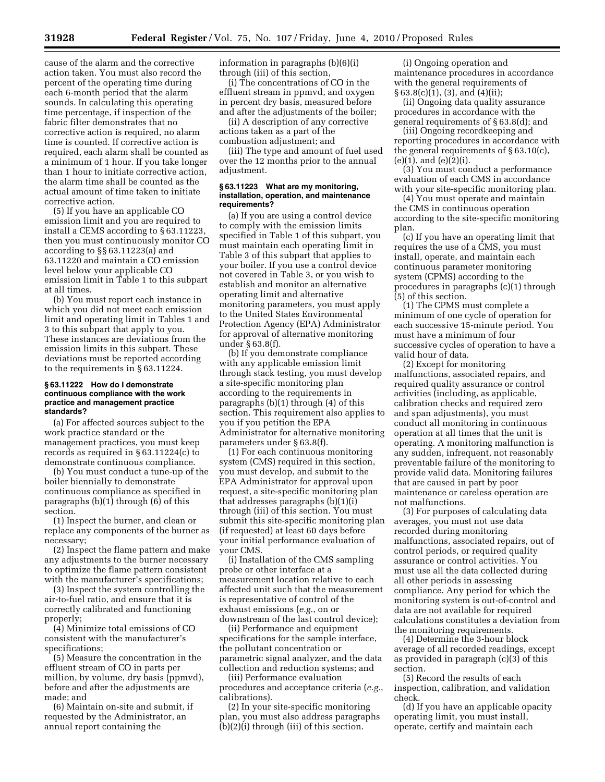cause of the alarm and the corrective action taken. You must also record the percent of the operating time during each 6-month period that the alarm sounds. In calculating this operating time percentage, if inspection of the fabric filter demonstrates that no corrective action is required, no alarm time is counted. If corrective action is required, each alarm shall be counted as a minimum of 1 hour. If you take longer than 1 hour to initiate corrective action, the alarm time shall be counted as the actual amount of time taken to initiate corrective action.

(5) If you have an applicable CO emission limit and you are required to install a CEMS according to § 63.11223, then you must continuously monitor CO according to §§ 63.11223(a) and 63.11220 and maintain a CO emission level below your applicable CO emission limit in Table 1 to this subpart at all times.

(b) You must report each instance in which you did not meet each emission limit and operating limit in Tables 1 and 3 to this subpart that apply to you. These instances are deviations from the emission limits in this subpart. These deviations must be reported according to the requirements in § 63.11224.

#### **§ 63.11222 How do I demonstrate continuous compliance with the work practice and management practice standards?**

(a) For affected sources subject to the work practice standard or the management practices, you must keep records as required in § 63.11224(c) to demonstrate continuous compliance.

(b) You must conduct a tune-up of the boiler biennially to demonstrate continuous compliance as specified in paragraphs (b)(1) through (6) of this section.

(1) Inspect the burner, and clean or replace any components of the burner as necessary;

(2) Inspect the flame pattern and make any adjustments to the burner necessary to optimize the flame pattern consistent with the manufacturer's specifications;

(3) Inspect the system controlling the air-to-fuel ratio, and ensure that it is correctly calibrated and functioning properly;

(4) Minimize total emissions of CO consistent with the manufacturer's specifications;

(5) Measure the concentration in the effluent stream of CO in parts per million, by volume, dry basis (ppmvd), before and after the adjustments are made; and

(6) Maintain on-site and submit, if requested by the Administrator, an annual report containing the

information in paragraphs (b)(6)(i) through (iii) of this section,

(i) The concentrations of CO in the effluent stream in ppmvd, and oxygen in percent dry basis, measured before and after the adjustments of the boiler;

(ii) A description of any corrective actions taken as a part of the combustion adjustment; and

(iii) The type and amount of fuel used over the 12 months prior to the annual adjustment.

#### **§ 63.11223 What are my monitoring, installation, operation, and maintenance requirements?**

(a) If you are using a control device to comply with the emission limits specified in Table 1 of this subpart, you must maintain each operating limit in Table 3 of this subpart that applies to your boiler. If you use a control device not covered in Table 3, or you wish to establish and monitor an alternative operating limit and alternative monitoring parameters, you must apply to the United States Environmental Protection Agency (EPA) Administrator for approval of alternative monitoring under § 63.8(f).

(b) If you demonstrate compliance with any applicable emission limit through stack testing, you must develop a site-specific monitoring plan according to the requirements in paragraphs (b)(1) through (4) of this section. This requirement also applies to you if you petition the EPA Administrator for alternative monitoring parameters under § 63.8(f).

(1) For each continuous monitoring system (CMS) required in this section, you must develop, and submit to the EPA Administrator for approval upon request, a site-specific monitoring plan that addresses paragraphs (b)(1)(i) through (iii) of this section. You must submit this site-specific monitoring plan (if requested) at least 60 days before your initial performance evaluation of your CMS.

(i) Installation of the CMS sampling probe or other interface at a measurement location relative to each affected unit such that the measurement is representative of control of the exhaust emissions (*e.g.*, on or downstream of the last control device);

(ii) Performance and equipment specifications for the sample interface, the pollutant concentration or parametric signal analyzer, and the data collection and reduction systems; and

(iii) Performance evaluation procedures and acceptance criteria (*e.g.*, calibrations).

(2) In your site-specific monitoring plan, you must also address paragraphs (b)(2)(i) through (iii) of this section.

(i) Ongoing operation and maintenance procedures in accordance with the general requirements of § 63.8(c)(1), (3), and (4)(ii);

(ii) Ongoing data quality assurance procedures in accordance with the general requirements of § 63.8(d); and

(iii) Ongoing recordkeeping and reporting procedures in accordance with the general requirements of  $\S 63.10(c)$ ,  $(e)(1)$ , and  $(e)(2)(i)$ .

(3) You must conduct a performance evaluation of each CMS in accordance with your site-specific monitoring plan.

(4) You must operate and maintain the CMS in continuous operation according to the site-specific monitoring plan.

(c) If you have an operating limit that requires the use of a CMS, you must install, operate, and maintain each continuous parameter monitoring system (CPMS) according to the procedures in paragraphs (c)(1) through (5) of this section.

(1) The CPMS must complete a minimum of one cycle of operation for each successive 15-minute period. You must have a minimum of four successive cycles of operation to have a valid hour of data.

(2) Except for monitoring malfunctions, associated repairs, and required quality assurance or control activities (including, as applicable, calibration checks and required zero and span adjustments), you must conduct all monitoring in continuous operation at all times that the unit is operating. A monitoring malfunction is any sudden, infrequent, not reasonably preventable failure of the monitoring to provide valid data. Monitoring failures that are caused in part by poor maintenance or careless operation are not malfunctions.

(3) For purposes of calculating data averages, you must not use data recorded during monitoring malfunctions, associated repairs, out of control periods, or required quality assurance or control activities. You must use all the data collected during all other periods in assessing compliance. Any period for which the monitoring system is out-of-control and data are not available for required calculations constitutes a deviation from the monitoring requirements.

(4) Determine the 3-hour block average of all recorded readings, except as provided in paragraph (c)(3) of this section.

(5) Record the results of each inspection, calibration, and validation check.

(d) If you have an applicable opacity operating limit, you must install, operate, certify and maintain each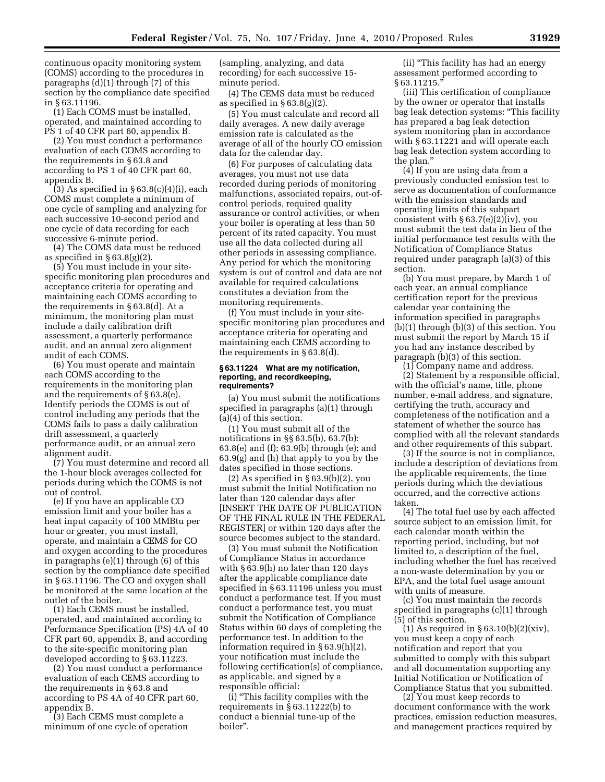continuous opacity monitoring system (COMS) according to the procedures in paragraphs (d)(1) through (7) of this section by the compliance date specified in § 63.11196.

(1) Each COMS must be installed, operated, and maintained according to PS 1 of 40 CFR part 60, appendix B.

(2) You must conduct a performance evaluation of each COMS according to the requirements in § 63.8 and according to PS 1 of 40 CFR part 60, appendix B.

 $(3)$  As specified in § 63.8 $(c)(4)(i)$ , each COMS must complete a minimum of one cycle of sampling and analyzing for each successive 10-second period and one cycle of data recording for each successive 6-minute period.

(4) The COMS data must be reduced as specified in  $\S 63.8(g)(2)$ .

(5) You must include in your sitespecific monitoring plan procedures and acceptance criteria for operating and maintaining each COMS according to the requirements in § 63.8(d). At a minimum, the monitoring plan must include a daily calibration drift assessment, a quarterly performance audit, and an annual zero alignment audit of each COMS.

(6) You must operate and maintain each COMS according to the requirements in the monitoring plan and the requirements of § 63.8(e). Identify periods the COMS is out of control including any periods that the COMS fails to pass a daily calibration drift assessment, a quarterly performance audit, or an annual zero alignment audit.

(7) You must determine and record all the 1-hour block averages collected for periods during which the COMS is not out of control.

(e) If you have an applicable CO emission limit and your boiler has a heat input capacity of 100 MMBtu per hour or greater, you must install, operate, and maintain a CEMS for CO and oxygen according to the procedures in paragraphs (e)(1) through (6) of this section by the compliance date specified in § 63.11196. The CO and oxygen shall be monitored at the same location at the outlet of the boiler.

(1) Each CEMS must be installed, operated, and maintained according to Performance Specification (PS) 4A of 40 CFR part 60, appendix B, and according to the site-specific monitoring plan developed according to § 63.11223.

(2) You must conduct a performance evaluation of each CEMS according to the requirements in § 63.8 and according to PS 4A of 40 CFR part 60, appendix B.

(3) Each CEMS must complete a minimum of one cycle of operation

(sampling, analyzing, and data recording) for each successive 15 minute period.

(4) The CEMS data must be reduced as specified in  $\S 63.8(g)(2)$ .

(5) You must calculate and record all daily averages. A new daily average emission rate is calculated as the average of all of the hourly CO emission data for the calendar day.

(6) For purposes of calculating data averages, you must not use data recorded during periods of monitoring malfunctions, associated repairs, out-ofcontrol periods, required quality assurance or control activities, or when your boiler is operating at less than 50 percent of its rated capacity. You must use all the data collected during all other periods in assessing compliance. Any period for which the monitoring system is out of control and data are not available for required calculations constitutes a deviation from the monitoring requirements.

(f) You must include in your sitespecific monitoring plan procedures and acceptance criteria for operating and maintaining each CEMS according to the requirements in § 63.8(d).

#### **§ 63.11224 What are my notification, reporting, and recordkeeping, requirements?**

(a) You must submit the notifications specified in paragraphs (a)(1) through (a)(4) of this section.

(1) You must submit all of the notifications in §§ 63.5(b), 63.7(b): 63.8(e) and (f); 63.9(b) through (e); and 63.9(g) and (h) that apply to you by the dates specified in those sections.

 $(2)$  As specified in § 63.9(b)(2), you must submit the Initial Notification no later than 120 calendar days after [INSERT THE DATE OF PUBLICATION OF THE FINAL RULE IN THE FEDERAL REGISTER] or within 120 days after the source becomes subject to the standard.

(3) You must submit the Notification of Compliance Status in accordance with § 63.9(h) no later than 120 days after the applicable compliance date specified in § 63.11196 unless you must conduct a performance test. If you must conduct a performance test, you must submit the Notification of Compliance Status within 60 days of completing the performance test. In addition to the information required in § 63.9(h)(2), your notification must include the following certification(s) of compliance, as applicable, and signed by a responsible official:

(i) ''This facility complies with the requirements in  $\S$  63.11222(b) to conduct a biennial tune-up of the boiler''.

(ii) ''This facility has had an energy assessment performed according to § 63.11215.''

(iii) This certification of compliance by the owner or operator that installs bag leak detection systems: ''This facility has prepared a bag leak detection system monitoring plan in accordance with § 63.11221 and will operate each bag leak detection system according to the plan.''

(4) If you are using data from a previously conducted emission test to serve as documentation of conformance with the emission standards and operating limits of this subpart consistent with  $\S 63.7(e)(2)(iv)$ , you must submit the test data in lieu of the initial performance test results with the Notification of Compliance Status required under paragraph (a)(3) of this section.

(b) You must prepare, by March 1 of each year, an annual compliance certification report for the previous calendar year containing the information specified in paragraphs (b)(1) through (b)(3) of this section. You must submit the report by March 15 if you had any instance described by paragraph (b)(3) of this section.

(1) Company name and address. (2) Statement by a responsible official, with the official's name, title, phone number, e-mail address, and signature, certifying the truth, accuracy and completeness of the notification and a statement of whether the source has complied with all the relevant standards and other requirements of this subpart.

(3) If the source is not in compliance, include a description of deviations from the applicable requirements, the time periods during which the deviations occurred, and the corrective actions taken.

(4) The total fuel use by each affected source subject to an emission limit, for each calendar month within the reporting period, including, but not limited to, a description of the fuel, including whether the fuel has received a non-waste determination by you or EPA, and the total fuel usage amount with units of measure.

(c) You must maintain the records specified in paragraphs (c)(1) through (5) of this section.

 $(1)$  As required in § 63.10(b)(2)(xiv), you must keep a copy of each notification and report that you submitted to comply with this subpart and all documentation supporting any Initial Notification or Notification of Compliance Status that you submitted.

(2) You must keep records to document conformance with the work practices, emission reduction measures, and management practices required by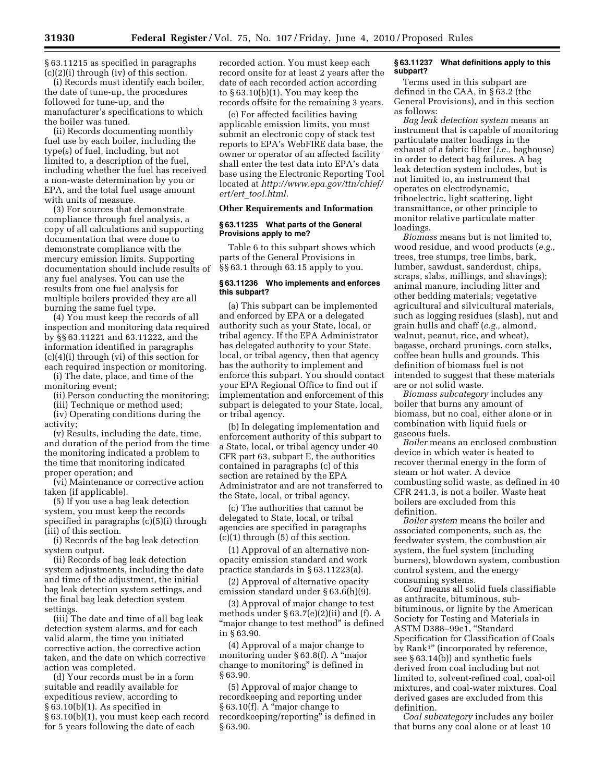§ 63.11215 as specified in paragraphs (c)(2)(i) through (iv) of this section.

(i) Records must identify each boiler, the date of tune-up, the procedures followed for tune-up, and the manufacturer's specifications to which the boiler was tuned.

(ii) Records documenting monthly fuel use by each boiler, including the type(s) of fuel, including, but not limited to, a description of the fuel, including whether the fuel has received a non-waste determination by you or EPA, and the total fuel usage amount with units of measure.

(3) For sources that demonstrate compliance through fuel analysis, a copy of all calculations and supporting documentation that were done to demonstrate compliance with the mercury emission limits. Supporting documentation should include results of any fuel analyses. You can use the results from one fuel analysis for multiple boilers provided they are all burning the same fuel type.

(4) You must keep the records of all inspection and monitoring data required by §§ 63.11221 and 63.11222, and the information identified in paragraphs (c)(4)(i) through (vi) of this section for each required inspection or monitoring.

(i) The date, place, and time of the monitoring event;

(ii) Person conducting the monitoring;

(iii) Technique or method used;

(iv) Operating conditions during the activity;

(v) Results, including the date, time, and duration of the period from the time the monitoring indicated a problem to the time that monitoring indicated proper operation; and

(vi) Maintenance or corrective action taken (if applicable).

(5) If you use a bag leak detection system, you must keep the records specified in paragraphs (c)(5)(i) through (iii) of this section.

(i) Records of the bag leak detection system output.

(ii) Records of bag leak detection system adjustments, including the date and time of the adjustment, the initial bag leak detection system settings, and the final bag leak detection system settings.

(iii) The date and time of all bag leak detection system alarms, and for each valid alarm, the time you initiated corrective action, the corrective action taken, and the date on which corrective action was completed.

(d) Your records must be in a form suitable and readily available for expeditious review, according to § 63.10(b)(1). As specified in § 63.10(b)(1), you must keep each record for 5 years following the date of each

recorded action. You must keep each record onsite for at least 2 years after the date of each recorded action according to § 63.10(b)(1). You may keep the records offsite for the remaining 3 years.

(e) For affected facilities having applicable emission limits, you must submit an electronic copy of stack test reports to EPA's WebFIRE data base, the owner or operator of an affected facility shall enter the test data into EPA's data base using the Electronic Reporting Tool located at *http://www.epa.gov/ttn/chief/ ert/ert*\_*tool.html.* 

# **Other Requirements and Information**

# **§ 63.11235 What parts of the General Provisions apply to me?**

Table 6 to this subpart shows which parts of the General Provisions in §§ 63.1 through 63.15 apply to you.

#### **§ 63.11236 Who implements and enforces this subpart?**

(a) This subpart can be implemented and enforced by EPA or a delegated authority such as your State, local, or tribal agency. If the EPA Administrator has delegated authority to your State, local, or tribal agency, then that agency has the authority to implement and enforce this subpart. You should contact your EPA Regional Office to find out if implementation and enforcement of this subpart is delegated to your State, local, or tribal agency.

(b) In delegating implementation and enforcement authority of this subpart to a State, local, or tribal agency under 40 CFR part 63, subpart E, the authorities contained in paragraphs (c) of this section are retained by the EPA Administrator and are not transferred to the State, local, or tribal agency.

(c) The authorities that cannot be delegated to State, local, or tribal agencies are specified in paragraphs (c)(1) through (5) of this section.

(1) Approval of an alternative nonopacity emission standard and work practice standards in § 63.11223(a).

(2) Approval of alternative opacity emission standard under § 63.6(h)(9).

(3) Approval of major change to test methods under § 63.7(e)(2)(ii) and (f). A "major change to test method" is defined in § 63.90.

(4) Approval of a major change to monitoring under § 63.8(f). A "major change to monitoring'' is defined in § 63.90.

(5) Approval of major change to recordkeeping and reporting under § 63.10(f). A ''major change to recordkeeping/reporting'' is defined in § 63.90.

#### **§ 63.11237 What definitions apply to this subpart?**

Terms used in this subpart are defined in the CAA, in § 63.2 (the General Provisions), and in this section as follows:

*Bag leak detection system* means an instrument that is capable of monitoring particulate matter loadings in the exhaust of a fabric filter (*i.e.,* baghouse) in order to detect bag failures. A bag leak detection system includes, but is not limited to, an instrument that operates on electrodynamic, triboelectric, light scattering, light transmittance, or other principle to monitor relative particulate matter loadings.

*Biomass* means but is not limited to, wood residue, and wood products (*e.g.,*  trees, tree stumps, tree limbs, bark, lumber, sawdust, sanderdust, chips, scraps, slabs, millings, and shavings); animal manure, including litter and other bedding materials; vegetative agricultural and silvicultural materials, such as logging residues (slash), nut and grain hulls and chaff (*e.g.,* almond, walnut, peanut, rice, and wheat), bagasse, orchard prunings, corn stalks, coffee bean hulls and grounds. This definition of biomass fuel is not intended to suggest that these materials are or not solid waste.

*Biomass subcategory* includes any boiler that burns any amount of biomass, but no coal, either alone or in combination with liquid fuels or gaseous fuels.

*Boiler* means an enclosed combustion device in which water is heated to recover thermal energy in the form of steam or hot water. A device combusting solid waste, as defined in 40 CFR 241.3, is not a boiler. Waste heat boilers are excluded from this definition.

*Boiler system* means the boiler and associated components, such as, the feedwater system, the combustion air system, the fuel system (including burners), blowdown system, combustion control system, and the energy consuming systems.

*Coal* means all solid fuels classifiable as anthracite, bituminous, subbituminous, or lignite by the American Society for Testing and Materials in ASTM D388–99e1, ''Standard Specification for Classification of Coals by Rank1'' (incorporated by reference, see § 63.14(b)) and synthetic fuels derived from coal including but not limited to, solvent-refined coal, coal-oil mixtures, and coal-water mixtures. Coal derived gases are excluded from this definition.

*Coal subcategory* includes any boiler that burns any coal alone or at least 10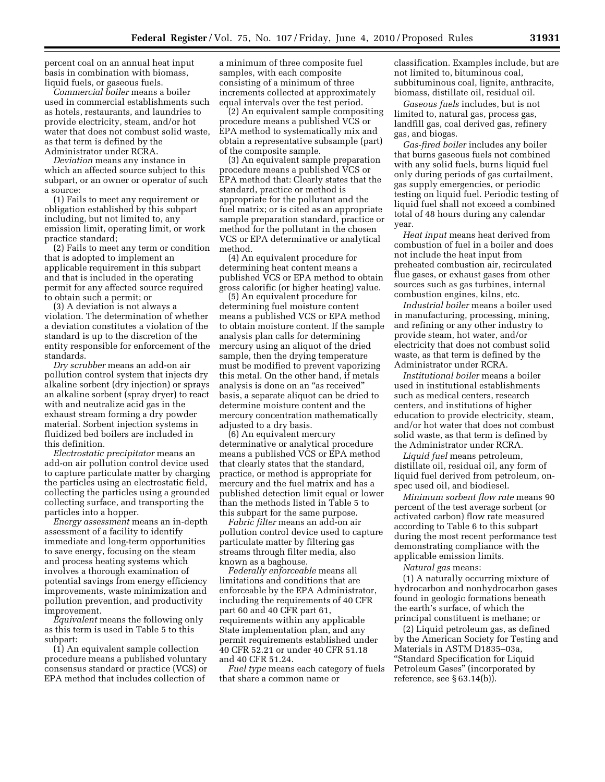percent coal on an annual heat input basis in combination with biomass, liquid fuels, or gaseous fuels.

*Commercial boiler* means a boiler used in commercial establishments such as hotels, restaurants, and laundries to provide electricity, steam, and/or hot water that does not combust solid waste, as that term is defined by the Administrator under RCRA.

*Deviation* means any instance in which an affected source subject to this subpart, or an owner or operator of such a source:

(1) Fails to meet any requirement or obligation established by this subpart including, but not limited to, any emission limit, operating limit, or work practice standard;

(2) Fails to meet any term or condition that is adopted to implement an applicable requirement in this subpart and that is included in the operating permit for any affected source required to obtain such a permit; or

(3) A deviation is not always a violation. The determination of whether a deviation constitutes a violation of the standard is up to the discretion of the entity responsible for enforcement of the standards.

*Dry scrubber* means an add-on air pollution control system that injects dry alkaline sorbent (dry injection) or sprays an alkaline sorbent (spray dryer) to react with and neutralize acid gas in the exhaust stream forming a dry powder material. Sorbent injection systems in fluidized bed boilers are included in this definition.

*Electrostatic precipitator* means an add-on air pollution control device used to capture particulate matter by charging the particles using an electrostatic field, collecting the particles using a grounded collecting surface, and transporting the particles into a hopper.

*Energy assessment* means an in-depth assessment of a facility to identify immediate and long-term opportunities to save energy, focusing on the steam and process heating systems which involves a thorough examination of potential savings from energy efficiency improvements, waste minimization and pollution prevention, and productivity improvement.

*Equivalent* means the following only as this term is used in Table 5 to this subpart:

(1) An equivalent sample collection procedure means a published voluntary consensus standard or practice (VCS) or EPA method that includes collection of

a minimum of three composite fuel samples, with each composite consisting of a minimum of three increments collected at approximately equal intervals over the test period.

(2) An equivalent sample compositing procedure means a published VCS or EPA method to systematically mix and obtain a representative subsample (part) of the composite sample.

(3) An equivalent sample preparation procedure means a published VCS or EPA method that: Clearly states that the standard, practice or method is appropriate for the pollutant and the fuel matrix; or is cited as an appropriate sample preparation standard, practice or method for the pollutant in the chosen VCS or EPA determinative or analytical method.

(4) An equivalent procedure for determining heat content means a published VCS or EPA method to obtain gross calorific (or higher heating) value.

(5) An equivalent procedure for determining fuel moisture content means a published VCS or EPA method to obtain moisture content. If the sample analysis plan calls for determining mercury using an aliquot of the dried sample, then the drying temperature must be modified to prevent vaporizing this metal. On the other hand, if metals analysis is done on an ''as received'' basis, a separate aliquot can be dried to determine moisture content and the mercury concentration mathematically adjusted to a dry basis.

(6) An equivalent mercury determinative or analytical procedure means a published VCS or EPA method that clearly states that the standard, practice, or method is appropriate for mercury and the fuel matrix and has a published detection limit equal or lower than the methods listed in Table 5 to this subpart for the same purpose.

*Fabric filter* means an add-on air pollution control device used to capture particulate matter by filtering gas streams through filter media, also known as a baghouse.

*Federally enforceable* means all limitations and conditions that are enforceable by the EPA Administrator, including the requirements of 40 CFR part 60 and 40 CFR part 61, requirements within any applicable State implementation plan, and any permit requirements established under 40 CFR 52.21 or under 40 CFR 51.18 and 40 CFR 51.24.

*Fuel type* means each category of fuels that share a common name or

classification. Examples include, but are not limited to, bituminous coal, subbituminous coal, lignite, anthracite, biomass, distillate oil, residual oil.

*Gaseous fuels* includes, but is not limited to, natural gas, process gas, landfill gas, coal derived gas, refinery gas, and biogas.

*Gas-fired boiler* includes any boiler that burns gaseous fuels not combined with any solid fuels, burns liquid fuel only during periods of gas curtailment, gas supply emergencies, or periodic testing on liquid fuel. Periodic testing of liquid fuel shall not exceed a combined total of 48 hours during any calendar year.

*Heat input* means heat derived from combustion of fuel in a boiler and does not include the heat input from preheated combustion air, recirculated flue gases, or exhaust gases from other sources such as gas turbines, internal combustion engines, kilns, etc.

*Industrial boiler* means a boiler used in manufacturing, processing, mining, and refining or any other industry to provide steam, hot water, and/or electricity that does not combust solid waste, as that term is defined by the Administrator under RCRA.

*Institutional boiler* means a boiler used in institutional establishments such as medical centers, research centers, and institutions of higher education to provide electricity, steam, and/or hot water that does not combust solid waste, as that term is defined by the Administrator under RCRA.

*Liquid fuel* means petroleum, distillate oil, residual oil, any form of liquid fuel derived from petroleum, onspec used oil, and biodiesel.

*Minimum sorbent flow rate* means 90 percent of the test average sorbent (or activated carbon) flow rate measured according to Table 6 to this subpart during the most recent performance test demonstrating compliance with the applicable emission limits.

*Natural gas* means:

(1) A naturally occurring mixture of hydrocarbon and nonhydrocarbon gases found in geologic formations beneath the earth's surface, of which the principal constituent is methane; or

(2) Liquid petroleum gas, as defined by the American Society for Testing and Materials in ASTM D1835–03a, ''Standard Specification for Liquid Petroleum Gases'' (incorporated by reference, see  $\S 63.14(b)$ ).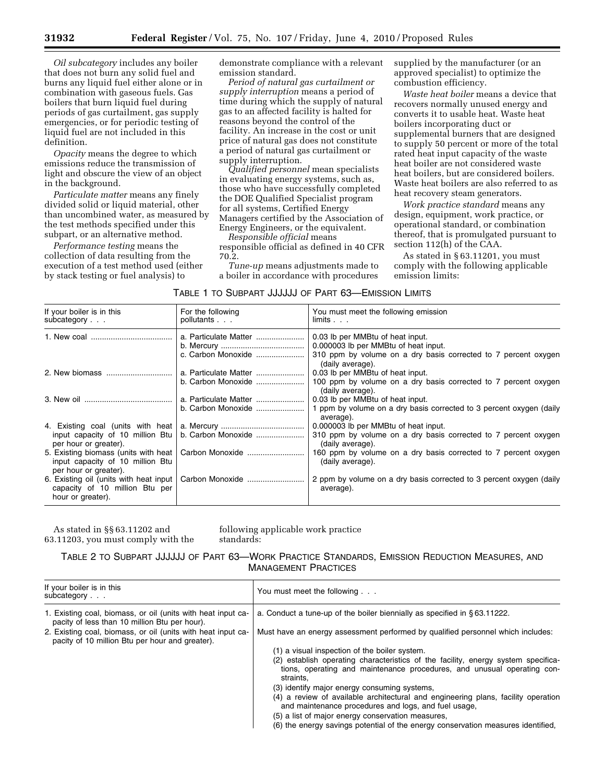*Oil subcategory* includes any boiler that does not burn any solid fuel and burns any liquid fuel either alone or in combination with gaseous fuels. Gas boilers that burn liquid fuel during periods of gas curtailment, gas supply emergencies, or for periodic testing of liquid fuel are not included in this definition.

*Opacity* means the degree to which emissions reduce the transmission of light and obscure the view of an object in the background.

*Particulate matter* means any finely divided solid or liquid material, other than uncombined water, as measured by the test methods specified under this subpart, or an alternative method.

*Performance testing* means the collection of data resulting from the execution of a test method used (either by stack testing or fuel analysis) to

demonstrate compliance with a relevant emission standard.

*Period of natural gas curtailment or supply interruption* means a period of time during which the supply of natural gas to an affected facility is halted for reasons beyond the control of the facility. An increase in the cost or unit price of natural gas does not constitute a period of natural gas curtailment or supply interruption.

*Qualified personnel* mean specialists in evaluating energy systems, such as, those who have successfully completed the DOE Qualified Specialist program for all systems, Certified Energy Managers certified by the Association of Energy Engineers, or the equivalent.

*Responsible official* means responsible official as defined in 40 CFR 70.2.

*Tune-up* means adjustments made to a boiler in accordance with procedures supplied by the manufacturer (or an approved specialist) to optimize the combustion efficiency.

*Waste heat boiler* means a device that recovers normally unused energy and converts it to usable heat. Waste heat boilers incorporating duct or supplemental burners that are designed to supply 50 percent or more of the total rated heat input capacity of the waste heat boiler are not considered waste heat boilers, but are considered boilers. Waste heat boilers are also referred to as heat recovery steam generators.

*Work practice standard* means any design, equipment, work practice, or operational standard, or combination thereof, that is promulgated pursuant to section 112(h) of the CAA.

As stated in § 63.11201, you must comply with the following applicable emission limits:

| TABLE 1 TO SUBPART JJJJJJJ OF PART 63—EMISSION LIMITS |  |
|-------------------------------------------------------|--|
|-------------------------------------------------------|--|

| If your boiler is in this<br>subcategory                                                                        | For the following<br>pollutants             | You must meet the following emission<br>limits. .                                                                                           |
|-----------------------------------------------------------------------------------------------------------------|---------------------------------------------|---------------------------------------------------------------------------------------------------------------------------------------------|
|                                                                                                                 | a. Particulate Matter<br>c. Carbon Monoxide | 0.03 lb per MMB tu of heat input.<br>0.000003 lb per MMBtu of heat input.<br>310 ppm by volume on a dry basis corrected to 7 percent oxygen |
|                                                                                                                 | a. Particulate Matter<br>b. Carbon Monoxide | (daily average).<br>0.03 lb per MMBtu of heat input.<br>100 ppm by volume on a dry basis corrected to 7 percent oxygen<br>(daily average).  |
|                                                                                                                 | a. Particulate Matter<br>b. Carbon Monoxide | 0.03 lb per MMBtu of heat input.<br>1 ppm by volume on a dry basis corrected to 3 percent oxygen (daily<br>average).                        |
| input capacity of 10 million Btu<br>per hour or greater).                                                       | b. Carbon Monoxide                          | 0.000003 lb per MMBtu of heat input.<br>310 ppm by volume on a dry basis corrected to 7 percent oxygen<br>(daily average).                  |
| 5. Existing biomass (units with heat  <br>input capacity of 10 million Btu<br>per hour or greater).             | Carbon Monoxide                             | 160 ppm by volume on a dry basis corrected to 7 percent oxygen<br>(daily average).                                                          |
| 6. Existing oil (units with heat input   Carbon Monoxide<br>capacity of 10 million Btu per<br>hour or greater). |                                             | 2 ppm by volume on a dry basis corrected to 3 percent oxygen (daily<br>average).                                                            |

As stated in §§ 63.11202 and 63.11203, you must comply with the following applicable work practice standards:

TABLE 2 TO SUBPART JJJJJJ OF PART 63—WORK PRACTICE STANDARDS, EMISSION REDUCTION MEASURES, AND MANAGEMENT PRACTICES

| If your boiler is in this<br>subcategory                                                                        | You must meet the following                                                                                                                                               |
|-----------------------------------------------------------------------------------------------------------------|---------------------------------------------------------------------------------------------------------------------------------------------------------------------------|
| 1. Existing coal, biomass, or oil (units with heat input ca-<br>pacity of less than 10 million Btu per hour).   | a. Conduct a tune-up of the boiler biennially as specified in $\S 63.11222$ .                                                                                             |
| 2. Existing coal, biomass, or oil (units with heat input ca-<br>pacity of 10 million Btu per hour and greater). | Must have an energy assessment performed by qualified personnel which includes:                                                                                           |
|                                                                                                                 | (1) a visual inspection of the boiler system.                                                                                                                             |
|                                                                                                                 | (2) establish operating characteristics of the facility, energy system specifica-<br>tions, operating and maintenance procedures, and unusual operating con-<br>straints, |
|                                                                                                                 | (3) identify major energy consuming systems,                                                                                                                              |
|                                                                                                                 | (4) a review of available architectural and engineering plans, facility operation<br>and maintenance procedures and logs, and fuel usage,                                 |
|                                                                                                                 | (5) a list of major energy conservation measures,                                                                                                                         |
|                                                                                                                 | (6) the energy savings potential of the energy conservation measures identified,                                                                                          |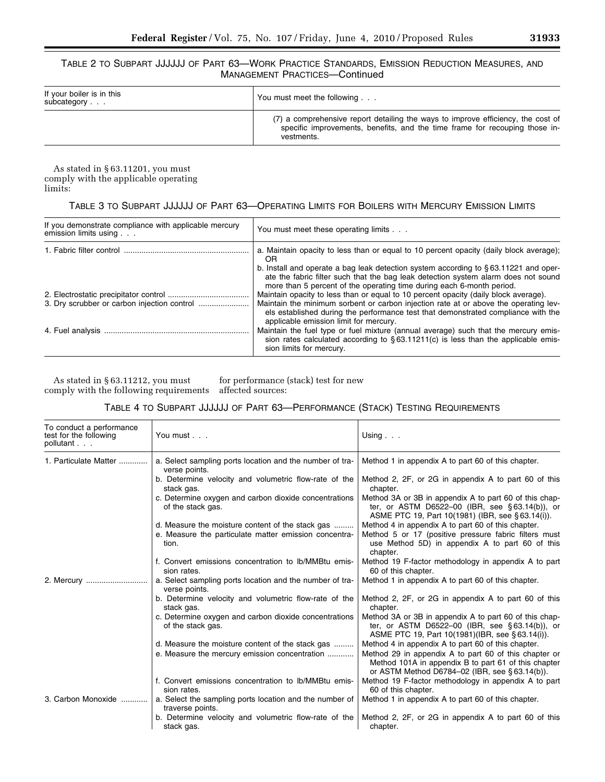# TABLE 2 TO SUBPART JJJJJJ OF PART 63—WORK PRACTICE STANDARDS, EMISSION REDUCTION MEASURES, AND MANAGEMENT PRACTICES—Continued

| If your boiler is in this<br>subcategory | You must meet the following                                                                                                                                                   |
|------------------------------------------|-------------------------------------------------------------------------------------------------------------------------------------------------------------------------------|
|                                          | (7) a comprehensive report detailing the ways to improve efficiency, the cost of<br>specific improvements, benefits, and the time frame for recouping those in-<br>vestments. |

As stated in § 63.11201, you must comply with the applicable operating limits:

# TABLE 3 TO SUBPART JJJJJJ OF PART 63—OPERATING LIMITS FOR BOILERS WITH MERCURY EMISSION LIMITS

| If you demonstrate compliance with applicable mercury<br>emission limits using | You must meet these operating limits                                                                                                                                                                                                                                      |
|--------------------------------------------------------------------------------|---------------------------------------------------------------------------------------------------------------------------------------------------------------------------------------------------------------------------------------------------------------------------|
|                                                                                | a. Maintain opacity to less than or equal to 10 percent opacity (daily block average);<br>OR<br>b. Install and operate a bag leak detection system according to §63.11221 and oper-<br>ate the fabric filter such that the bag leak detection system alarm does not sound |
|                                                                                | more than 5 percent of the operating time during each 6-month period.<br>Maintain opacity to less than or equal to 10 percent opacity (daily block average).                                                                                                              |
|                                                                                | Maintain the minimum sorbent or carbon injection rate at or above the operating lev-<br>els established during the performance test that demonstrated compliance with the<br>applicable emission limit for mercury.                                                       |
|                                                                                | Maintain the fuel type or fuel mixture (annual average) such that the mercury emis-<br>sion rates calculated according to $\S 63.11211(c)$ is less than the applicable emis-<br>sion limits for mercury.                                                                  |

As stated in § 63.11212, you must comply with the following requirements affected sources:

for performance (stack) test for new

# TABLE 4 TO SUBPART JJJJJJ OF PART 63—PERFORMANCE (STACK) TESTING REQUIREMENTS

| To conduct a performance<br>test for the following<br>pollutant | You must                                                                                                           | Using $\ldots$                                                                                                                                                             |
|-----------------------------------------------------------------|--------------------------------------------------------------------------------------------------------------------|----------------------------------------------------------------------------------------------------------------------------------------------------------------------------|
| 1. Particulate Matter                                           | a. Select sampling ports location and the number of tra-<br>verse points.                                          | Method 1 in appendix A to part 60 of this chapter.                                                                                                                         |
|                                                                 | b. Determine velocity and volumetric flow-rate of the<br>stack gas.                                                | Method 2, 2F, or 2G in appendix A to part 60 of this<br>chapter.                                                                                                           |
|                                                                 | c. Determine oxygen and carbon dioxide concentrations<br>of the stack gas.                                         | Method 3A or 3B in appendix A to part 60 of this chap-<br>ter, or ASTM D6522-00 (IBR, see §63.14(b)), or<br>ASME PTC 19, Part 10(1981) (IBR, see § 63.14(i)).              |
|                                                                 | d. Measure the moisture content of the stack gas<br>e. Measure the particulate matter emission concentra-<br>tion. | Method 4 in appendix A to part 60 of this chapter.<br>Method 5 or 17 (positive pressure fabric filters must<br>use Method 5D) in appendix A to part 60 of this<br>chapter. |
|                                                                 | f. Convert emissions concentration to Ib/MMB tu emis-<br>sion rates.                                               | Method 19 F-factor methodology in appendix A to part<br>60 of this chapter.                                                                                                |
|                                                                 | a. Select sampling ports location and the number of tra-<br>verse points.                                          | Method 1 in appendix A to part 60 of this chapter.                                                                                                                         |
|                                                                 | b. Determine velocity and volumetric flow-rate of the<br>stack gas.                                                | Method 2, 2F, or 2G in appendix A to part 60 of this<br>chapter.                                                                                                           |
|                                                                 | c. Determine oxygen and carbon dioxide concentrations<br>of the stack gas.                                         | Method 3A or 3B in appendix A to part 60 of this chap-<br>ter, or ASTM D6522-00 (IBR, see §63.14(b)), or<br>ASME PTC 19, Part 10(1981)(IBR, see §63.14(i)).                |
|                                                                 | d. Measure the moisture content of the stack gas                                                                   | Method 4 in appendix A to part 60 of this chapter.                                                                                                                         |
|                                                                 | e. Measure the mercury emission concentration                                                                      | Method 29 in appendix A to part 60 of this chapter or<br>Method 101A in appendix B to part 61 of this chapter<br>or ASTM Method D6784-02 (IBR, see §63.14(b)).             |
|                                                                 | f. Convert emissions concentration to Ib/MMB tu emis-<br>sion rates.                                               | Method 19 F-factor methodology in appendix A to part<br>60 of this chapter.                                                                                                |
| 3. Carbon Monoxide                                              | a. Select the sampling ports location and the number of<br>traverse points.                                        | Method 1 in appendix A to part 60 of this chapter.                                                                                                                         |
|                                                                 | b. Determine velocity and volumetric flow-rate of the<br>stack gas.                                                | Method 2, 2F, or 2G in appendix A to part 60 of this<br>chapter.                                                                                                           |

۰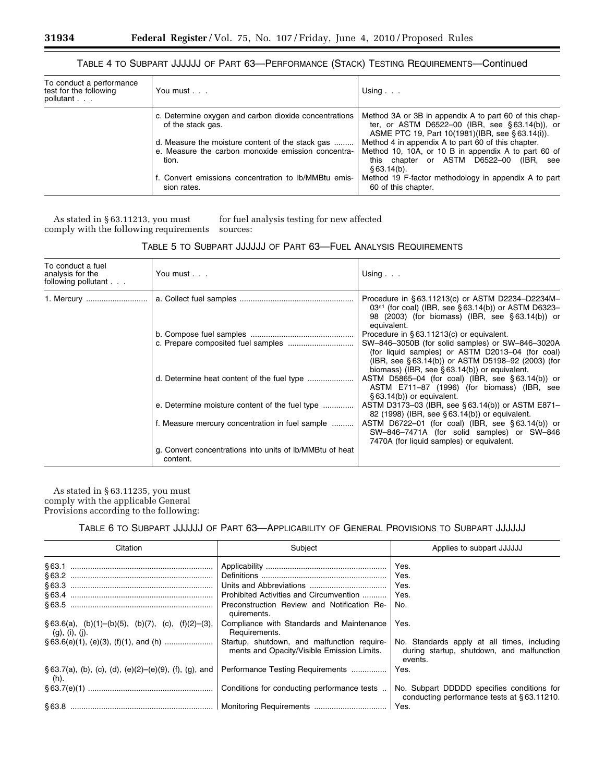# TABLE 4 TO SUBPART JJJJJJ OF PART 63—PERFORMANCE (STACK) TESTING REQUIREMENTS—Continued

| To conduct a performance<br>test for the following<br>pollutant | You must                                                                                                        | Using $\ldots$                                                                                                                                                               |
|-----------------------------------------------------------------|-----------------------------------------------------------------------------------------------------------------|------------------------------------------------------------------------------------------------------------------------------------------------------------------------------|
|                                                                 | c. Determine oxygen and carbon dioxide concentrations<br>of the stack gas.                                      | Method 3A or 3B in appendix A to part 60 of this chap-<br>ter, or ASTM D6522-00 (IBR, see §63.14(b)), or<br>ASME PTC 19, Part 10(1981)(IBR, see §63.14(i)).                  |
|                                                                 | d. Measure the moisture content of the stack gas<br>e. Measure the carbon monoxide emission concentra-<br>tion. | Method 4 in appendix A to part 60 of this chapter.<br>Method 10, 10A, or 10 B in appendix A to part 60 of<br>chapter or ASTM D6522–00<br>(IBR.<br>this<br>see<br>\$63.14(b). |
|                                                                 | f. Convert emissions concentration to Ib/MMBtu emis-<br>sion rates.                                             | Method 19 F-factor methodology in appendix A to part<br>60 of this chapter.                                                                                                  |

As stated in § 63.11213, you must comply with the following requirements sources:

for fuel analysis testing for new affected

| TABLE 5 TO SUBPART JJJJJJJ OF PART 63-FUEL ANALYSIS REQUIREMENTS |  |  |
|------------------------------------------------------------------|--|--|
|------------------------------------------------------------------|--|--|

| To conduct a fuel<br>analysis for the<br>following pollutant | You must                                                              | Using $\ldots$                                                                                                                                                                                                                                             |
|--------------------------------------------------------------|-----------------------------------------------------------------------|------------------------------------------------------------------------------------------------------------------------------------------------------------------------------------------------------------------------------------------------------------|
| 1. Mercury                                                   |                                                                       | Procedure in §63.11213(c) or ASTM D2234-D2234M-<br>$03°1$ (for coal) (IBR, see §63.14(b)) or ASTM D6323-<br>98 (2003) (for biomass) (IBR, see §63.14(b)) or<br>equivalent.                                                                                 |
|                                                              |                                                                       | Procedure in §63.11213(c) or equivalent.<br>SW-846-3050B (for solid samples) or SW-846-3020A<br>(for liquid samples) or ASTM D2013-04 (for coal)<br>(IBR, see §63.14(b)) or ASTM D5198-92 (2003) (for<br>biomass) (IBR, see $\S 63.14(b)$ ) or equivalent. |
|                                                              |                                                                       | ASTM D5865-04 (for coal) (IBR, see §63.14(b)) or<br>ASTM E711-87 (1996) (for biomass) (IBR, see<br>$§ 63.14(b)$ or equivalent.                                                                                                                             |
|                                                              | e. Determine moisture content of the fuel type                        | ASTM D3173-03 (IBR, see §63.14(b)) or ASTM E871-<br>82 (1998) (IBR, see § 63.14(b)) or equivalent.                                                                                                                                                         |
|                                                              | f. Measure mercury concentration in fuel sample                       | ASTM D6722-01 (for coal) (IBR, see §63.14(b)) or<br>SW-846-7471A (for solid samples) or SW-846<br>7470A (for liquid samples) or equivalent.                                                                                                                |
|                                                              | g. Convert concentrations into units of Ib/MMB tu of heat<br>content. |                                                                                                                                                                                                                                                            |

As stated in § 63.11235, you must comply with the applicable General Provisions according to the following:

# TABLE 6 TO SUBPART JJJJJJ OF PART 63—APPLICABILITY OF GENERAL PROVISIONS TO SUBPART JJJJJJ

| Citation                                                                 | Subject                                                                                   | Applies to subpart JJJJJJ                                                                           |
|--------------------------------------------------------------------------|-------------------------------------------------------------------------------------------|-----------------------------------------------------------------------------------------------------|
|                                                                          |                                                                                           | Yes.                                                                                                |
|                                                                          |                                                                                           | Yes.                                                                                                |
|                                                                          |                                                                                           | Yes.                                                                                                |
|                                                                          | Prohibited Activities and Circumvention                                                   | Yes.                                                                                                |
|                                                                          | Preconstruction Review and Notification Re-<br>quirements.                                | No.                                                                                                 |
| $\S 63.6(a)$ , (b)(1)-(b)(5), (b)(7), (c), (f)(2)-(3),<br>(g), (i), (j). | Compliance with Standards and Maintenance<br>Requirements.                                | Yes.                                                                                                |
|                                                                          | Startup, shutdown, and malfunction require-<br>ments and Opacity/Visible Emission Limits. | No. Standards apply at all times, including<br>during startup, shutdown, and malfunction<br>events. |
| $\S 63.7(a)$ , (b), (c), (d), (e)(2)–(e)(9), (f), (g), and<br>(h).       | Performance Testing Requirements                                                          | Yes.                                                                                                |
|                                                                          | Conditions for conducting performance tests                                               | No. Subpart DDDDD specifies conditions for<br>conducting performance tests at §63.11210.            |
|                                                                          |                                                                                           |                                                                                                     |